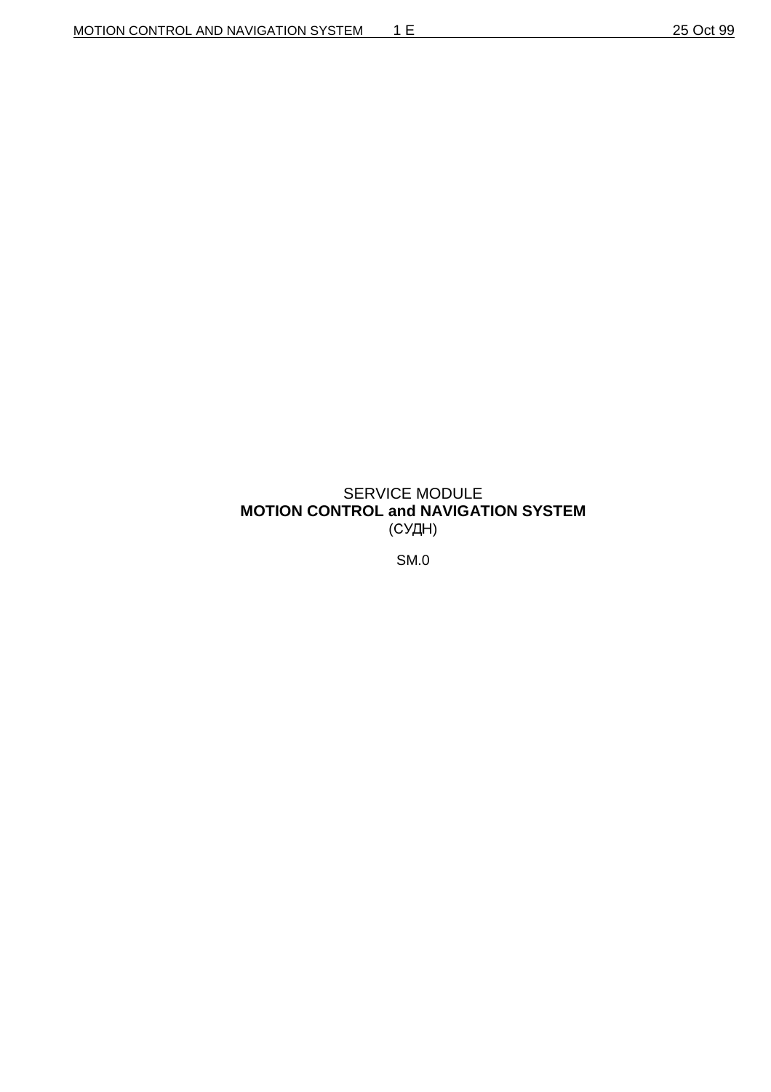## SERVICE MODULE **MOTION CONTROL and NAVIGATION SYSTEM** (СУДН)

SM.0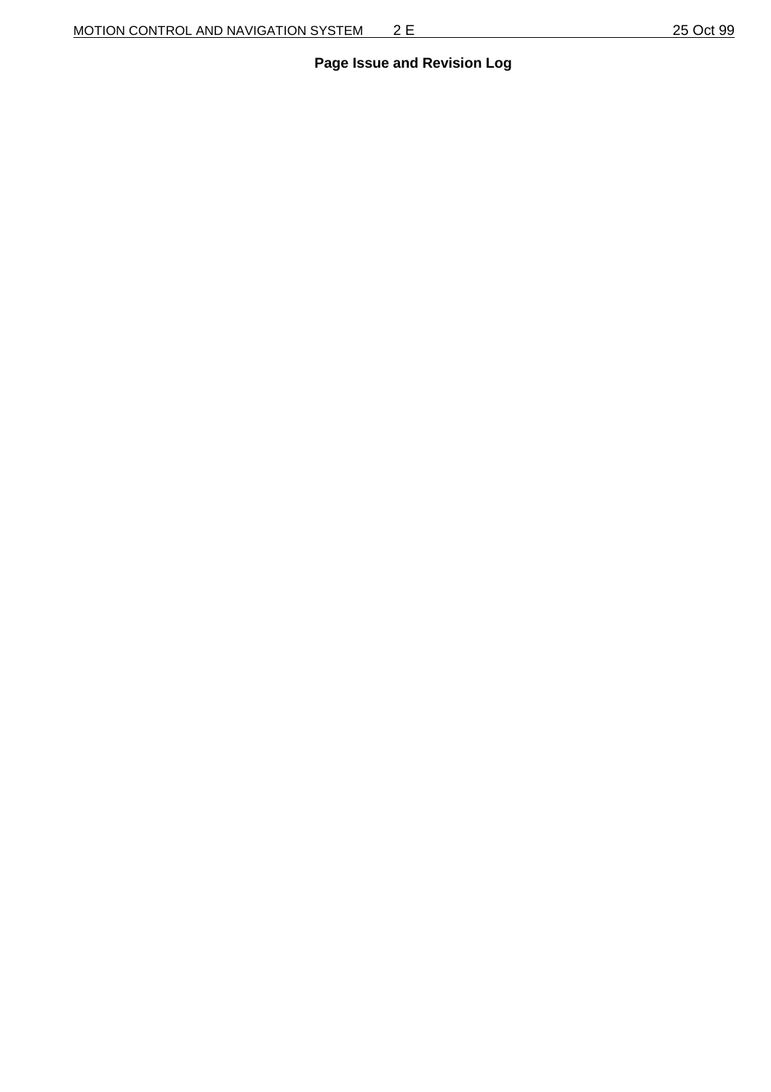# **Page Issue and Revision Log**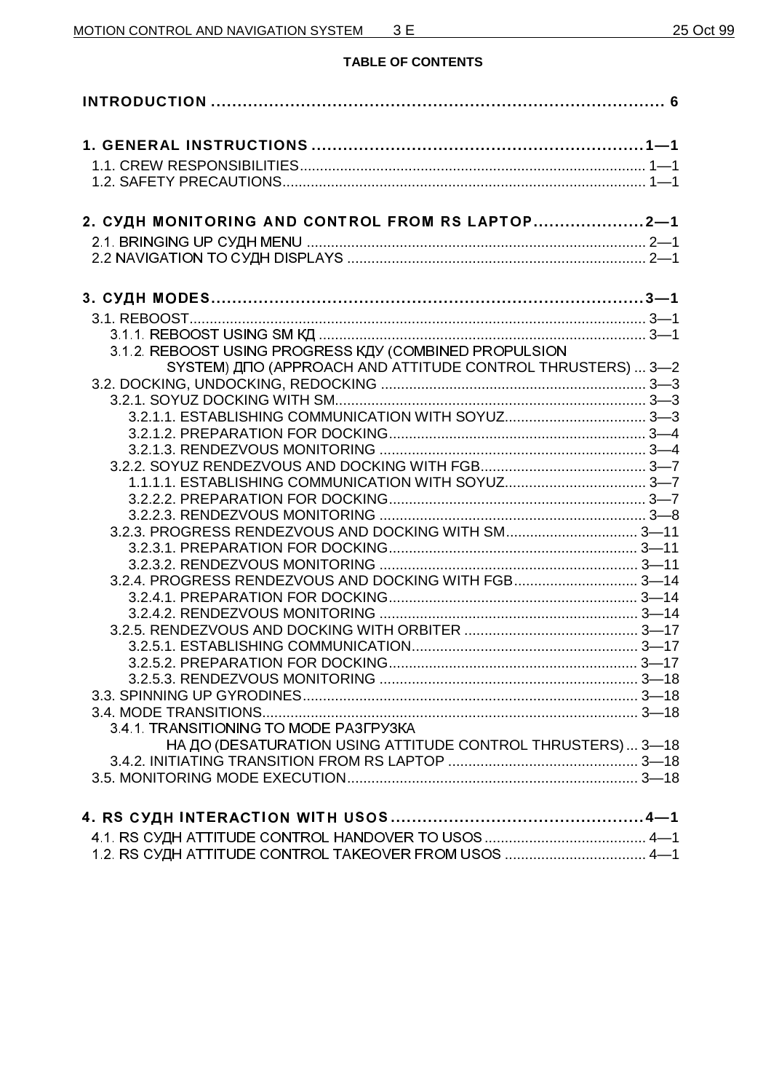#### **TABLE OF CONTENTS**

| 2. СУДН MONITORING AND CONTROL FROM RS LAPTOP2-1           |
|------------------------------------------------------------|
|                                                            |
|                                                            |
|                                                            |
|                                                            |
| 3.1.2. REBOOST USING PROGRESS KIY (COMBINED PROPULSION     |
| SYSTEM) ДПО (APPROACH AND ATTITUDE CONTROL THRUSTERS)  3-2 |
|                                                            |
| 3.2.1.1. ESTABLISHING COMMUNICATION WITH SOYUZ 3-3         |
|                                                            |
|                                                            |
|                                                            |
| 1.1.1.1. ESTABLISHING COMMUNICATION WITH SOYUZ 3-7         |
|                                                            |
| 3.2.3. PROGRESS RENDEZVOUS AND DOCKING WITH SM 3-11        |
|                                                            |
|                                                            |
| 3.2.4. PROGRESS RENDEZVOUS AND DOCKING WITH FGB 3-14       |
|                                                            |
|                                                            |
|                                                            |
|                                                            |
|                                                            |
|                                                            |
|                                                            |
| 3.4.1. TRANSITIONING TO MODE PA3TPY3KA                     |
| НА ДО (DESATURATION USING ATTITUDE CONTROL THRUSTERS) 3-18 |
|                                                            |
|                                                            |
|                                                            |
|                                                            |
|                                                            |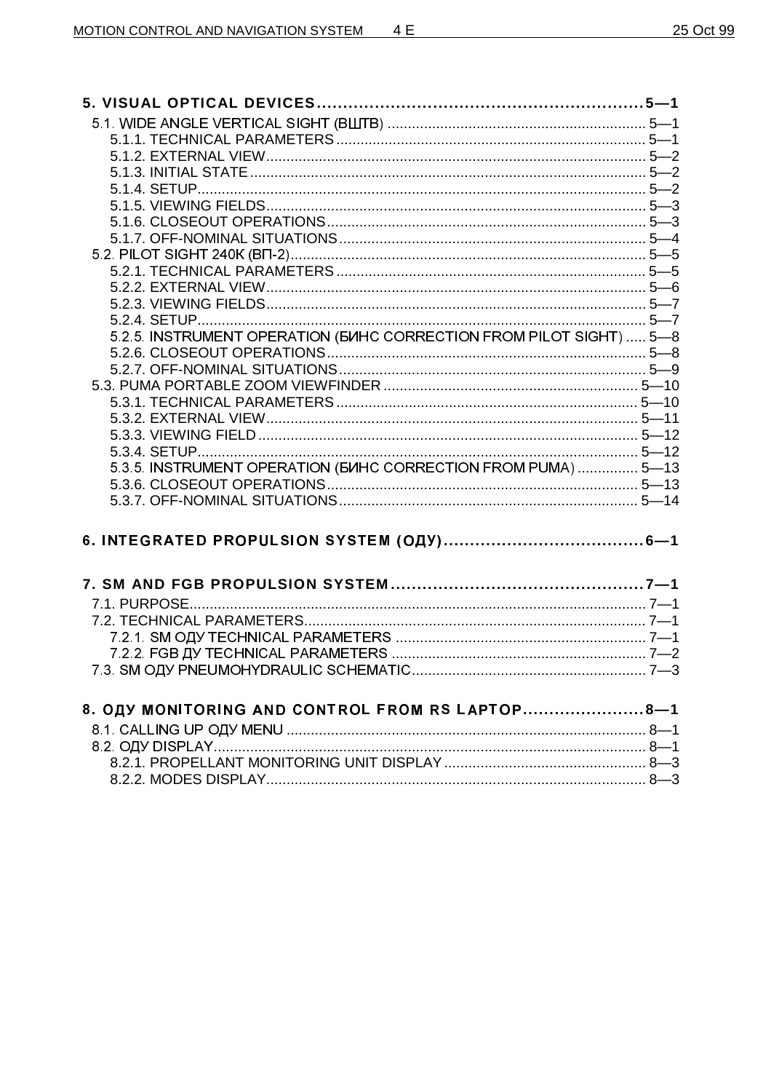|  | 25 Oct 99 |  |
|--|-----------|--|
|--|-----------|--|

| 5.2.5. INSTRUMENT OPERATION (БИНС CORRECTION FROM PILOT SIGHT)  5-8 |  |
|---------------------------------------------------------------------|--|
|                                                                     |  |
|                                                                     |  |
|                                                                     |  |
|                                                                     |  |
|                                                                     |  |
|                                                                     |  |
|                                                                     |  |
| 5.3.5. INSTRUMENT OPERATION (БИНС CORRECTION FROM PUMA)  5-13       |  |
|                                                                     |  |
|                                                                     |  |
|                                                                     |  |
|                                                                     |  |
|                                                                     |  |
|                                                                     |  |
|                                                                     |  |
|                                                                     |  |
|                                                                     |  |
|                                                                     |  |
|                                                                     |  |
|                                                                     |  |
|                                                                     |  |
| 8. OQY MONITORING AND CONTROL FROM RS LAPTOP8-1                     |  |
|                                                                     |  |
|                                                                     |  |
|                                                                     |  |
|                                                                     |  |
|                                                                     |  |
|                                                                     |  |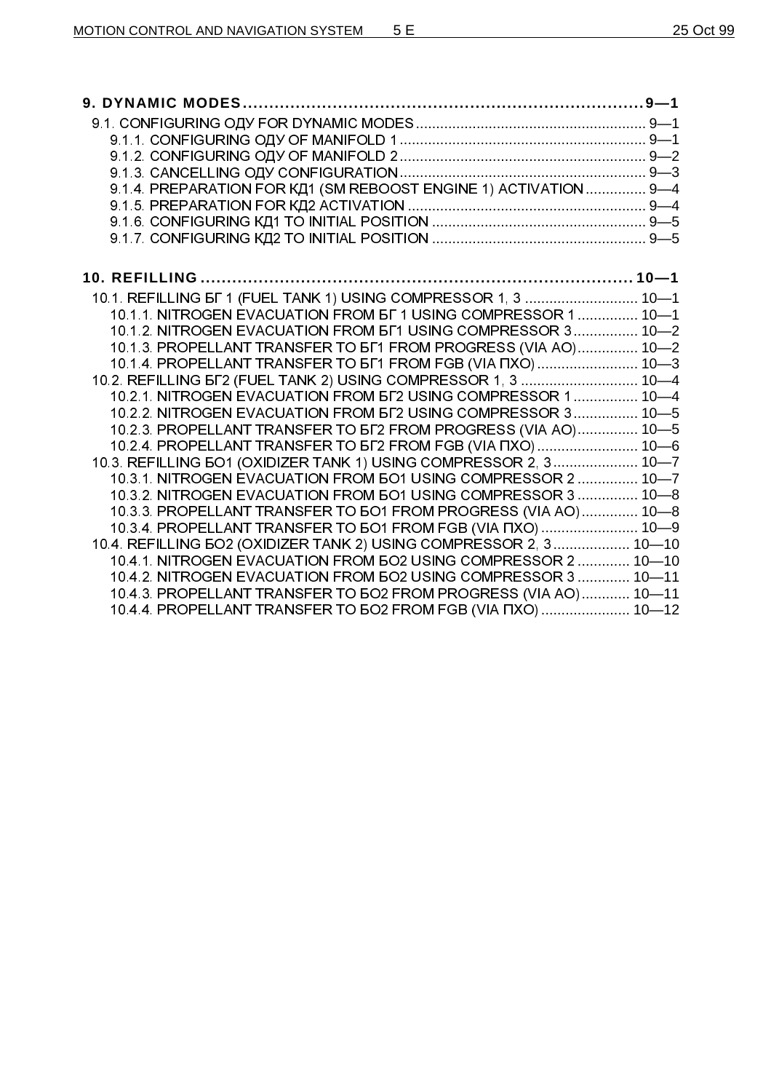| 9. DYNAMIC MODES……………………………………………………………………9—1                                                                                  |  |
|--------------------------------------------------------------------------------------------------------------------------------|--|
|                                                                                                                                |  |
|                                                                                                                                |  |
|                                                                                                                                |  |
|                                                                                                                                |  |
| 9.1.4. PREPARATION FOR KI1 (SM REBOOST ENGINE 1) ACTIVATION 9-4                                                                |  |
|                                                                                                                                |  |
|                                                                                                                                |  |
|                                                                                                                                |  |
|                                                                                                                                |  |
|                                                                                                                                |  |
| 10.1. REFILLING 5F 1 (FUEL TANK 1) USING COMPRESSOR 1, 3  10-1                                                                 |  |
| 10.1.1. NITROGEN EVACUATION FROM 5 F1 USING COMPRESSOR 1 10-1                                                                  |  |
| 10.1.2. NITROGEN EVACUATION FROM 5F1 USING COMPRESSOR 3 10-2                                                                   |  |
| 10.1.3. PROPELLANT TRANSFER TO 5F1 FROM PROGRESS (VIA AO) 10-2                                                                 |  |
| 10.1.4. PROPELLANT TRANSFER TO 5F1 FROM FGB (VIA NXO) 10-3                                                                     |  |
| 10.2. REFILLING 5F2 (FUEL TANK 2) USING COMPRESSOR 1, 3  10-4                                                                  |  |
| 10.2.1. NITROGEN EVACUATION FROM 5F2 USING COMPRESSOR 1 10-4                                                                   |  |
| 10.2.2. NITROGEN EVACUATION FROM 5T2 USING COMPRESSOR 3 10-5                                                                   |  |
| 10.2.3. PROPELLANT TRANSFER TO 5F2 FROM PROGRESS (VIA AO) 10-5                                                                 |  |
| 10.2.4. PROPELLANT TRANSFER TO 5F2 FROM FGB (VIA NXO) 10-6<br>10.3. REFILLING 501 (OXIDIZER TANK 1) USING COMPRESSOR 2, 3 10-7 |  |
| 10.3.1. NITROGEN EVACUATION FROM 501 USING COMPRESSOR 2 10-7                                                                   |  |
| 10.3.2. NITROGEN EVACUATION FROM 501 USING COMPRESSOR 3 10-8                                                                   |  |
| 10.3.3. PROPELLANT TRANSFER TO 501 FROM PROGRESS (VIA AO) 10-8                                                                 |  |
| 10.3.4. PROPELLANT TRANSFER TO 501 FROM FGB (VIA NXO) 10-9                                                                     |  |
| 10.4. REFILLING 502 (OXIDIZER TANK 2) USING COMPRESSOR 2, 3 10-10                                                              |  |
| 10.4.1. NITROGEN EVACUATION FROM 5O2 USING COMPRESSOR 2 10-10                                                                  |  |
| 10.4.2. NITROGEN EVACUATION FROM 502 USING COMPRESSOR 3 10-11                                                                  |  |
| 10.4.3. PROPELLANT TRANSFER TO 502 FROM PROGRESS (VIA AO) 10-11                                                                |  |
| 10.4.4. PROPELLANT TRANSFER TO 502 FROM FGB (VIA NXO) 10-12                                                                    |  |
|                                                                                                                                |  |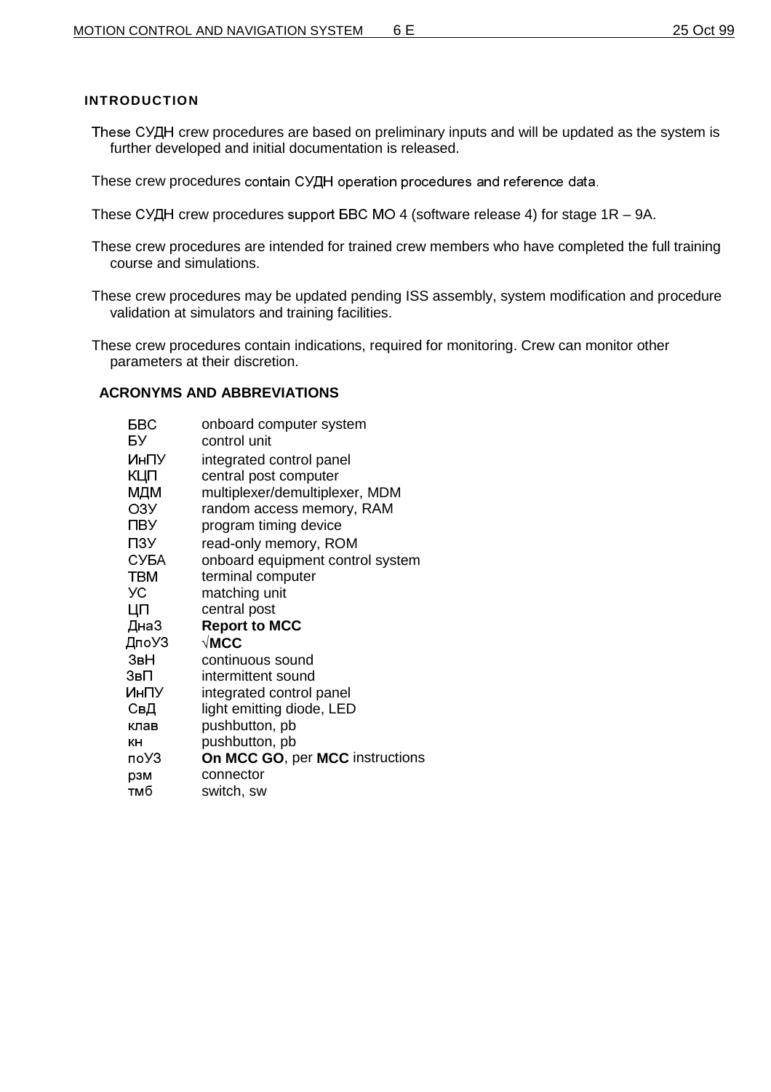## **INTRODUCTION**

- These СУДН crew procedures are based on preliminary inputs and will be updated as the system is further developed and initial documentation is released.
- These crew procedures contain СУДН operation procedures and reference data.
- These СУДН crew procedures support БВС МО 4 (software release 4) for stage 1R 9A.
- These crew procedures are intended for trained crew members who have completed the full training course and simulations.
- These crew procedures may be updated pending ISS assembly, system modification and procedure validation at simulators and training facilities.
- These crew procedures contain indications, required for monitoring. Crew can monitor other parameters at their discretion.

## **ACRONYMS AND ABBREVIATIONS**

| БВС   | onboard computer system          |
|-------|----------------------------------|
| БУ    | control unit                     |
| ИнПУ  | integrated control panel         |
| кцп   | central post computer            |
| МДМ   | multiplexer/demultiplexer, MDM   |
| O3Y   | random access memory, RAM        |
| пву   | program timing device            |
| ПЗУ   | read-only memory, ROM            |
| СУБА  | onboard equipment control system |
| TBM   | terminal computer                |
| УС    | matching unit                    |
| ЦП    | central post                     |
| ДнаЗ  | <b>Report to MCC</b>             |
| ДпоУЗ | $\sqrt{\textsf{MCC}}$            |
| ЗвН   | continuous sound                 |
| ЗвП   | intermittent sound               |
| ИнПУ  | integrated control panel         |
| СвД   | light emitting diode, LED        |
| клав  | pushbutton, pb                   |
| кн    | pushbutton, pb                   |
| по УЗ | On MCC GO, per MCC instructions  |
| рзм   | connector                        |
| тмб   | switch, sw                       |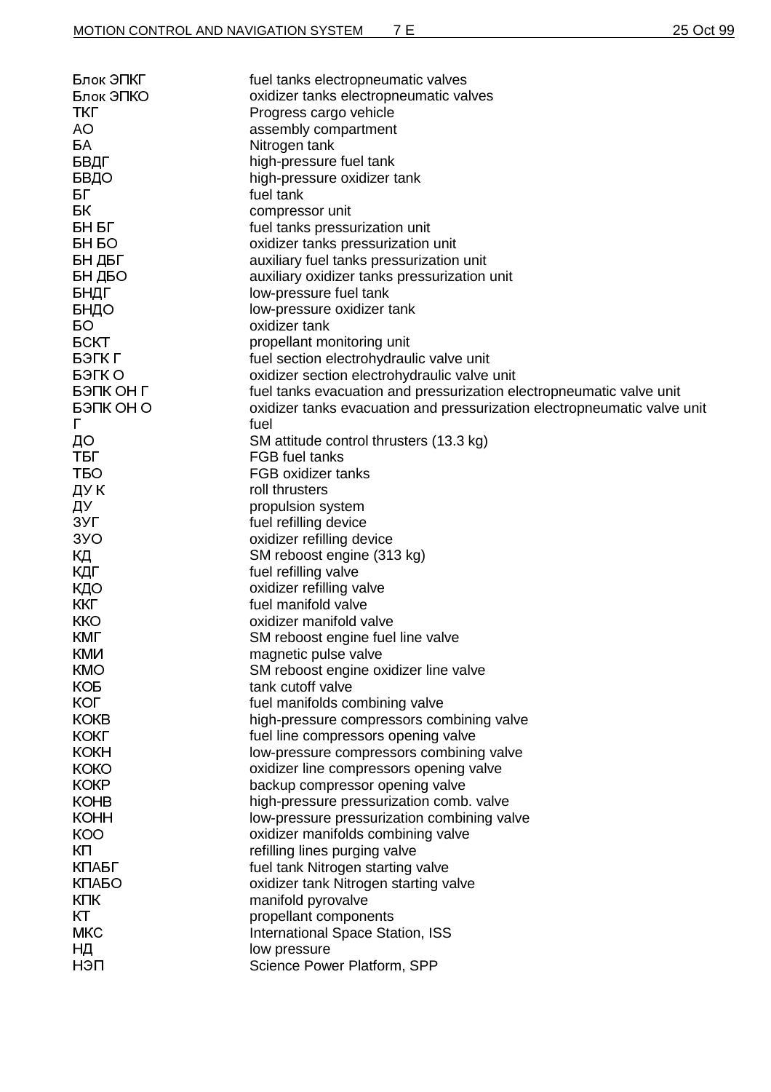| Блок ЭПКГ    | fuel tanks electropneumatic valves                                       |
|--------------|--------------------------------------------------------------------------|
| Блок ЭПКО    | oxidizer tanks electropneumatic valves                                   |
| ткг          | Progress cargo vehicle                                                   |
| AO           | assembly compartment                                                     |
| БА           | Nitrogen tank                                                            |
| БВДГ         | high-pressure fuel tank                                                  |
| БВДО         | high-pressure oxidizer tank                                              |
| БГ           | fuel tank                                                                |
| БК           | compressor unit                                                          |
| БН БГ        |                                                                          |
|              | fuel tanks pressurization unit                                           |
| <b>BH BO</b> | oxidizer tanks pressurization unit                                       |
| БН ДБГ       | auxiliary fuel tanks pressurization unit                                 |
| БН ДБО       | auxiliary oxidizer tanks pressurization unit                             |
| БНДГ         | low-pressure fuel tank                                                   |
| БНДО         | low-pressure oxidizer tank                                               |
| БO           | oxidizer tank                                                            |
| <b>ECKT</b>  | propellant monitoring unit                                               |
| БЭГК Г       | fuel section electrohydraulic valve unit                                 |
| БЭГК О       | oxidizer section electrohydraulic valve unit                             |
| БЭПК ОН Г    | fuel tanks evacuation and pressurization electropneumatic valve unit     |
| БЭПК ОН О    | oxidizer tanks evacuation and pressurization electropneumatic valve unit |
| Г            | fuel                                                                     |
| ДО           | SM attitude control thrusters (13.3 kg)                                  |
| ТБГ          | <b>FGB</b> fuel tanks                                                    |
| <b>TEO</b>   | FGB oxidizer tanks                                                       |
| ДУ К         | roll thrusters                                                           |
| ДУ           | propulsion system                                                        |
| ЗУГ          | fuel refilling device                                                    |
| 3YO          | oxidizer refilling device                                                |
| ΚД           | SM reboost engine (313 kg)                                               |
| КДГ          | fuel refilling valve                                                     |
| КДО          | oxidizer refilling valve                                                 |
| <b>KKL</b>   | fuel manifold valve                                                      |
| <b>KKO</b>   | oxidizer manifold valve                                                  |
| KML          | SM reboost engine fuel line valve                                        |
| <b>KMN</b>   | magnetic pulse valve                                                     |
| <b>KMO</b>   | SM reboost engine oxidizer line valve                                    |
| <b>KOP</b>   | tank cutoff valve                                                        |
| КОГ          | fuel manifolds combining valve                                           |
| <b>KOKB</b>  | high-pressure compressors combining valve                                |
| <b>KOKL</b>  | fuel line compressors opening valve                                      |
| <b>KOKH</b>  |                                                                          |
|              | low-pressure compressors combining valve                                 |
| <b>KOKO</b>  | oxidizer line compressors opening valve                                  |
| <b>KOKP</b>  | backup compressor opening valve                                          |
| <b>KOHB</b>  | high-pressure pressurization comb. valve                                 |
| <b>KOHH</b>  | low-pressure pressurization combining valve                              |
| <b>KOO</b>   | oxidizer manifolds combining valve                                       |
| КΠ           | refilling lines purging valve                                            |
| КПАБГ        | fuel tank Nitrogen starting valve                                        |
| <b>КПАБО</b> | oxidizer tank Nitrogen starting valve                                    |
| <b>KUK</b>   | manifold pyrovalve                                                       |
| КT           | propellant components                                                    |
| <b>MKC</b>   | International Space Station, ISS                                         |
| НД           | low pressure                                                             |
| нэп          | Science Power Platform, SPP                                              |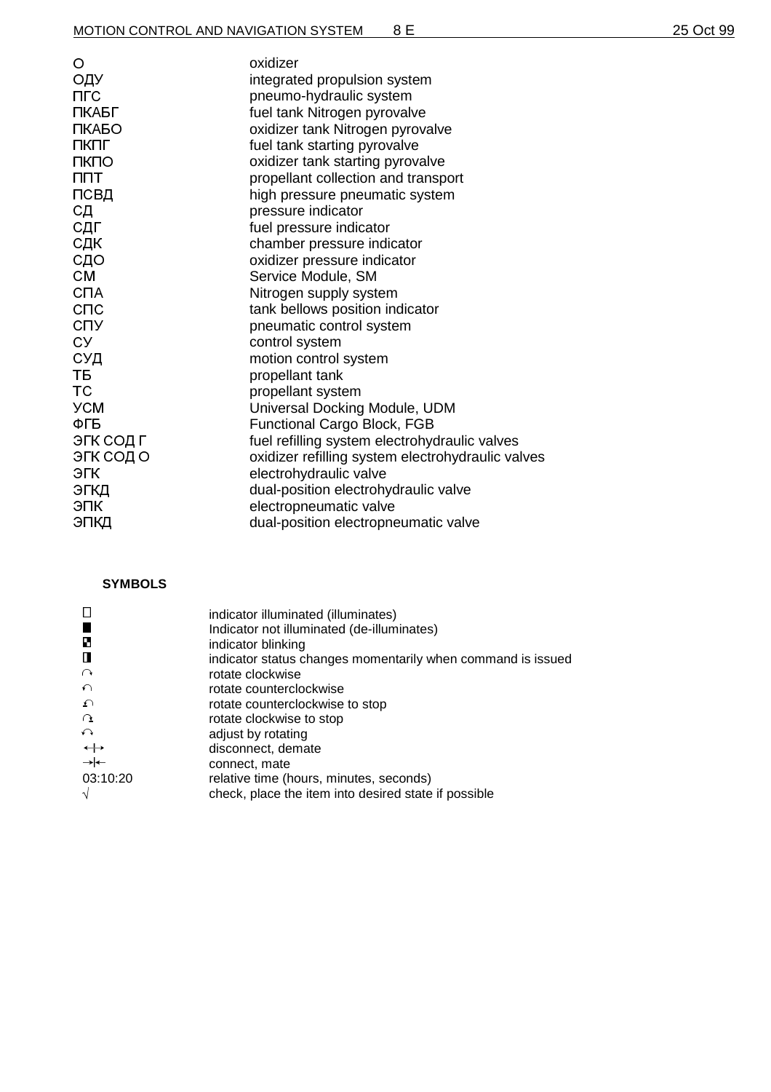| 25 Oct 99 |
|-----------|
|-----------|

## **SYMBOLS**

|                          | indicator illuminated (illuminates)                         |
|--------------------------|-------------------------------------------------------------|
|                          | Indicator not illuminated (de-illuminates)                  |
| Ы                        | indicator blinking                                          |
| Ш                        | indicator status changes momentarily when command is issued |
| $\curvearrowright$       | rotate clockwise                                            |
| $\bigcap$                | rotate counterclockwise                                     |
| ຼ∩                       | rotate counterclockwise to stop                             |
| $\Omega$                 | rotate clockwise to stop                                    |
| $\curvearrowleft$        | adjust by rotating                                          |
| $\leftrightarrow$        | disconnect, demate                                          |
| $\rightarrow \leftarrow$ | connect, mate                                               |
| 03:10:20                 | relative time (hours, minutes, seconds)                     |
|                          | check, place the item into desired state if possible        |
|                          |                                                             |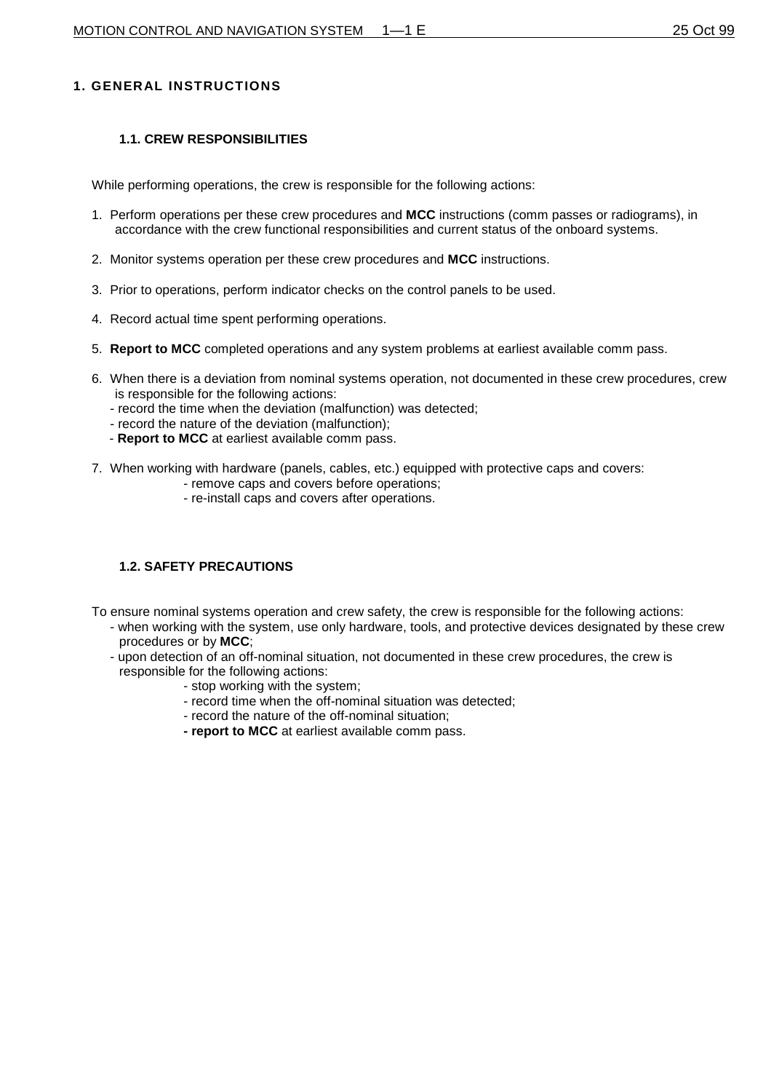## **1. GENERAL INSTRUCTIONS**

#### **1.1. CREW RESPONSIBILITIES**

While performing operations, the crew is responsible for the following actions:

- 1. Perform operations per these crew procedures and **MCC** instructions (comm passes or radiograms), in accordance with the crew functional responsibilities and current status of the onboard systems.
- 2. Monitor systems operation per these crew procedures and **MCC** instructions.
- 3. Prior to operations, perform indicator checks on the control panels to be used.
- 4. Record actual time spent performing operations.
- 5. **Report to MCC** completed operations and any system problems at earliest available comm pass.
- 6. When there is a deviation from nominal systems operation, not documented in these crew procedures, crew is responsible for the following actions:
	- record the time when the deviation (malfunction) was detected;
	- record the nature of the deviation (malfunction);
	- **Report to MCC** at earliest available comm pass.
- 7. When working with hardware (panels, cables, etc.) equipped with protective caps and covers:
	- remove caps and covers before operations;
	- re-install caps and covers after operations.

#### **1.2. SAFETY PRECAUTIONS**

To ensure nominal systems operation and crew safety, the crew is responsible for the following actions:

- when working with the system, use only hardware, tools, and protective devices designated by these crew procedures or by **MCC**;
- upon detection of an off-nominal situation, not documented in these crew procedures, the crew is responsible for the following actions:
	- stop working with the system;
	- record time when the off-nominal situation was detected;
	- record the nature of the off-nominal situation;
	- **report to MCC** at earliest available comm pass.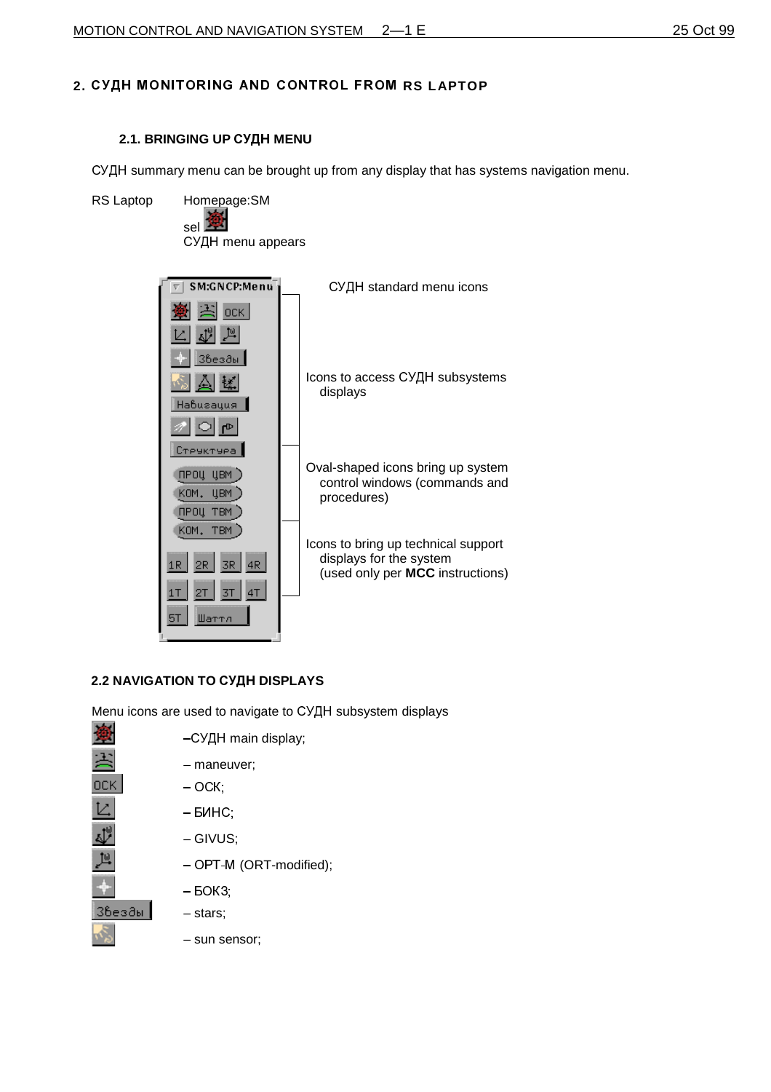## 2. СУДН MONITORING AND CONTROL FROM RS LAPTOP

## 2.1. BRINGING UP СУДН MENU

СУДН summary menu can be brought up from any display that has systems navigation menu.



## **2.2 NAVIGATION TO СУДН DISPLAYS**

Menu icons are used to navigate to СУДН subsystem displays



- CУДН main display;
- maneuver;
- $-$  OCK,
- $B$  $M$ HC:
- GIVUS;
- (ORT-modified);
- $BOK3$
- stars;
- sun sensor;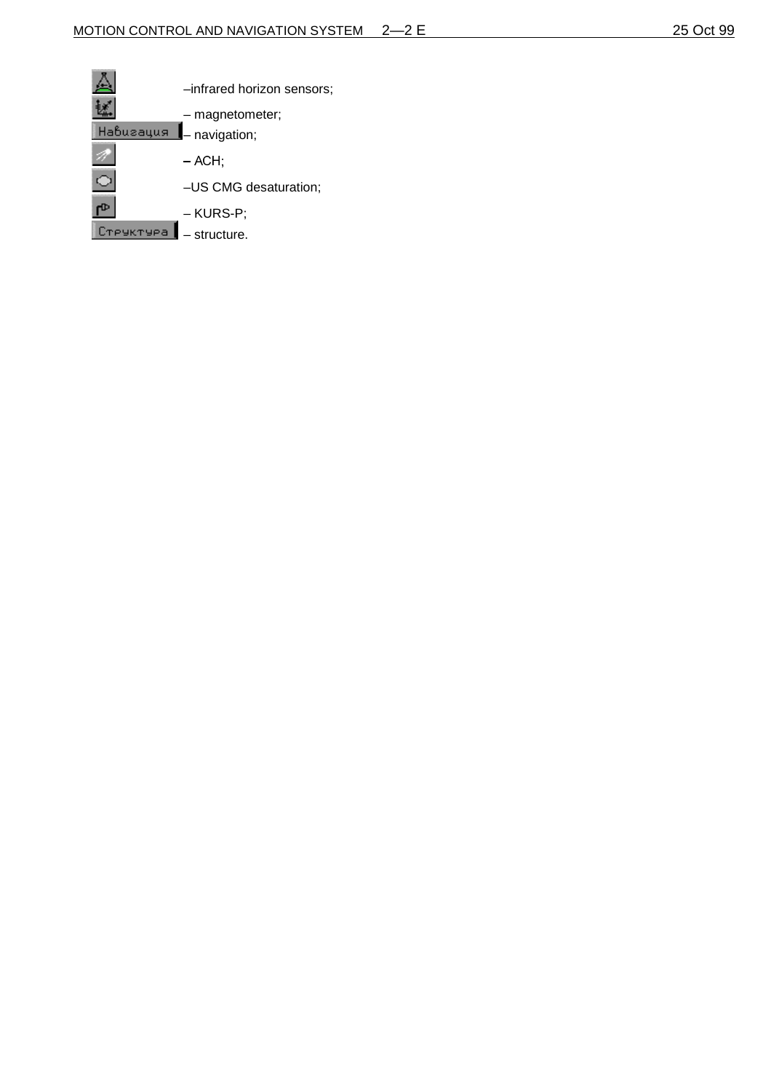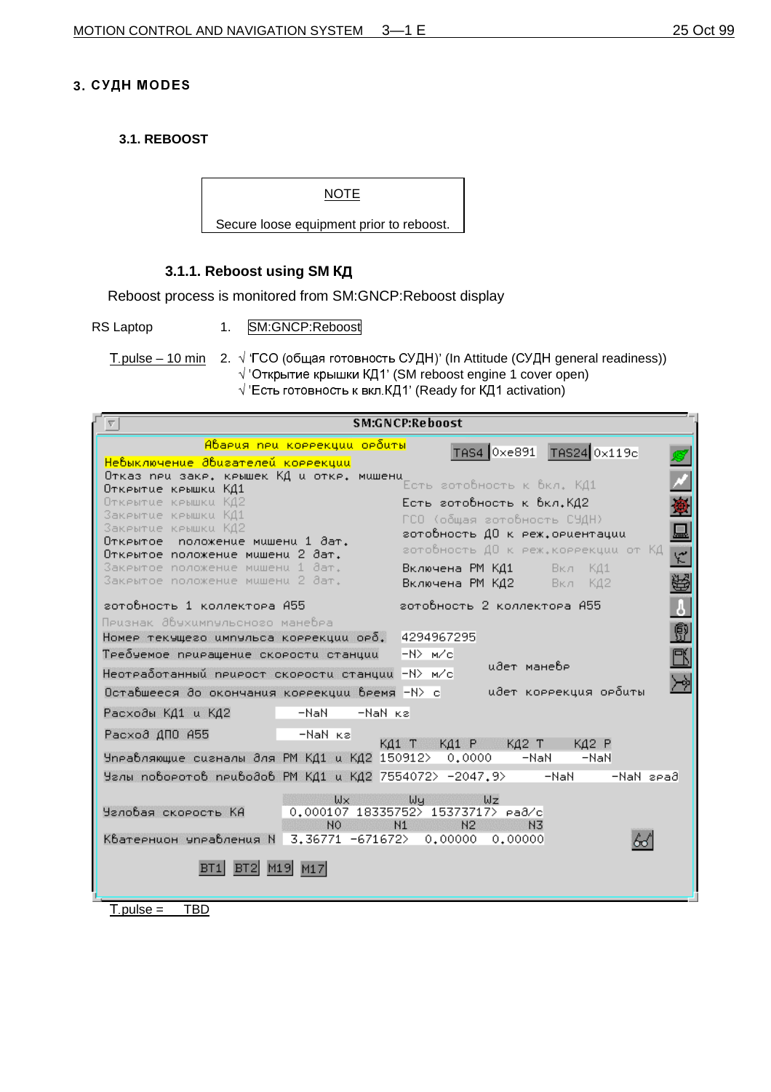## 3. СУДН MODES

## **3.1. REBOOST**

**NOTE** 

Secure loose equipment prior to reboost.

## **3.1.1. Reboost using SM КД**

Reboost process is monitored from SM:GNCP:Reboost display

RS Laptop 1. SM:GNCP:Reboost

 $\overline{T}$  pulse – 10 min 2. √ 'ГСО (общая готовность СУДН)' (In Attitude (СУДН general readiness))  $\sqrt{2}$  Открытие крышки КД1' (SM reboost engine 1 cover open)

 $\sqrt{2}$  'Есть готовность к вкл. КД1' (Ready for КД1 activation)

| <u>Авария при коррекции орбиты</u>                                                                                        |
|---------------------------------------------------------------------------------------------------------------------------|
|                                                                                                                           |
| TAS4 0xe891 TAS24 0x119c<br>Невыключение двигателей коррекции                                                             |
| Отказ пец заке, кеышек КД и отке, мишени<br>Есть готовность к вкл. КД1                                                    |
| Открытие крышки КД1<br>Есть готовность к вкл.КД2<br>Откеытие кеышки КД2                                                   |
| Закрытие крышки КД1<br>ГСО (общая готовность СУДН)                                                                        |
| $\Box$<br>Закеытие кеышки КД2<br>готовность ДО к реж.ориентации                                                           |
| Откеытое, положение мишени 1 дат.<br>готовность ДО к реж.коррекции от КД                                                  |
| $\mathfrak{r}$<br>Открытое положение мишени 2 дат.<br>Закрытое положение мишени 1 дат.<br>Включена РМ КД1 —<br>-Вкл - КД1 |
| 器<br>Закрытое положение мишени 2 дат.<br>Включена РМ КД2 —<br>- Вкл – КД2                                                 |
| b.<br>готовность 1 коллектора А55<br>готовность 2 коллектора А55                                                          |
| Признак двухимпульсного маневра                                                                                           |
| 0<br>4294967295<br>Номер текущего импульса коррекции орб.                                                                 |
| B<br>Требуемое приращение скорости станции<br>⊢N> m⁄c                                                                     |
| идет маневе<br>Неотработанный прирост скорости станции -N> м/с                                                            |
| идет коррекция орбиты<br>Оставшееся до окончания коррекции время -N> с                                                    |
| Расходы КД1 и КД2<br>$-NaN$<br>-NaN kal                                                                                   |
| Расход ДПО А55<br>-NaN кa                                                                                                 |
| КД1 Р КД2 Т<br><b>KA1 T</b><br>КД2 Р<br>Управляющие сигналы для РМ КД1 и КД2 150912> 0.0000<br>-NaN<br>$-NaN$             |
| Углы поворотов приво∂ов РМ КД1 и КД2 7554072> −2047.9><br>-NaN<br>-NaN seað                                               |
|                                                                                                                           |
| $\mathsf{u}\times$<br>Wу<br>$\mathsf{W}$ z                                                                                |
| Угловая скорость КА<br>0.000107 18335752> 15373717> pad/c<br>N <sub>O</sub><br>N1<br>N <sub>2</sub><br>N <sub>3</sub>     |
| Кватернион управления N 3.36771 -671672> 0.00000 0.00000                                                                  |
| BT 21<br>M19I<br>M <sub>17</sub>                                                                                          |

 $I$  pulse = TBD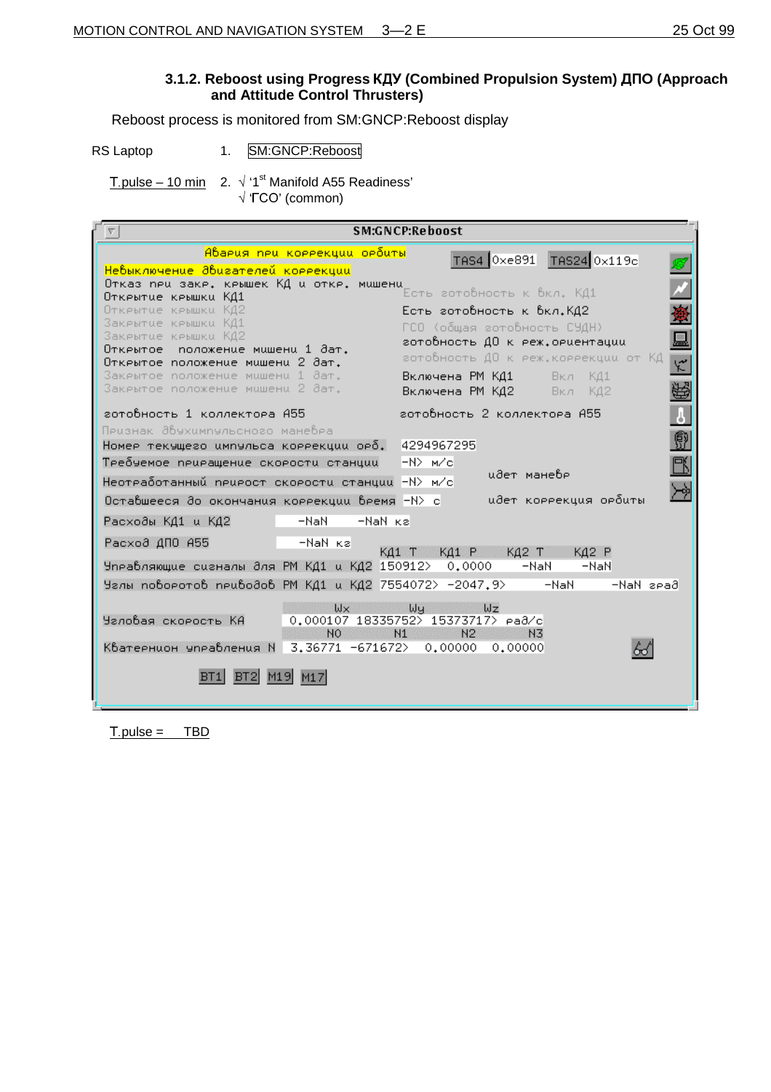## 3.1.2. Reboost using Progress КДУ (Combined Propulsion System) ДПО (Approach **and Attitude Control Thrusters)**

Reboost process is monitored from SM:GNCP:Reboost display

RS Laptop 1. SM:GNCP:Reboost

T. pulse – 10 min 2.  $\sqrt{15}$  Manifold A55 Readiness'  $\sqrt{'}$  (CO' (common)

| Ψ                                                                    | <b>SM:GNCP:Reboost</b>                                     |
|----------------------------------------------------------------------|------------------------------------------------------------|
| <u>Авария при коррекции орбиты</u>                                   | TAS4 0xe891 TAS24 0x119c                                   |
| Невыключение двигателей коррекции                                    |                                                            |
| Отказ пец заке, кеышек КД и отке, мишени                             | Есть готовность к вкл. КД1                                 |
| Открытие крышки КД1<br>Открытие крышки КД2                           | Есть готовность к вкл. КД2                                 |
| Закрытие крышки КД1                                                  | ГСО (общая готовность СУДН)                                |
| Закеытие кеышки КД2                                                  | 닖<br>готовность ДО к реж.ориентации                        |
| Открытое положение мишени 1 дат.                                     | готовность ДО к реж.коррекции от КД                        |
| Открытое положение мишени 2 дат.<br>Закрытое положение мишени 1 дат. | $\mathfrak{r}$<br>Включена РМ КД1 —<br>Вкл КД1             |
| Закрытое положение мишени 2 дат.                                     | ₩<br>Включена РМ КД2 — 1<br>-Вкл - КД2                     |
| готовность 1 коллектора А55                                          | готовность 2 коллектора А55                                |
| Пецзнак Авухимпульсного маневеа                                      | 0                                                          |
| Номер текущего импульса коррекции орб.                               | 4294967295                                                 |
| Требуемое приращение скорости станции                                | ß<br>l-N> m⁄cl<br>идет маневе                              |
| Неотработанный прирост скорости станции -N> м/с                      | ≻∳                                                         |
| Оставшееся до окончания коррекции время -N> с                        | идет коррекция орбиты                                      |
| Расходы КД1 и КД2<br>$-NaN$<br>-NaN ka                               |                                                            |
| Расход ДПО А55<br>$-NaN$ $\kappa$                                    | КД1 Р КД2 Т<br>KA1 T<br>KA2 P                              |
| Управляющие сигналы для РМ КД1 и КД2 150912> 0.0000                  | -NaN<br>-NaN                                               |
| Углы поворотов приво∂ов РМ КД1 и КД2 7554072> −2047.9>               | -NaN<br>-NaN seað                                          |
| W                                                                    | Wy<br>WZ                                                   |
| Угловая скорость КА<br>N <sub>O</sub>                                | 0.000107 18335752> 15373717> pa8/c<br>N1<br>N <sub>3</sub> |
| Кватернион управления N 3.36771 -671672> 0.00000                     | N2<br>0.00000<br>₩                                         |
| M19 M17<br>BT2L                                                      |                                                            |

 $T$  pulse = TBD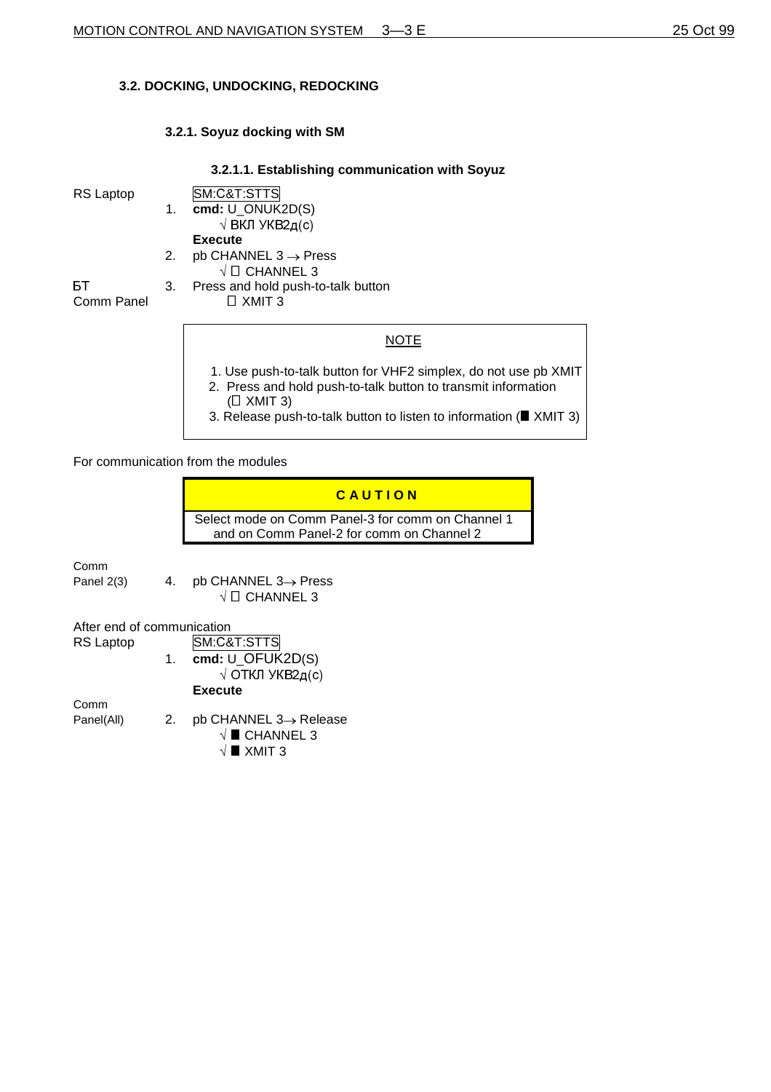## **3.2. DOCKING, UNDOCKING, REDOCKING**

## **3.2.1. Soyuz docking with SM**

#### **3.2.1.1. Establishing communication with Soyuz**

- RS Laptop **SM:C&T:STTS** 1. **cmd:** U\_ONUK2D(S)  $\sqrt{}$  ВКЛ УКВ2д(с) **Execute**
	- 2. pb CHANNEL  $3 \rightarrow$  Press

БT Comm Panel  $\Box$  XMIT 3

 $\sqrt{\Box}$  CHANNEL 3 3. Press and hold push-to-talk button

#### **NOTE**

- 1. Use push-to-talk button for VHF2 simplex, do not use pb XMIT
- 2. Press and hold push-to-talk button to transmit information
	- $(D$  XMIT 3)
- 3. Release push-to-talk button to listen to information ( $\blacksquare$  XMIT 3)

For communication from the modules

**C A U T I O N** Select mode on Comm Panel-3 for comm on Channel 1 and on Comm Panel-2 for comm on Channel 2

Comm

Panel  $2(3)$  4. pb CHANNEL  $3 \rightarrow$  Press  $\sqrt{\Box}$  CHANNEL 3

| After end of communication |    |                                 |
|----------------------------|----|---------------------------------|
| <b>RS</b> Laptop           |    | SM:C&T:STTS                     |
|                            | 1. | cmd: U_OFUK2D(S)                |
|                            |    | $\sqrt{$ ОТКЛ УКВ2д(с)          |
|                            |    | <b>Execute</b>                  |
| Comm                       |    |                                 |
| Panel(All)                 | 2. | pb CHANNEL 3→ Release           |
|                            |    | $\sqrt{\blacksquare}$ CHANNEL 3 |

 $\sqrt{ }$  XMIT 3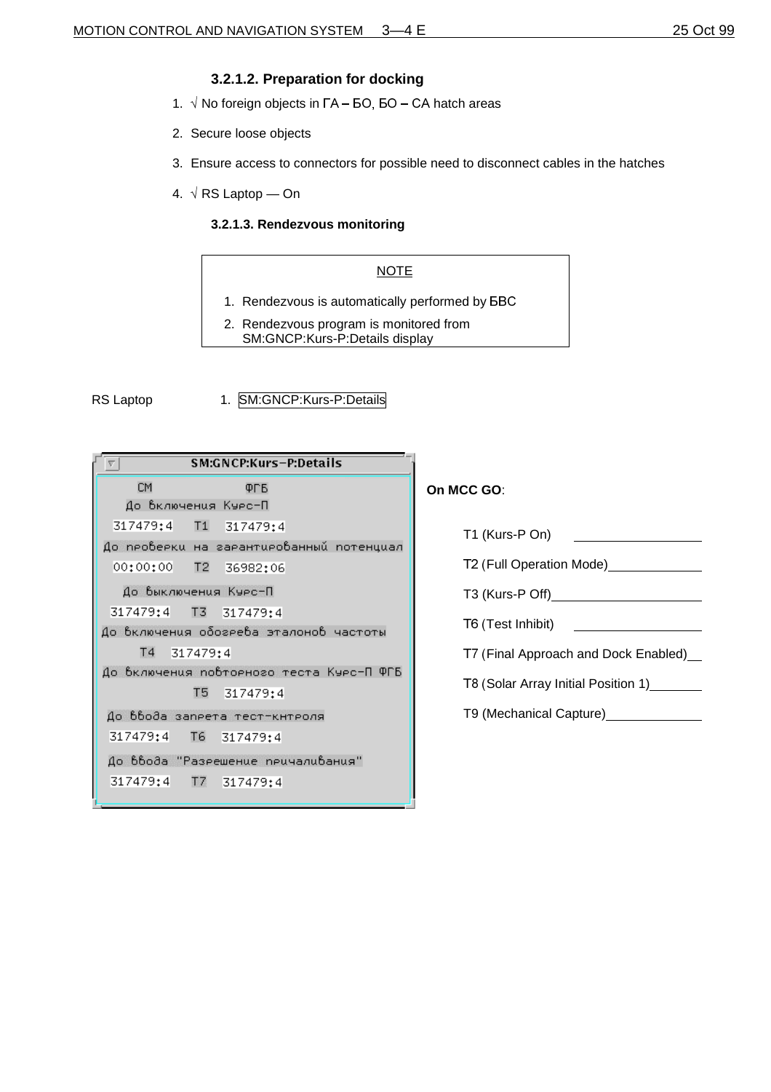## **3.2.1.2. Preparation for docking**

- 1.  $\sqrt{ }$  No foreign objects in  $\mathsf{FA} \mathsf{EO}$ ,  $\mathsf{EO} \mathsf{CA}$  hatch areas
- 2. Secure loose objects
- 3. Ensure access to connectors for possible need to disconnect cables in the hatches
- 4.  $\sqrt{RS}$  Laptop On

## **3.2.1.3. Rendezvous monitoring**

#### **NOTE**

- 1. Rendezvous is automatically performed by **BBC**
- 2. Rendezvous program is monitored from SM:GNCP:Kurs-P:Details display

RS Laptop 1. SM:GNCP:Kurs-P:Details

| SM:GNCP:Kurs-P:Details                   |  |  |  |  |
|------------------------------------------|--|--|--|--|
| <b>CM</b><br>ФГБ                         |  |  |  |  |
| До включения Курс-П                      |  |  |  |  |
| 317479:4 T1 317479:4                     |  |  |  |  |
| До проверки на гарантированный потенциал |  |  |  |  |
| 00:00:00 T2 36982:06                     |  |  |  |  |
| До выключения Курс-П                     |  |  |  |  |
| 317479:4 T3 317479:4                     |  |  |  |  |
| До включения обогрева эталонов частоты   |  |  |  |  |
| T <sub>4</sub><br>317479:4               |  |  |  |  |
| До включения повторного теста Курс-П ФГБ |  |  |  |  |
| T5.<br>317479:4                          |  |  |  |  |
| До ввода запрета тест-кнтроля            |  |  |  |  |
| 317479:4 T6 317479:4                     |  |  |  |  |
| До ввода "Разрешение причаливания"       |  |  |  |  |
| 317479:4 T7 317479:4                     |  |  |  |  |
|                                          |  |  |  |  |

## **On MCC GO**:

| T1 (Kurs-P On)                          |
|-----------------------------------------|
| T2 (Full Operation Mode) ________       |
| T3 (Kurs-P Off)__________________       |
| T6 (Test Inhibit)                       |
| T7 (Final Approach and Dock Enabled)    |
| T8 (Solar Array Initial Position 1)     |
| T9 (Mechanical Capture) _______________ |
|                                         |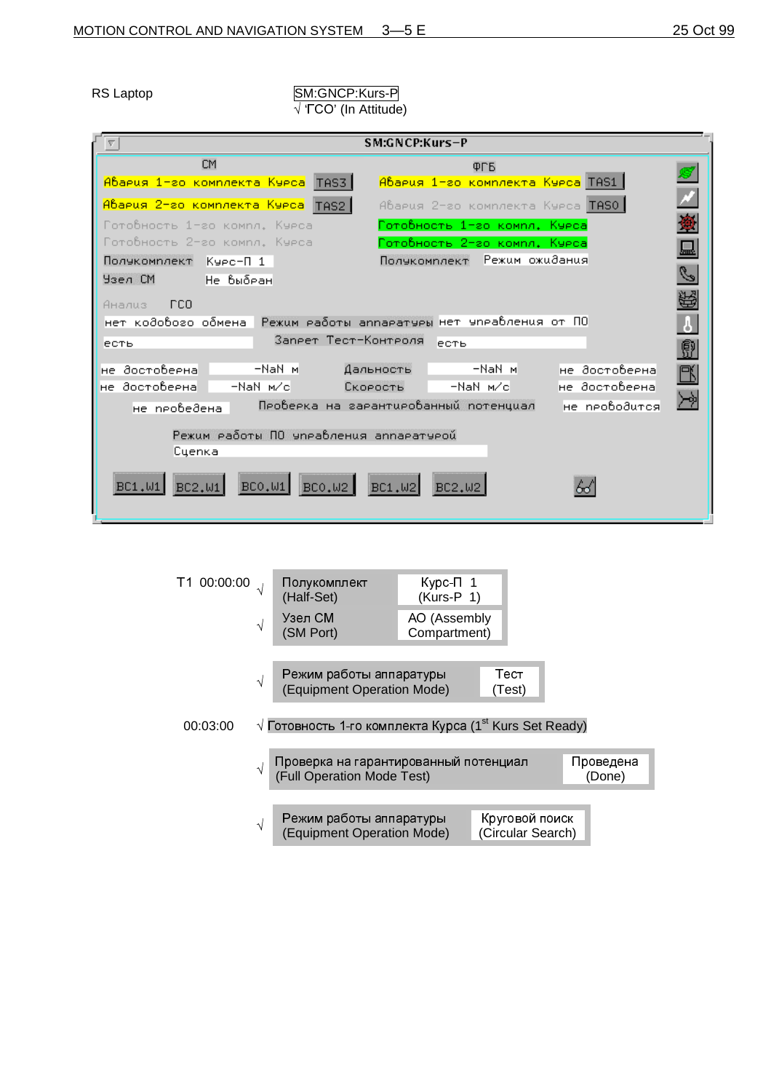RS Laptop SM:GNCP:Kurs-P √ 'ГСО' (In Attitude)

|                                                                    | SM:GNCP:Kurs-P                                                                 |               |
|--------------------------------------------------------------------|--------------------------------------------------------------------------------|---------------|
| <b>CM</b>                                                          | ФГБ                                                                            |               |
| <mark>Авария 1-го комплекта Курса</mark>   TAS3                    | <mark>Авария 1-го комплекта Курса</mark> TAS1                                  |               |
| <mark>Авария 2-го комплекта Курса</mark><br>TAS2                   | Авария 2-го комплекта Курса <mark>TASO</mark>                                  |               |
| Готовность 1-го компл. Курса                                       | Готовность 1-го компл. Курса                                                   |               |
| Готовность 2-го компл. Курса                                       | Готовность 2-го компл. Курса                                                   | 显             |
| Полукомплект<br>Kyec-N 1                                           | Режим ожидания<br>Полчкомплект                                                 |               |
| Узел СМ<br>Не выбеан                                               |                                                                                | $\mathscr{E}$ |
| <b>FCO</b><br>Анализ                                               |                                                                                | 瞪             |
| нет кодового обмена   Режим работы аппаратуры нет управления от ПО |                                                                                |               |
| Запрет Тест-Контроля<br>есть                                       | Іесть                                                                          | Ô             |
| -NaN M<br>достоверна<br>нe<br>достоверна<br>-NaN m/cl<br>нe.       | -NaN M<br>не достовеена<br>Дальность<br>-NaN m/cl<br>не достовеена<br>Скорость |               |
| не пеоведена                                                       | Проверка на гарантированный потенциал<br>не пеоводится                         |               |
| Режим работы ПО управления аппаратурой<br>Cuenka                   |                                                                                |               |
| BCO.W1<br>BC2.W1<br>BCO.W2<br>BC1.W1                               | BC1.W2<br>BC2.W2                                                               |               |

| T1 00:00:00 |           | Полукомплект<br>(Half-Set)                                                | $Kypc$ - $\Pi$ 1<br>$(Kurs-P 1)$ |                                     |                     |
|-------------|-----------|---------------------------------------------------------------------------|----------------------------------|-------------------------------------|---------------------|
|             | $\sqrt{}$ | Узел СМ<br>(SM Port)                                                      | AO (Assembly<br>Compartment)     |                                     |                     |
|             | $\sqrt{}$ | Режим работы аппаратуры<br>(Equipment Operation Mode)                     |                                  | Тест<br>(Test)                      |                     |
| 00:03:00    |           | $\sqrt{2}$ Готовность 1-го комплекта Курса (1 $^{\rm st}$ Kurs Set Ready) |                                  |                                     |                     |
|             |           | Проверка на гарантированный потенциал<br>(Full Operation Mode Test)       |                                  |                                     | Проведена<br>(Done) |
|             |           |                                                                           |                                  |                                     |                     |
|             | $\sqrt{}$ | Режим работы аппаратуры<br>(Equipment Operation Mode)                     |                                  | Круговой поиск<br>(Circular Search) |                     |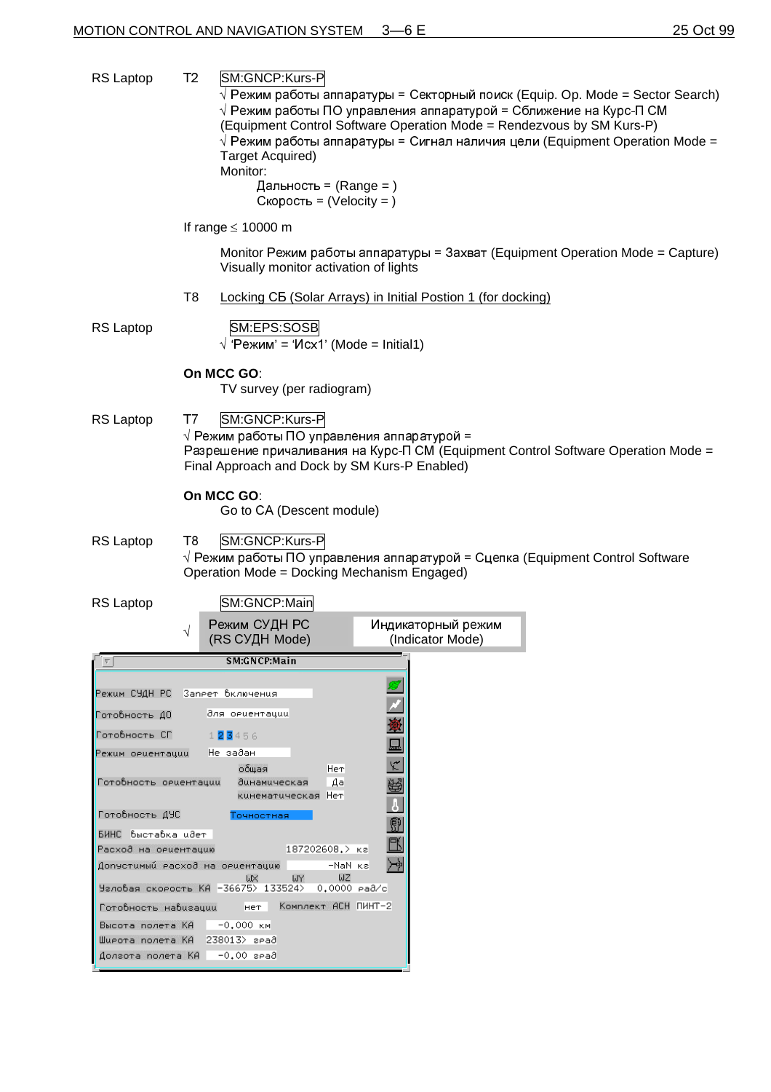| RS Laptop                                                                                                                                             | T <sub>2</sub> | SM:GNCP:Kurs-P<br>$\sqrt{P}$ Режим работы аппаратуры = Секторный поиск (Equip. Op. Mode = Sector Search)<br>$\sqrt{P}$ ежим работы ПО управления аппаратурой = Сближение на Курс-П СМ<br>(Equipment Control Software Operation Mode = Rendezvous by SM Kurs-P)<br>$\sqrt{P}$ ежим работы аппаратуры = Сигнал наличия цели (Equipment Operation Mode =<br><b>Target Acquired)</b><br>Monitor:<br>Дальность = (Range = )<br>Скорость = (Velocity = ) |
|-------------------------------------------------------------------------------------------------------------------------------------------------------|----------------|----------------------------------------------------------------------------------------------------------------------------------------------------------------------------------------------------------------------------------------------------------------------------------------------------------------------------------------------------------------------------------------------------------------------------------------------------|
|                                                                                                                                                       |                | If range $\leq 10000$ m                                                                                                                                                                                                                                                                                                                                                                                                                            |
|                                                                                                                                                       |                | Monitor Режим работы аппаратуры = Захват (Equipment Operation Mode = Capture)<br>Visually monitor activation of lights                                                                                                                                                                                                                                                                                                                             |
|                                                                                                                                                       | T8             | Locking CB (Solar Arrays) in Initial Postion 1 (for docking)                                                                                                                                                                                                                                                                                                                                                                                       |
| RS Laptop                                                                                                                                             |                | SM:EPS:SOSB<br>$\sqrt{P}$ ежим' = 'Исх1' (Mode = Initial1)                                                                                                                                                                                                                                                                                                                                                                                         |
|                                                                                                                                                       |                | On MCC GO:<br>TV survey (per radiogram)                                                                                                                                                                                                                                                                                                                                                                                                            |
| RS Laptop                                                                                                                                             | T7             | SM:GNCP:Kurs-P<br>$\sqrt{ }$ Режим работы ПО управления аппаратурой =<br>Разрешение причаливания на Курс-П СМ (Equipment Control Software Operation Mode =<br>Final Approach and Dock by SM Kurs-P Enabled)                                                                                                                                                                                                                                        |
|                                                                                                                                                       |                | On MCC GO:<br>Go to CA (Descent module)                                                                                                                                                                                                                                                                                                                                                                                                            |
| RS Laptop                                                                                                                                             | T8             | SM:GNCP:Kurs-P<br>$\sqrt{}$ Режим работы ПО управления аппаратурой = Сцепка (Equipment Control Software<br>Operation Mode = Docking Mechanism Engaged)                                                                                                                                                                                                                                                                                             |
| RS Laptop                                                                                                                                             | $\sqrt{}$      | SM:GNCP:Main<br>Режим СУДН РС<br>Индикаторный режим<br>(RS CУДН Mode)<br>(Indicator Mode)                                                                                                                                                                                                                                                                                                                                                          |
|                                                                                                                                                       |                | SM:GNCP:Main                                                                                                                                                                                                                                                                                                                                                                                                                                       |
| Режим СУДН РС Запрет Включения<br>Готовность ДО<br>Готовность СГ<br>Режим ориентации<br>Готовность орцентации<br>Готовность ДУС<br>БИНС выставка идет |                | ∂ля орцентации<br>愛口 大海 こうき<br>123456<br>Не задан<br>общая<br>Нет<br>динамическая<br>Дa<br>кинематическая Нет<br>Точностная<br>$\mathbb{R}$<br>187202608.> ks                                                                                                                                                                                                                                                                                      |
| Расход на ориентацию<br>Допустимый расход на ориентацию                                                                                               |                | ≫<br>-МаМ ка                                                                                                                                                                                                                                                                                                                                                                                                                                       |
|                                                                                                                                                       |                | WY<br>WZ<br>WX<br>Чаловая скорость КА -36675> 133524><br>$0,0000$ $rad/c$                                                                                                                                                                                                                                                                                                                                                                          |
| Готовность навигации                                                                                                                                  |                | Комплект АСН ПИНТ-2<br>нет                                                                                                                                                                                                                                                                                                                                                                                                                         |
| Высота полета КА<br>Широта полета КА                                                                                                                  |                | $-0.000$ KM<br>238013> 2Pad                                                                                                                                                                                                                                                                                                                                                                                                                        |
| Долгота полета КА                                                                                                                                     |                | —О.ОО гра∂                                                                                                                                                                                                                                                                                                                                                                                                                                         |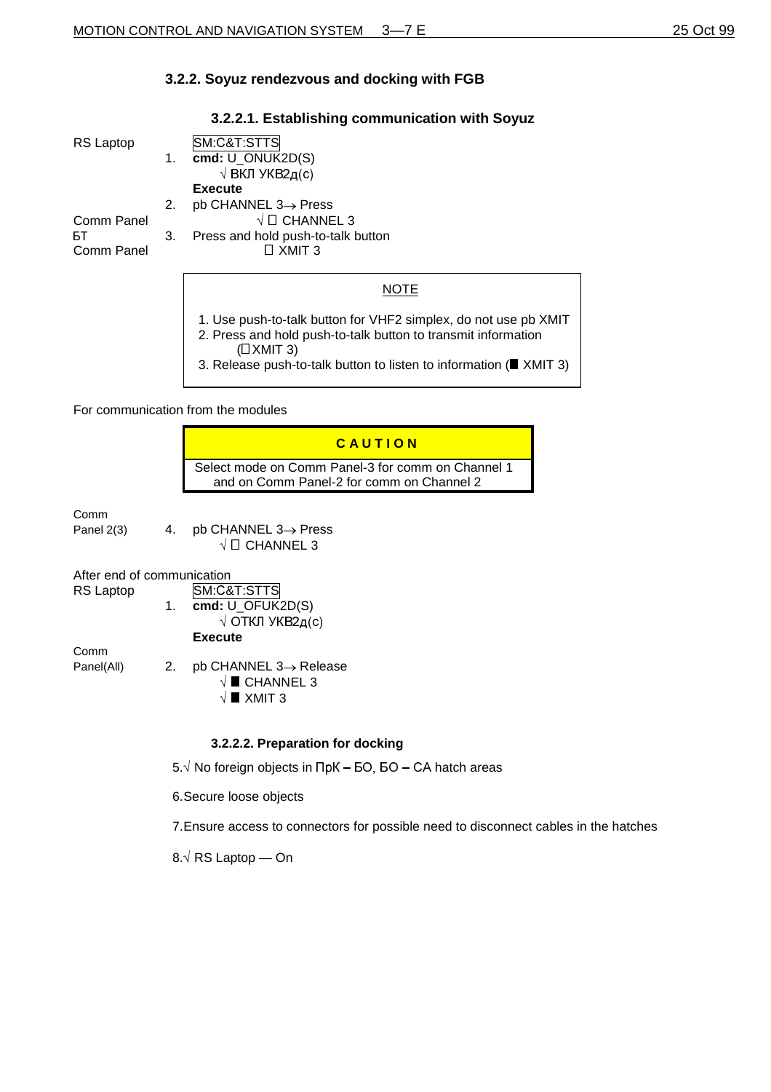## **3.2.2. Soyuz rendezvous and docking with FGB**

| RS Laptop  | $1_{\cdot}$ | SM:C&T:STTS<br>cmd: U_ONUK2D(S)<br>$\sqrt{B}$ КЛ УКВ2д(с) |
|------------|-------------|-----------------------------------------------------------|
|            |             | <b>Execute</b>                                            |
|            | 2.          | $pb$ CHANNEL 3 $\rightarrow$ Press                        |
| Comm Panel |             | $\sqrt{\Box}$ CHANNEL 3                                   |
| БТ         | 3.          | Press and hold push-to-talk button                        |
| Comm Panel |             | $\Box$ XMIT 3                                             |
|            |             |                                                           |
|            |             |                                                           |

## **3.2.2.1. Establishing communication with Soyuz**

- 1. Use push-to-talk button for VHF2 simplex, do not use pb XMIT
- 2. Press and hold push-to-talk button to transmit information  $($  $\Box$ XMIT 3)
- 3. Release push-to-talk button to listen to information ( $\blacksquare$  XMIT 3)

#### For communication from the modules



Comm

Panel 2(3)  $\overline{4}$ . pb CHANNEL 3 $\rightarrow$  Press  $\sqrt{\Box}$  CHANNEL 3

After end of communication

RS Laptop **SM:C&T:STTS** 1. **cmd:** U\_OFUK2D(S)  $\sqrt{\text{ OTKJ}}$  УКВ2д(с) **Execute**

Comm

- Panel(All) 2. pb CHANNEL 3→ Release  $\sqrt{\blacksquare}$  CHANNEL 3
	- $\sqrt{ }$  XMIT 3

#### **3.2.2.2. Preparation for docking**

5. $\sqrt{ }$  No foreign objects in ПрК – БО, БО – СА hatch areas

6. Secure loose objects

7. Ensure access to connectors for possible need to disconnect cables in the hatches

8.√ RS Laptop — On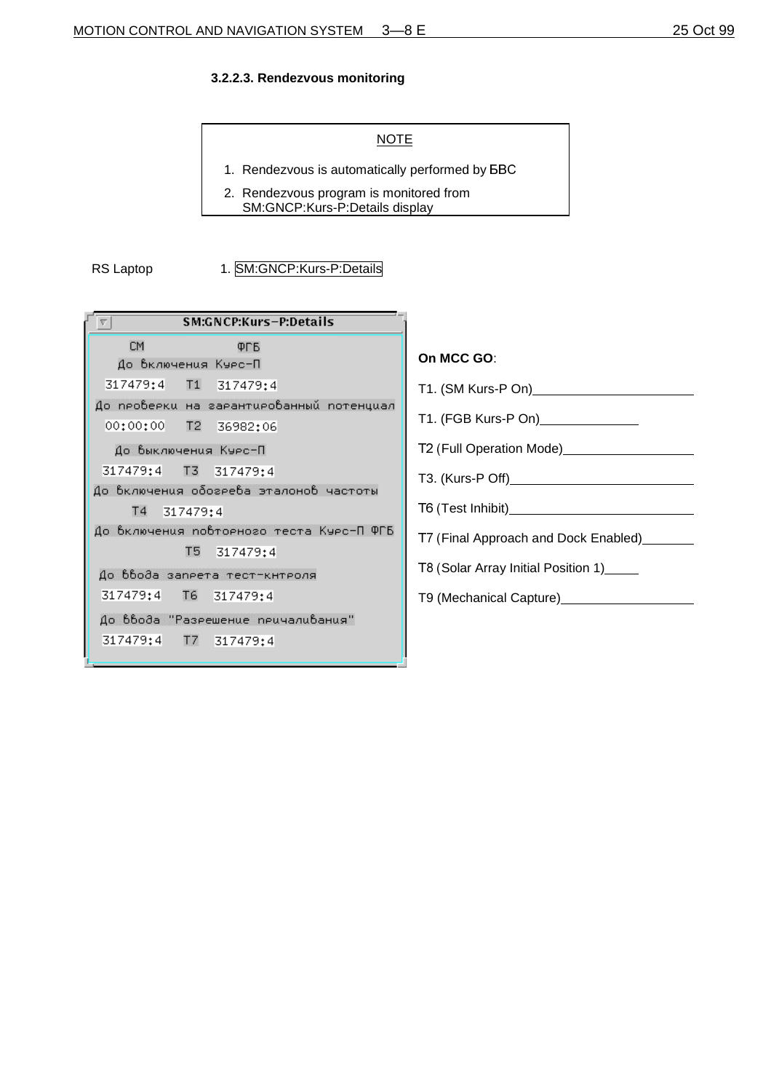## **3.2.2.3. Rendezvous monitoring**

## **NOTE**

- 1. Rendezvous is automatically performed by **BBC**
- 2. Rendezvous program is monitored from SM:GNCP:Kurs-P:Details display

## RS Laptop 1. SM:GNCP:Kurs-P:Details

| SM:GNCP:Kurs-P:Details<br>Ψ              |  |
|------------------------------------------|--|
| <b>CM</b><br>ФГБ                         |  |
| До включения Курс-П                      |  |
| 317479:4<br>T1 317479:4                  |  |
| До проверки на гарантированный потенциал |  |
| T2<br>00:00:00<br>36982:06               |  |
| До выключения Курс-П                     |  |
| 317479:4 T3 317479:4                     |  |
| До включения обогрева эталонов частоты   |  |
| T4<br>317479:4                           |  |
| До включения повторного теста Курс-П ФГБ |  |
| <b>T5</b><br>317479:4                    |  |
| До ввода запрета тест-кнтроля            |  |
| 317479:4<br><b>T6</b><br>317479:4        |  |
| До ввода "Разрешение причаливания"       |  |
| 317479:4<br>T7 317479:4                  |  |

## **On MCC GO**:

T1. (SM Kurs-P On)

T1. (FGB Kurs-P On)

T2 (Full Operation Mode) Manual Annual Annual Annual Annual Annual Annual Annual Annual Annual Annual Annual A

T3. (Kurs-P Off)

T6 (Test Inhibit)

T7 (Final Approach and Dock Enabled)

T8 (Solar Array Initial Position 1)\_\_\_\_\_

T9 (Mechanical Capture)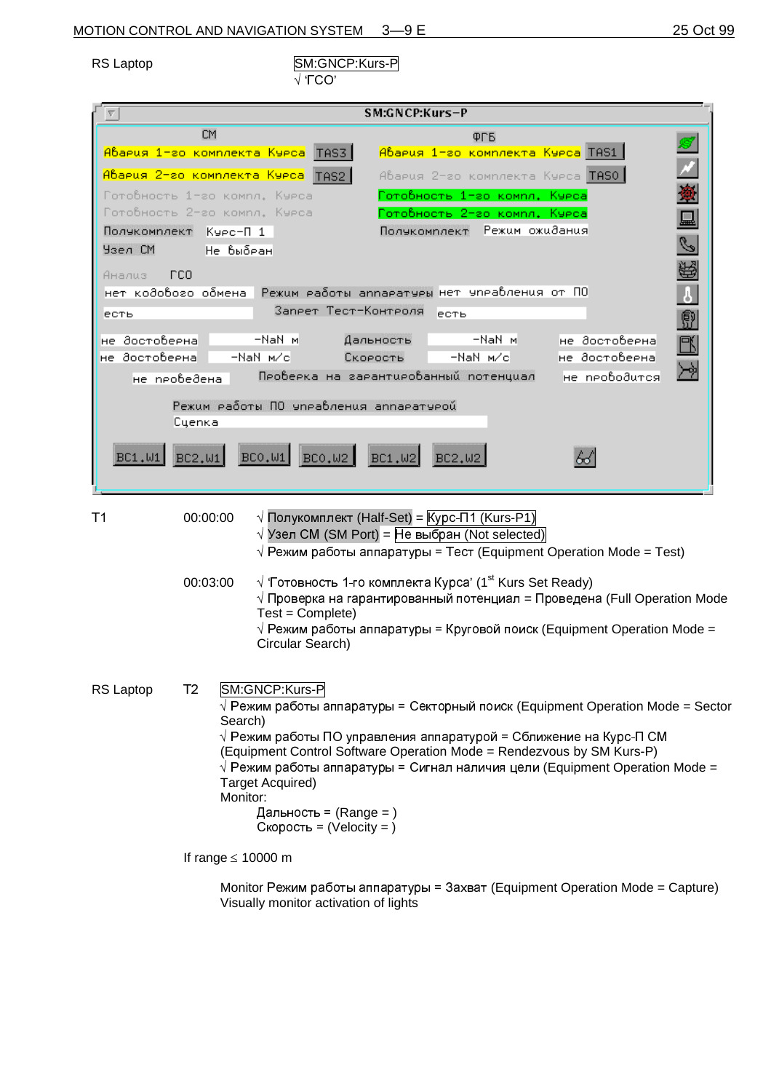RS Laptop SM:GNCP:Kurs-P  $\sqrt{TCO'}$ 

|                     |                                                 | SM:GNCP:Kurs-P                                                                                                                                     |
|---------------------|-------------------------------------------------|----------------------------------------------------------------------------------------------------------------------------------------------------|
|                     | <b>CM</b>                                       | ФГБ                                                                                                                                                |
|                     | Авария 1-го комплекта Курса<br>TAS3             | Авария 1-го комплекта Курса TAS1                                                                                                                   |
|                     | Авария 2-го комплекта Курса<br>TAS <sub>2</sub> | Авария 2-го комплекта Курса   TASO                                                                                                                 |
|                     | Готовность 1-го компл. Курса                    | 蜜目の隠<br>Готовность 1-го компл. Курса                                                                                                               |
|                     | Готовность 2-го компл. Курса                    | Готовность 2-го компл. Курса                                                                                                                       |
| Полукомплект        | Курс-П 1                                        | Режим ожидания<br>Полукомплект                                                                                                                     |
| Узел СМ             | Не выбран                                       |                                                                                                                                                    |
| Анализ              | <b>LCO</b>                                      |                                                                                                                                                    |
| нет кодового обмена | Запрет Тест-Контроля                            | 「「奥風<br>Режим работы аппаратуры нет упрабления от ПО                                                                                               |
| Іесть               |                                                 | есть                                                                                                                                               |
| не достоверна       | -NaN M                                          | -NaN M<br>Дальность<br>не достовеена                                                                                                               |
| не достоверна       | -NaN m/cl                                       | не достоверна<br>-NaN m/cl<br>Скорость                                                                                                             |
| не проведена        |                                                 | Проверка на гарантированный потенциал<br>не проводится                                                                                             |
|                     | Режим работы ПО управления аппаратурой          |                                                                                                                                                    |
|                     | Cyenka                                          |                                                                                                                                                    |
| BC1, W1             | BCO, W1<br>BCO.W2<br>BC2.W1                     | BC1.W2<br>BC2.W2                                                                                                                                   |
|                     |                                                 |                                                                                                                                                    |
|                     |                                                 |                                                                                                                                                    |
| T <sub>1</sub>      | 00:00:00                                        | $\sqrt{ }$ Полукомплект (Half-Set) = Kypc-П1 (Kurs-P1)                                                                                             |
|                     |                                                 | $\sqrt{V}$ зел СМ (SM Port) = Не выбран (Not selected)                                                                                             |
|                     |                                                 | $\sqrt{P}$ Режим работы аппаратуры = Тест (Equipment Operation Mode = Test)                                                                        |
|                     | 00:03:00                                        | $\sqrt{2}$ 'Готовность 1-го комплекта Курса' (1st Kurs Set Ready)                                                                                  |
|                     |                                                 | $\sqrt{ }$ Проверка на гарантированный потенциал = Проведена (Full Operation Mode                                                                  |
|                     | Test = Complete)                                |                                                                                                                                                    |
|                     | Circular Search)                                | $\sqrt{}$ Режим работы аппаратуры = Круговой поиск (Equipment Operation Mode =                                                                     |
|                     |                                                 |                                                                                                                                                    |
|                     | T <sub>2</sub>                                  |                                                                                                                                                    |
| RS Laptop           | SM:GNCP:Kurs-P                                  | $\sqrt{ }$ Режим работы аппаратуры = Секторный поиск (Equipment Operation Mode = Sector                                                            |
|                     | Search)                                         |                                                                                                                                                    |
|                     |                                                 | $\sqrt{}$ Режим работы ПО управления аппаратурой = Сближение на Курс-П СМ<br>(Equipment Control Software Operation Mode = Rendezvous by SM Kurs-P) |
|                     |                                                 | $\sqrt{P}$ Режим работы аппаратуры = Сигнал наличия цели (Equipment Operation Mode =                                                               |
|                     | <b>Target Acquired)</b>                         |                                                                                                                                                    |
|                     | Monitor:<br>Дальность = (Range = )              |                                                                                                                                                    |
|                     | Скорость = (Velocity = )                        |                                                                                                                                                    |
|                     |                                                 |                                                                                                                                                    |
|                     | If range $\leq 10000$ m                         |                                                                                                                                                    |

Monitor Режим работы аппаратуры = Захват (Equipment Operation Mode = Capture) Visually monitor activation of lights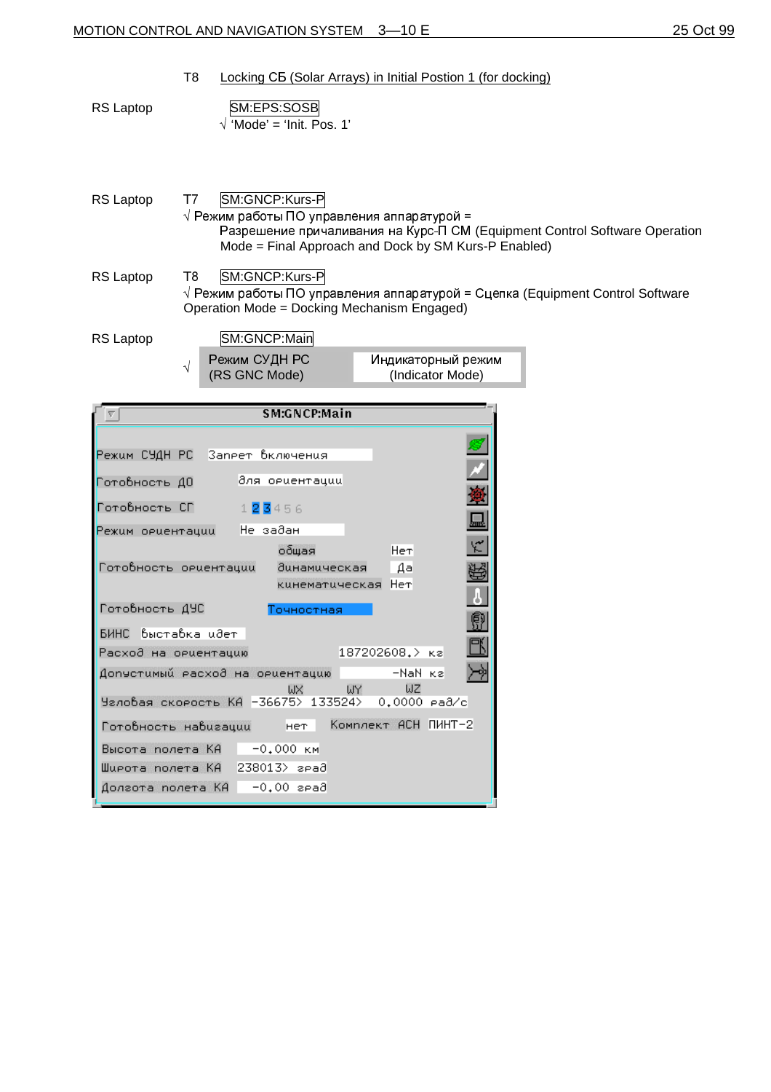| T8 |  |  |  | Locking CE (Solar Arrays) in Initial Postion 1 (for docking) |
|----|--|--|--|--------------------------------------------------------------|
|----|--|--|--|--------------------------------------------------------------|

RS Laptop **SM:EPS:SOSB**  $\sqrt{\text{'Mode'}} = \text{'Init. Pos. 1'}$ 

RS Laptop T7 SM:GNCP:Kurs-P  $\sqrt{P}$  Режим работы ПО управления аппаратурой = Разрешение причаливания на Курс-П СМ (Equipment Control Software Operation Mode = Final Approach and Dock by SM Kurs-P Enabled) RS Laptop T8 SM:GNCP:Kurs-P

 $\sqrt{P}$ ежим работы ПО управления аппаратурой = Сцепка (Equipment Control Software Operation Mode = Docking Mechanism Engaged)

(Indicator Mode)

RS Laptop **SM:GNCP:Main** 

 $\sqrt{\frac{P_{\text{XUM}}}{P_{\text{SUM}}}}$  Режим СУДН РС Индикаторный режим

(RS GNC Mode)

| <b>SM:GNCP:Main</b>                                                                                                         |
|-----------------------------------------------------------------------------------------------------------------------------|
| Режим СУДН PC - Запрет Включения                                                                                            |
| для орцентации<br>Готовность ДО                                                                                             |
| Готовность СГ<br>123456<br>Режим ориентации Не задан                                                                        |
| ٣<br>Hem<br>общая<br>Готовность ориентации<br>динамическая<br>∣ Aa<br>кинематическая Нет                                    |
| Готовность ДУС<br>Точностная<br>БИНС Выставка цает                                                                          |
| 187202608.> ка<br>Расход на орцентацию                                                                                      |
| Допустимый расход на ориентацию<br>-NaN kal<br>WZ<br><b>WX</b><br>LIY -<br>Чаловая скорость КА -36675> 133524> 0.0000 рад/с |
| Комплект АСН ПИНТ-2<br>Готовность навигации<br>нет I                                                                        |
| Высота полета КА -0.000 км<br>Шupota noлeta KA 238013> град<br>Долгота полета КА – 0.00 град                                |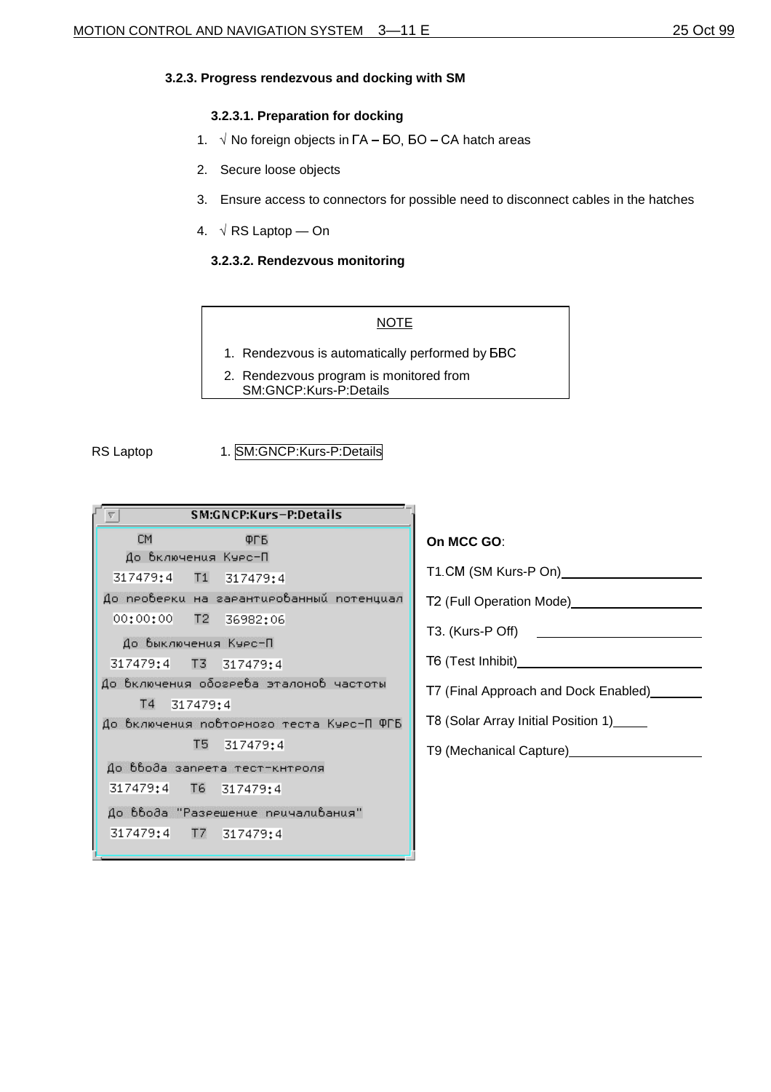#### **3.2.3. Progress rendezvous and docking with SM**

#### **3.2.3.1. Preparation for docking**

- 1.  $\sqrt{ }$  No foreign objects in  $\mathsf{FA}-\mathsf{EO}$ ,  $\mathsf{EO}-\mathsf{CA}$  hatch areas
- 2. Secure loose objects
- 3. Ensure access to connectors for possible need to disconnect cables in the hatches
- 4.  $\sqrt{RS}$  Laptop On

#### **3.2.3.2. Rendezvous monitoring**

## NOTE

- 1. Rendezvous is automatically performed by **BBC**
- 2. Rendezvous program is monitored from SM:GNCP:Kurs-P:Details

## RS Laptop 1. SM:GNCP:Kurs-P:Details

| SM:GNCP:Kurs-P:Details<br>Ψ              |
|------------------------------------------|
| <b>CM</b><br>ФГБ                         |
| До включения Курс-П                      |
| 317479:4 T1 317479:4                     |
| До проверки на гарантированный потенциал |
| 00:00:00 T2<br>36982:06                  |
| До выключения Курс-П                     |
| 317479:4 T3 317479:4                     |
| До включения обогрева эталонов частоты   |
| T <sub>4</sub><br>317479:4               |
| До включения повторного теста Курс-П ФГБ |
| Т5<br>317479:4                           |
| До ввода запрета тест-кнтроля            |
| 317479:4 T6 317479:4                     |
| До ввода "Разрешение причаливания"       |
| 317479:4 T7 317479:4                     |
|                                          |

## **On MCC GO**:

- Full Operation Mode)

T3. (Kurs-P Off)

T6 (Test Inhibit) Manual Manual Manual Manual Manual Manual Manual Manual Manual Manual Manual Manual Manual Ma

T7 (Final Approach and Dock Enabled) \_\_\_\_\_\_\_

T8 (Solar Array Initial Position 1)

T9 (Mechanical Capture)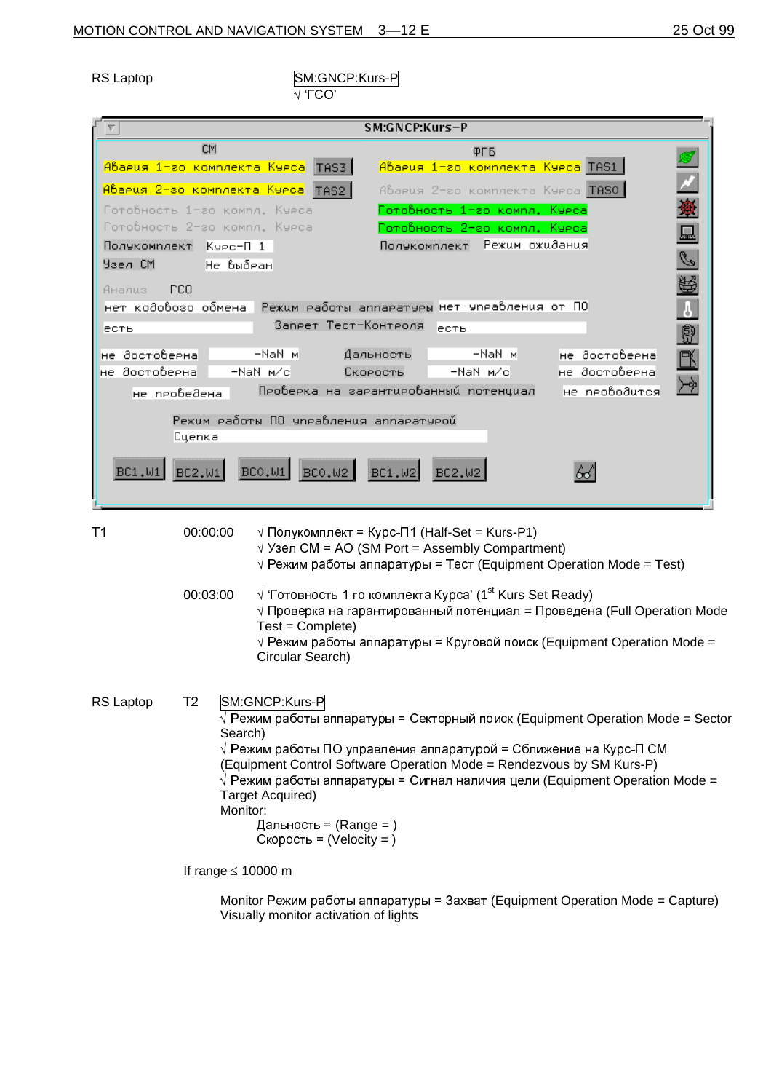RS Laptop SM:GNCP:Kurs-P  $\sqrt{TCO'}$ 

|                  | SM:GNCP:Kurs-P                                                                                                                                                                                                                                                                                                                                                                                                                                                                   |  |
|------------------|----------------------------------------------------------------------------------------------------------------------------------------------------------------------------------------------------------------------------------------------------------------------------------------------------------------------------------------------------------------------------------------------------------------------------------------------------------------------------------|--|
|                  | <b>CM</b><br>ФГБ                                                                                                                                                                                                                                                                                                                                                                                                                                                                 |  |
|                  | <mark>Авария 1-го комплекта Курса</mark>   TAS3  <br>Авария 1-го комплекта Курса TAS1                                                                                                                                                                                                                                                                                                                                                                                            |  |
|                  | <mark>Авария 2-го комплекта Курса</mark><br>Авария 2-го комплекта Курса TASO<br>TAS2<br>Готовность 1-го компл. Курса<br>Готовность 1-го компл. Курса                                                                                                                                                                                                                                                                                                                             |  |
|                  | Готовность 2-го компл. Курса<br>Готовность 2-го компл. Курса                                                                                                                                                                                                                                                                                                                                                                                                                     |  |
|                  | $\frac{1}{2}$<br>Режим ожидания<br>Полукомплект<br>Полукомплект Курс-П 1                                                                                                                                                                                                                                                                                                                                                                                                         |  |
| Ysen CM          | Не выбран                                                                                                                                                                                                                                                                                                                                                                                                                                                                        |  |
| Анализ           | LCO.                                                                                                                                                                                                                                                                                                                                                                                                                                                                             |  |
|                  | $\frac{1}{9}$<br>Режим работы аппаратуры нет упрабления от ПО<br>нет кодового обмена                                                                                                                                                                                                                                                                                                                                                                                             |  |
| есть             | Запрет Тест-Контроля<br>есть                                                                                                                                                                                                                                                                                                                                                                                                                                                     |  |
| не достоверна    | $\overline{\mathbb{B}}$<br>$-NaN - M$<br>-NaN M<br>не достоверна<br>Дальность                                                                                                                                                                                                                                                                                                                                                                                                    |  |
| не достоверна    | $-NaN$ $M/c$<br>-NaN M/c<br>не достоверна<br>Скорость<br>Проверка на гарантированный потенциал<br>не проводится                                                                                                                                                                                                                                                                                                                                                                  |  |
|                  | не проведена                                                                                                                                                                                                                                                                                                                                                                                                                                                                     |  |
|                  | Режим работы ПО управления аппаратурой                                                                                                                                                                                                                                                                                                                                                                                                                                           |  |
|                  | Cyenka                                                                                                                                                                                                                                                                                                                                                                                                                                                                           |  |
| BC1. W1          | BCO, W1<br>BCO.W2<br><b>BC2.W1</b><br>BC1, W2<br>BC2.W2                                                                                                                                                                                                                                                                                                                                                                                                                          |  |
|                  |                                                                                                                                                                                                                                                                                                                                                                                                                                                                                  |  |
| T1               | 00:00:00<br>$\sqrt{ }$ Полукомплект = Курс-П1 (Half-Set = Kurs-P1)<br>$\sqrt{}$ Y sen CM = AO (SM Port = Assembly Compartment)<br>$\sqrt{P}$ Режим работы аппаратуры = Тест (Equipment Operation Mode = Test)                                                                                                                                                                                                                                                                    |  |
|                  | $\sqrt{2}$ 'Готовность 1-го комплекта Курса' (1 <sup>st</sup> Kurs Set Ready)<br>00:03:00<br>$\sqrt{ }$ Проверка на гарантированный потенциал = Проведена (Full Operation Mode<br>$Test = Complete)$                                                                                                                                                                                                                                                                             |  |
|                  | $\sqrt{P}$ ежим работы аппаратуры = Круговой поиск (Equipment Operation Mode =<br>Circular Search)                                                                                                                                                                                                                                                                                                                                                                               |  |
| <b>RS Laptop</b> | SM:GNCP:Kurs-P<br>T <sub>2</sub><br>$\sqrt{}$ Режим работы аппаратуры = Секторный поиск (Equipment Operation Mode = Sector<br>Search)<br>$\sqrt{}$ Режим работы ПО управления аппаратурой = Сближение на Курс-П СМ<br>(Equipment Control Software Operation Mode = Rendezvous by SM Kurs-P)<br>$\sqrt{P}$ Режим работы аппаратуры = Сигнал наличия цели (Equipment Operation Mode =<br><b>Target Acquired)</b><br>Monitor:<br>Дальность = (Range = )<br>Скорость = (Velocity = ) |  |
|                  | If range $\leq 10000$ m                                                                                                                                                                                                                                                                                                                                                                                                                                                          |  |
|                  |                                                                                                                                                                                                                                                                                                                                                                                                                                                                                  |  |

Monitor Режим работы аппаратуры =  $3a$ хват (Equipment Operation Mode = Capture) Visually monitor activation of lights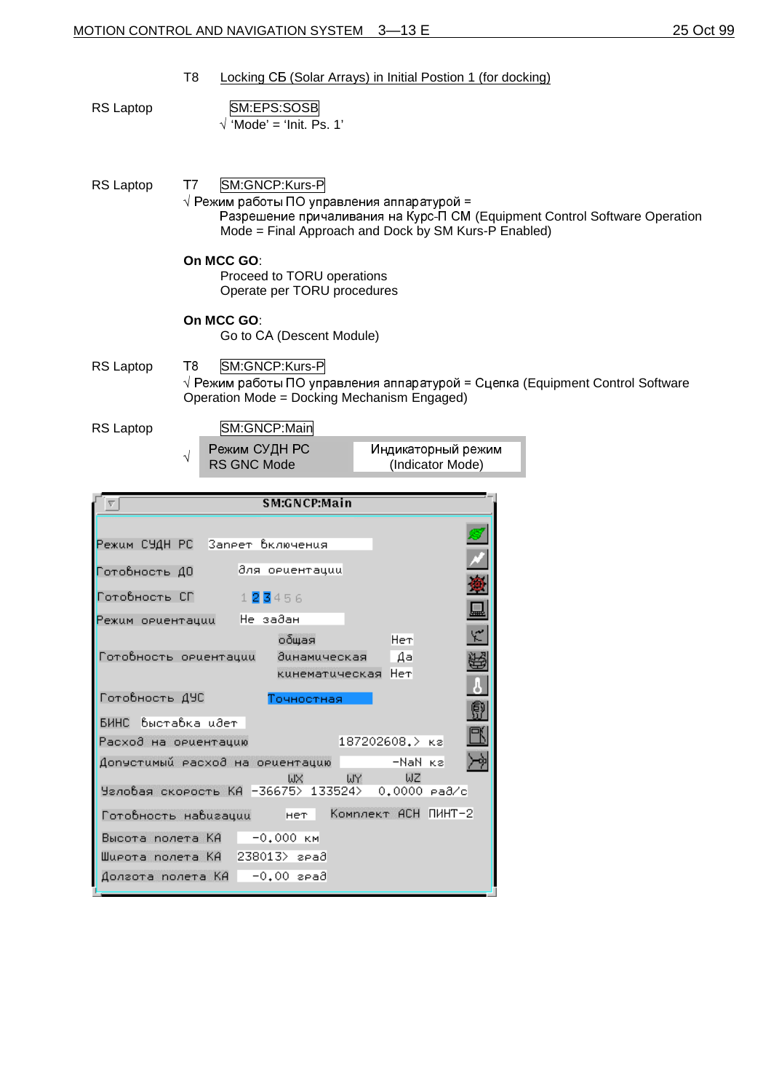|                  | T <sub>8</sub> |                                                                         | Locking CE (Solar Arrays) in Initial Postion 1 (for docking) |                                                                                       |
|------------------|----------------|-------------------------------------------------------------------------|--------------------------------------------------------------|---------------------------------------------------------------------------------------|
| <b>RS Laptop</b> |                | SM:EPS:SOSB<br>$\sqrt{ }$ 'Mode' = 'Init. Ps. 1'                        |                                                              |                                                                                       |
| <b>RS Laptop</b> | T7             | SM:GNCP:Kurs-P<br>$\sqrt{P}$ Режим работы ПО управления аппаратурой =   | Mode = Final Approach and Dock by SM Kurs-P Enabled)         | Разрешение причаливания на Курс-П СМ (Equipment Control Software Operation            |
|                  |                | On MCC GO:<br>Proceed to TORU operations<br>Operate per TORU procedures |                                                              |                                                                                       |
|                  |                | On MCC GO:<br>Go to CA (Descent Module)                                 |                                                              |                                                                                       |
| <b>RS Laptop</b> | T8             | SM:GNCP:Kurs-P<br>Operation Mode = Docking Mechanism Engaged)           |                                                              | $\sqrt{P}$ ежим работы ПО управления аппаратурой = Сцепка (Equipment Control Software |
| <b>RS</b> Laptop |                | SM:GNCP:Main                                                            |                                                              |                                                                                       |
|                  | $\sqrt{}$      | Режим СУДН РС<br><b>RS GNC Mode</b>                                     | Индикаторный режим<br>(Indicator Mode)                       |                                                                                       |
|                  |                | <b>SM:GNCP:Main</b>                                                     |                                                              |                                                                                       |
| Pexum.           |                | Запеет Включения                                                        |                                                              |                                                                                       |

| Режим СУДН PC - Запрет Включения                                            |  |
|-----------------------------------------------------------------------------|--|
| ∂ля ориентации<br>Готовность ДО                                             |  |
| Готовность СП<br>123456                                                     |  |
| Не задан<br>Режим ориентации —                                              |  |
| общая<br>Нет                                                                |  |
| Готовность ориентации<br>динамическая<br>Дa                                 |  |
| кинематическая Нет                                                          |  |
| Готовность ДУС<br>Точностная                                                |  |
| БИНС выставка идет                                                          |  |
| 187202608.> кг<br>Расход на орцентацию                                      |  |
| Допустимый расход на ориентацию<br>-NaN κε                                  |  |
| WZ<br>WY -<br>$M\times$<br>Чаловая скорость КА -36675> 133524> 0.0000 рад/с |  |
|                                                                             |  |
| Комплект АСН ПИНТ-2<br>Готовность навигации<br>нет                          |  |
| Высота полета КА - 0.000 км                                                 |  |
| Шupoтa noлeтa KA  238013> град                                              |  |
| Долгота полета КА   -0.00 град                                              |  |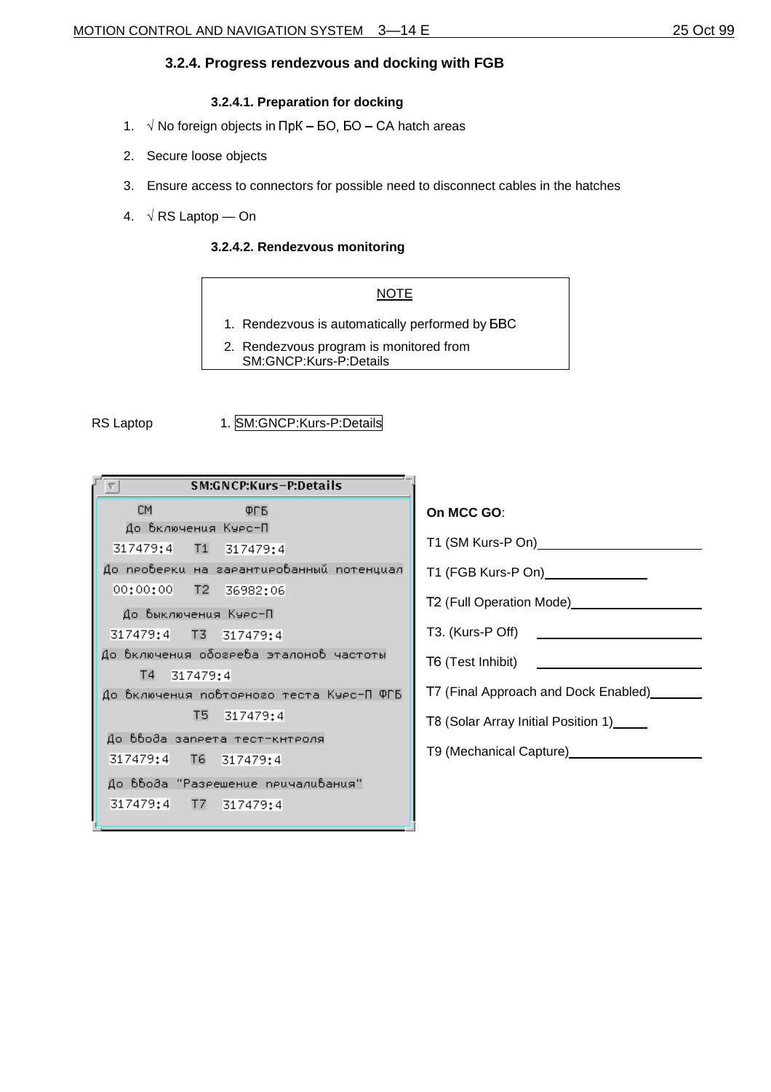## **3.2.4. Progress rendezvous and docking with FGB**

## **3.2.4.1. Preparation for docking**

- 1.  $\sqrt{ }$  No foreign objects in  $\Pi$ pK BO, BO CA hatch areas
- 2. Secure loose objects
- 3. Ensure access to connectors for possible need to disconnect cables in the hatches
- 4.  $\sqrt{RS}$  Laptop On

## **3.2.4.2. Rendezvous monitoring**

NOTE

- 1. Rendezvous is automatically performed by **EBC**
- 2. Rendezvous program is monitored from SM:GNCP:Kurs-P:Details

## RS Laptop 1. SM:GNCP:Kurs-P:Details

| SM:GNCP:Kurs-P:Details                   |                                            |
|------------------------------------------|--------------------------------------------|
| CM<br>ФГБ                                | On MCC GO:                                 |
| До включения Курс-П                      |                                            |
| 317479:4 T1 317479:4                     | T1 (SM Kurs-P On) T1                       |
| До проверки на гарантированный потенциал | T1 (FGB Kurs-P On) T1 (FGB Kurs-P On)      |
| 00:00:00 T2 36982:06                     | T2 (Full Operation Mode) [2001]            |
| До Выключения Курс-П                     |                                            |
| 317479:4 T3 317479:4                     | T3. (Kurs-P Off) <u>_________________</u>  |
| До включения обогрева эталонов частоты   | T6 (Test Inhibit) <u>_______________</u>   |
| T4 317479:4                              |                                            |
| До включения повторного теста Курс-П ФГБ | T7 (Final Approach and Dock Enabled)       |
| T5 317479:4                              | T8 (Solar Array Initial Position 1) [169]  |
| До ввода запрета тест-кнтроля            |                                            |
| 317479:4 T6 317479:4                     | T9 (Mechanical Capture) Management Control |
| До ввода "Разрешение причаливания"       |                                            |
| 317479:4 17 317479:4                     |                                            |
|                                          |                                            |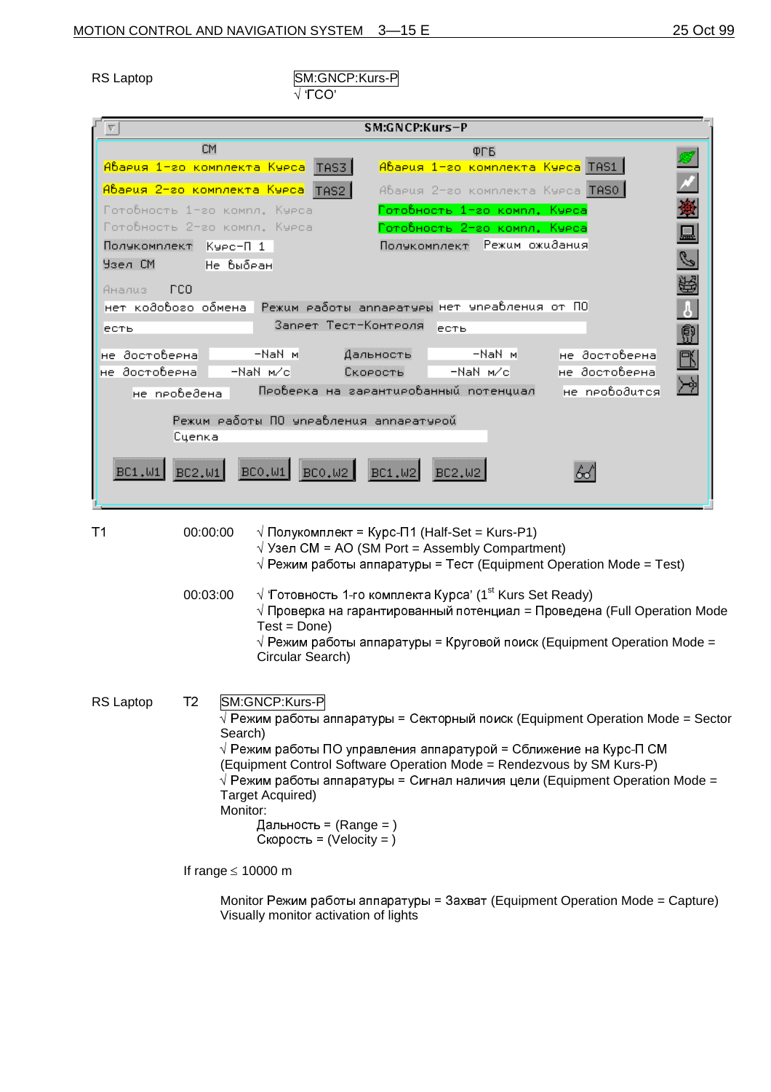RS Laptop SM:GNCP:Kurs-P  $\sqrt{TCO'}$ 

|                       |                |                                                    | SM:GNCP:Kurs-P                                                                         |               |
|-----------------------|----------------|----------------------------------------------------|----------------------------------------------------------------------------------------|---------------|
|                       | <b>CM</b>      |                                                    | ФГБ                                                                                    |               |
|                       |                | <mark>Авария 1-го комплекта Курса</mark>   TAS3    | Авария 1-го комплекта Курса TAS1                                                       |               |
|                       |                | Авария 2-го комплекта Курса<br>TAS2                | Авария 2-го комплекта Курса TASO                                                       |               |
|                       |                | Готовность 1-го компл. Курса                       | Готовность 1-го компл. Курса                                                           |               |
| Полукомплект Курс-П 1 |                | Готовность 2-го компл. Курса                       | Готовность 2-го компл. Курса<br>Режим ожидания<br>Полукомплект                         |               |
| Ysen CM               |                | Не выбран                                          |                                                                                        | $\frac{1}{2}$ |
| Анализ                | LCO.           |                                                    |                                                                                        |               |
| нет кодового обмена   |                |                                                    | Режим работы аппаратуры нет упрабления от ПО                                           |               |
| есть                  |                | Запрет Тест-Контроля                               | есть                                                                                   | 人象区           |
| не достоверна         |                | $-NaN - M$                                         | -NaN M<br>не достоверна<br>Дальность                                                   |               |
| не достоверна         |                | $-NaN$ $M/c$                                       | -NaN M/c<br>не достоверна<br>Скорость                                                  |               |
|                       | не проведена   |                                                    | Проверка на гарантированный потенциал<br>не проводится                                 |               |
|                       |                | Режим работы ПО управления аппаратурой             |                                                                                        |               |
|                       | Cyenka         |                                                    |                                                                                        |               |
|                       |                |                                                    |                                                                                        |               |
| BC1. W1               | <b>BC2.W1</b>  | BCO, W1<br>BCO.W2                                  | BC1, W2<br>BC2.W2                                                                      |               |
|                       |                |                                                    |                                                                                        |               |
| T1                    | 00:00:00       |                                                    | $\sqrt{ }$ Полукомплект = Курс-П1 (Half-Set = Kurs-P1)                                 |               |
|                       |                |                                                    | $\sqrt{}$ Y sen CM = AO (SM Port = Assembly Compartment)                               |               |
|                       |                |                                                    | $\sqrt{P}$ Режим работы аппаратуры = Тест (Equipment Operation Mode = Test)            |               |
|                       | 00:03:00       |                                                    | $\sqrt{2}$ 'Готовность 1-го комплекта Курса' (1 <sup>st</sup> Kurs Set Ready)          |               |
|                       |                |                                                    | $\sqrt{ }$ Проверка на гарантированный потенциал = Проведена (Full Operation Mode      |               |
|                       |                | $Test = Done$                                      | $\sqrt{P}$ ежим работы аппаратуры = Круговой поиск (Equipment Operation Mode =         |               |
|                       |                | Circular Search)                                   |                                                                                        |               |
|                       |                |                                                    |                                                                                        |               |
| <b>RS Laptop</b>      | T <sub>2</sub> | SM:GNCP:Kurs-P                                     |                                                                                        |               |
|                       |                | Search)                                            | $\sqrt{}$ Режим работы аппаратуры = Секторный поиск (Equipment Operation Mode = Sector |               |
|                       |                |                                                    | $\sqrt{2}$ Режим работы ПО управления аппаратурой = Сближение на Курс-П СМ             |               |
|                       |                |                                                    | (Equipment Control Software Operation Mode = Rendezvous by SM Kurs-P)                  |               |
|                       |                | Target Acquired)                                   | $\sqrt{}$ Режим работы аппаратуры = Сигнал наличия цели (Equipment Operation Mode =    |               |
|                       |                | Monitor:                                           |                                                                                        |               |
|                       |                | Дальность = (Range = )<br>Скорость = (Velocity = ) |                                                                                        |               |
|                       |                |                                                    |                                                                                        |               |
|                       |                | If range $\leq 10000$ m                            |                                                                                        |               |
|                       |                |                                                    |                                                                                        |               |

Monitor Режим работы аппаратуры = Захват (Equipment Operation Mode = Capture) Visually monitor activation of lights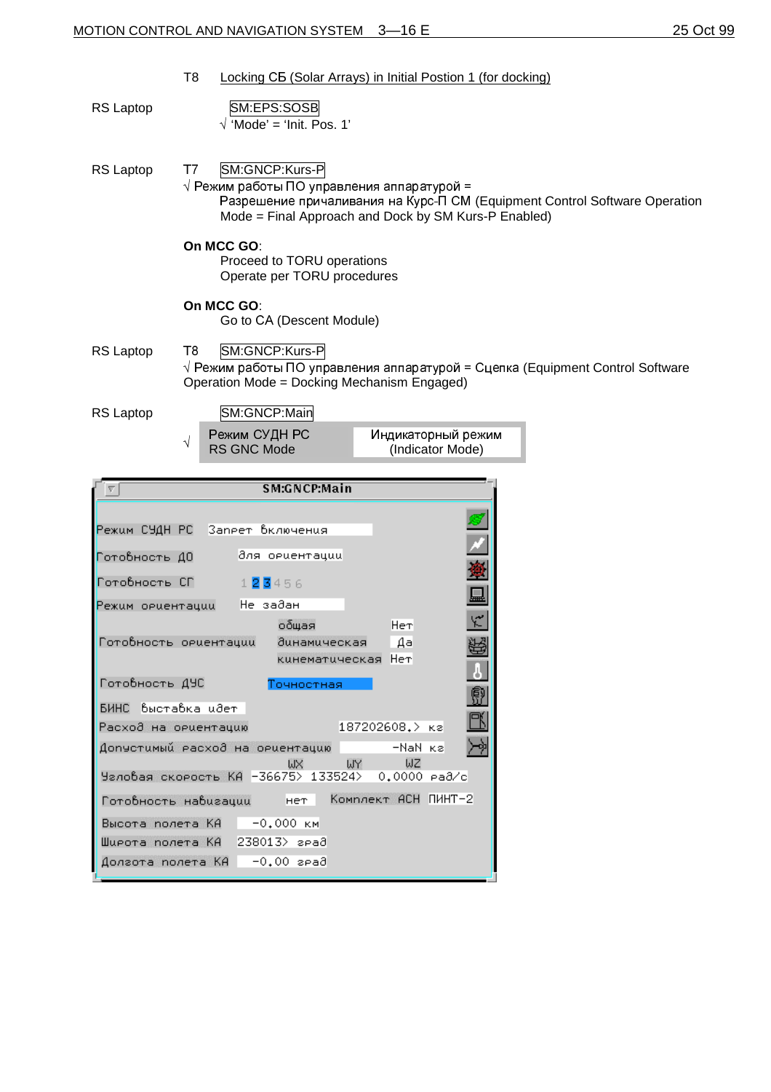| 25 Oct 99 |
|-----------|
|-----------|

|           |                                                   | <b>SM:GNCP:Main</b>                                                                                         |                                                                                       |
|-----------|---------------------------------------------------|-------------------------------------------------------------------------------------------------------------|---------------------------------------------------------------------------------------|
|           |                                                   |                                                                                                             |                                                                                       |
|           | Режим СУДН РС<br>√<br><b>RS GNC Mode</b>          | Индикаторный режим<br>(Indicator Mode)                                                                      |                                                                                       |
| RS Laptop | SM:GNCP:Main                                      |                                                                                                             |                                                                                       |
| RS Laptop | SM:GNCP:Kurs-P<br>T8                              | Operation Mode = Docking Mechanism Engaged)                                                                 | $\sqrt{}$ Режим работы ПО управления аппаратурой = Сцепка (Equipment Control Software |
|           | On MCC GO:                                        | Go to CA (Descent Module)                                                                                   |                                                                                       |
|           | On MCC GO:                                        | Proceed to TORU operations<br>Operate per TORU procedures                                                   |                                                                                       |
| RS Laptop | SM:GNCP:Kurs-P<br>T7                              | $\sqrt{ }$ Режим работы ПО управления аппаратурой =<br>Mode = Final Approach and Dock by SM Kurs-P Enabled) | Разрешение причаливания на Курс-П СМ (Equipment Control Software Operation            |
| RS Laptop | SM:EPS:SOSB<br>$\sqrt{ }$ 'Mode' = 'Init. Pos. 1' |                                                                                                             |                                                                                       |
|           | T8                                                | Locking CE (Solar Arrays) in Initial Postion 1 (for docking)                                                |                                                                                       |

| Режим СУДН РС Запрет Включения                                                       |  |
|--------------------------------------------------------------------------------------|--|
| ∣∂ля ориентации<br>Готовность ДО                                                     |  |
| Готовность СГ<br>123456                                                              |  |
| È<br>Режим ориентации – Не задан<br>٣<br>He <sub>T</sub>                             |  |
| оδщая<br>Готовность ориентации<br>динамическая<br>Дa                                 |  |
| кинематическая Нет                                                                   |  |
| Готовность ДУС<br>Точностная<br>ē,                                                   |  |
| БИНС выставка идет                                                                   |  |
| 187202608.> кa<br>Расход на орцентацию<br>Допустимый расход на ориентацию<br>-NaN ka |  |
| W <sub>Z</sub><br><b>ALLEY</b><br>ldX                                                |  |
| Человая скорость КА -36675> 133524><br>0.0000 pa8/c                                  |  |
| Комплект АСН ПИНТ-2<br>Готовность навигации и нет                                    |  |
| Высота полета КА -0.000 км                                                           |  |
| Широта полета КА 238013> град<br>Долгота полета КА   -0.00 град                      |  |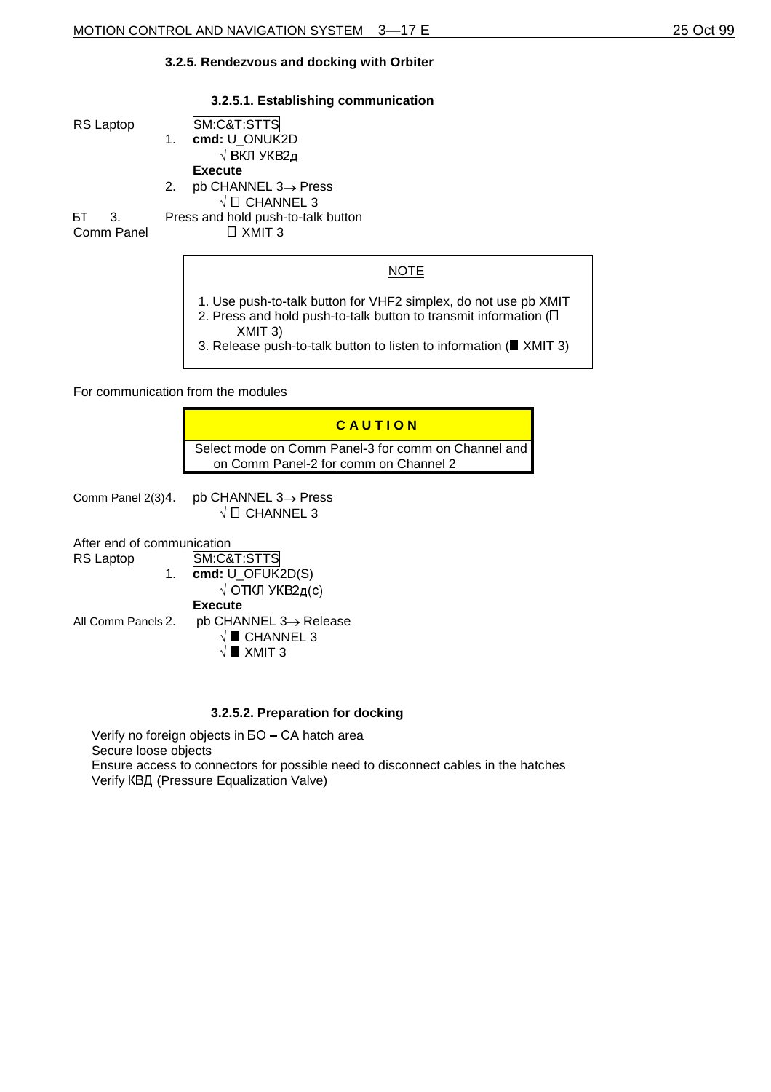#### **3.2.5. Rendezvous and docking with Orbiter**

| 3.2.5.1. Establishing communication      |
|------------------------------------------|
| SM:C&T:STTS                              |
| cmd: U_ONUK2D                            |
| √ ВКЛ УКВ2д                              |
| <b>Execute</b>                           |
| $pb$ CHANNEL $3 \rightarrow$ Press<br>2. |
| $\sqrt{\Box}$ CHANNEL 3                  |
| Press and hold push-to-talk button       |
| $\Box$ XMIT 3                            |
|                                          |

## **NOTE**

- 1. Use push-to-talk button for VHF2 simplex, do not use pb XMIT
- 2. Press and hold push-to-talk button to transmit information ( $\square$ XMIT 3)
- 3. Release push-to-talk button to listen to information ( $\blacksquare$  XMIT 3)

For communication from the modules



RS Laptop **SM:C&T:STTS** 1. **cmd:** U\_OFUK2D(S)  $\sqrt{\text{ OTKJ}}$  УКВ2д(с) **Execute** All Comm Panels 2. pb CHANNEL  $3 \rightarrow$  Release  $\sqrt{\blacksquare}$  CHANNEL 3

 $\sqrt{ }$  XMIT 3

#### **3.2.5.2. Preparation for docking**

Verify no foreign objects in **50** - CA hatch area Secure loose objects Ensure access to connectors for possible need to disconnect cables in the hatches Verify KBД (Pressure Equalization Valve)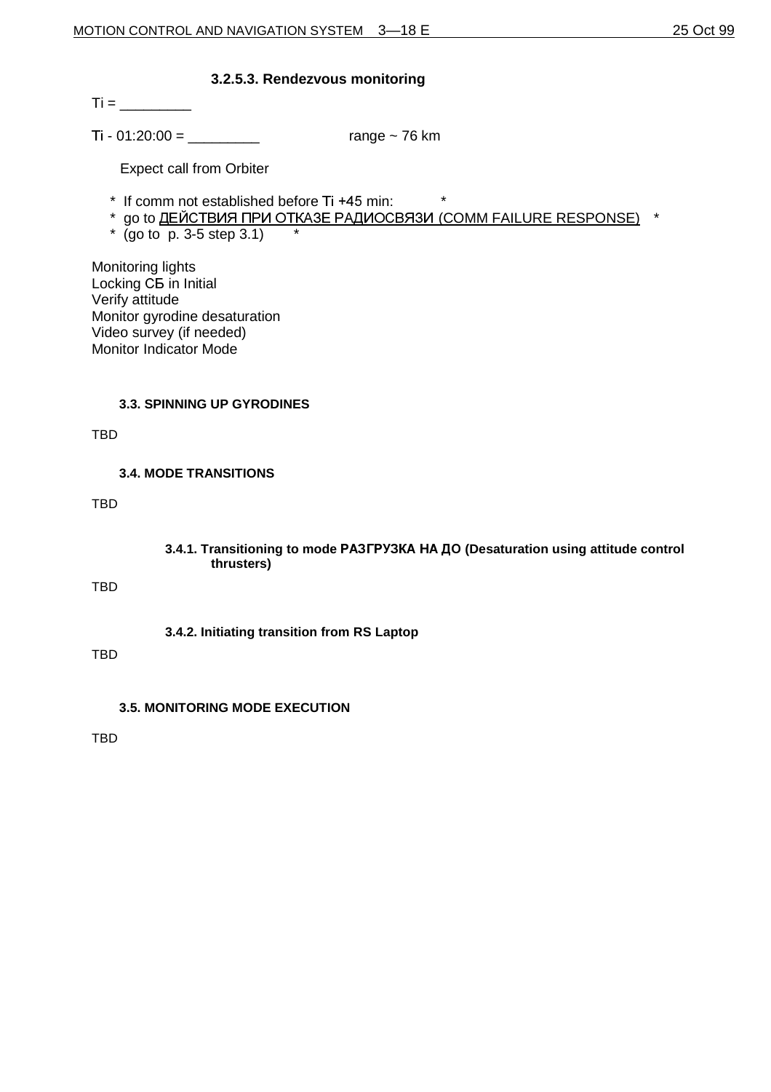## **3.2.5.3. Rendezvous monitoring**

Ti = \_\_\_\_\_\_\_\_\_

 $Ti - 01:20:00 =$  range ~ 76 km

Expect call from Orbiter

- $*$  If comm not established before Ti +45 min:
- \* go to **ДЕЙСТВИЯ ПРИ OTKA3E РАДИОСВЯЗИ (COMM FAILURE RESPONSE)** \*
- $*$  (go to p. 3-5 step 3.1)

Monitoring lights Locking C<sub>b</sub> in Initial Verify attitude Monitor gyrodine desaturation Video survey (if needed) Monitor Indicator Mode

## **3.3. SPINNING UP GYRODINES**

TBD

**3.4. MODE TRANSITIONS**

TBD

3.4.1. Transitioning to mode РАЗГРУЗКА НА ДО (Desaturation using attitude control **thrusters)**

TBD

**3.4.2. Initiating transition from RS Laptop**

TBD

**3.5. MONITORING MODE EXECUTION**

TBD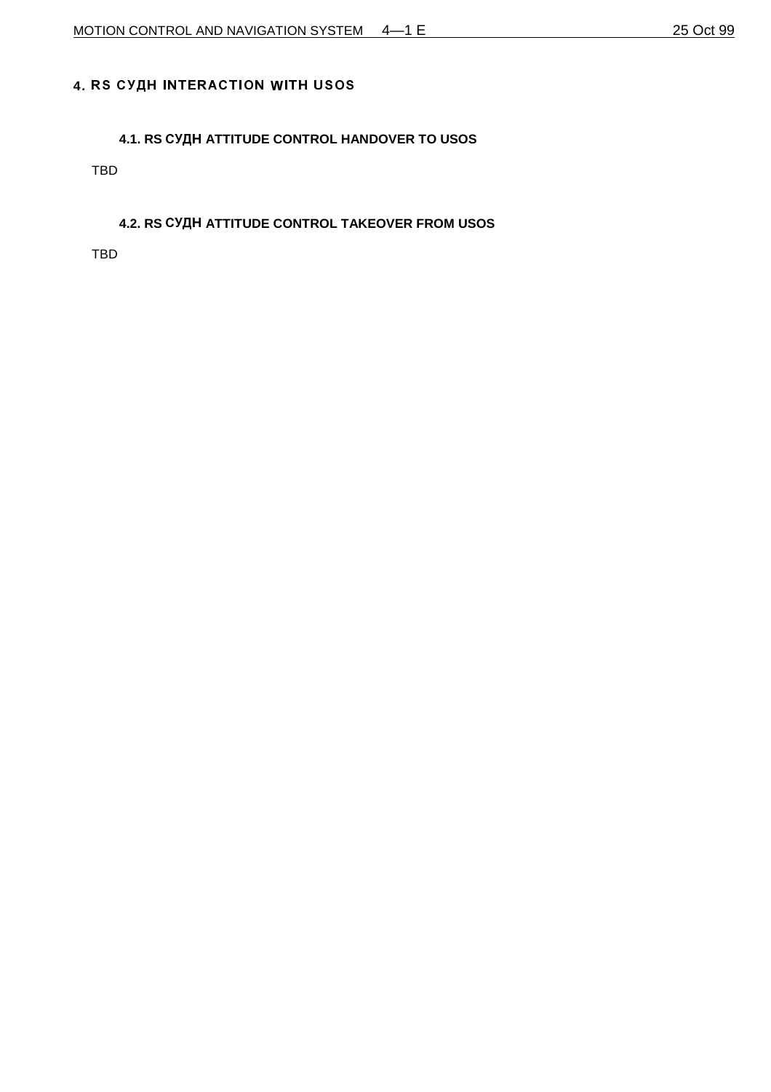## 4. RS СУДН INTERACTION WITH USOS

#### 4.1. RS СУДН ATTITUDE CONTROL HANDOVER TO USOS

TBD

## 4.2. RS СУДН ATTITUDE CONTROL TAKEOVER FROM USOS

TBD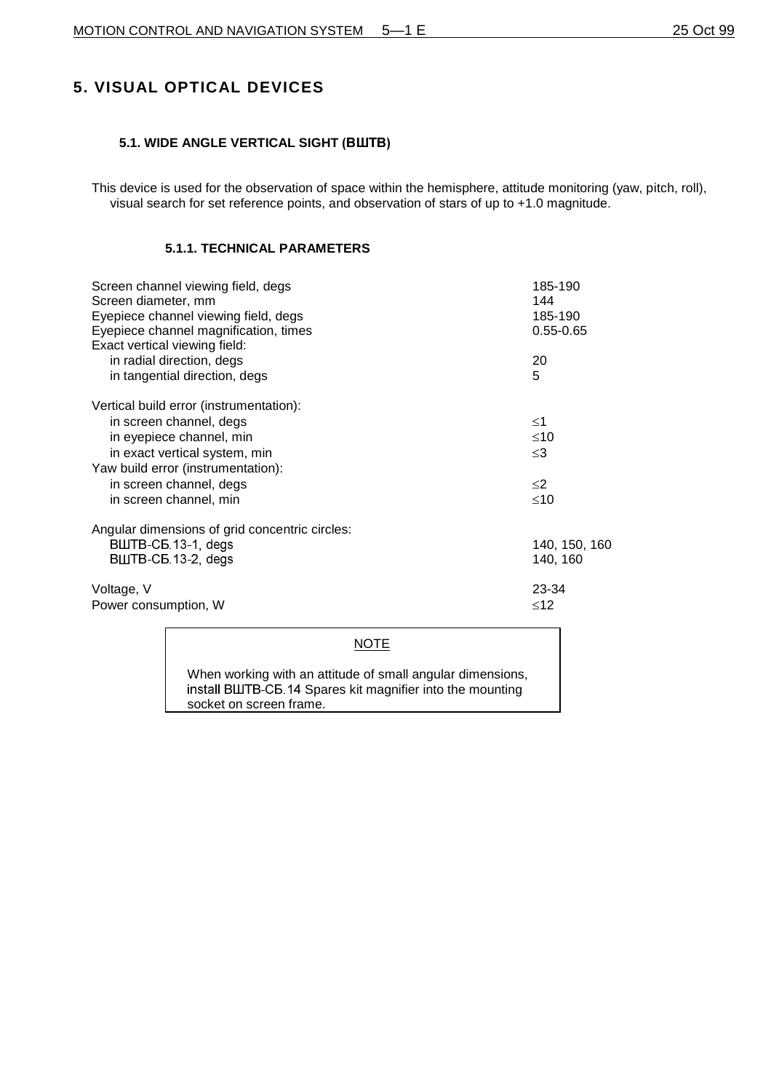## **5. VISUAL OPTICAL DEVICES**

## **5.1. WIDE ANGLE VERTICAL SIGHT (BWTB)**

This device is used for the observation of space within the hemisphere, attitude monitoring (yaw, pitch, roll), visual search for set reference points, and observation of stars of up to +1.0 magnitude.

## **5.1.1. TECHNICAL PARAMETERS**

| Screen channel viewing field, degs<br>Screen diameter, mm<br>Eyepiece channel viewing field, degs<br>Eyepiece channel magnification, times<br>Exact vertical viewing field: | 185-190<br>144<br>185-190<br>$0.55 - 0.65$ |
|-----------------------------------------------------------------------------------------------------------------------------------------------------------------------------|--------------------------------------------|
| in radial direction, degs<br>in tangential direction, degs                                                                                                                  | 20<br>5                                    |
| Vertical build error (instrumentation):                                                                                                                                     |                                            |
| in screen channel, degs                                                                                                                                                     | $\leq$ 1                                   |
| in eyepiece channel, min                                                                                                                                                    | ≤10                                        |
| in exact vertical system, min                                                                                                                                               | $\leq$ 3                                   |
| Yaw build error (instrumentation):                                                                                                                                          |                                            |
| in screen channel, degs                                                                                                                                                     | $\leq$ 2                                   |
| in screen channel, min                                                                                                                                                      | ≤10                                        |
| Angular dimensions of grid concentric circles:                                                                                                                              |                                            |
| <b>BШТВ-CБ 13-1, degs</b>                                                                                                                                                   | 140, 150, 160                              |
| BШТВ-CБ 13-2, degs                                                                                                                                                          | 140, 160                                   |
| Voltage, V                                                                                                                                                                  | 23-34                                      |
| Power consumption, W                                                                                                                                                        | $≤12$                                      |
|                                                                                                                                                                             |                                            |

#### **NOTE**

When working with an attitude of small angular dimensions, install BШТВ-CБ. 14 Spares kit magnifier into the mounting socket on screen frame.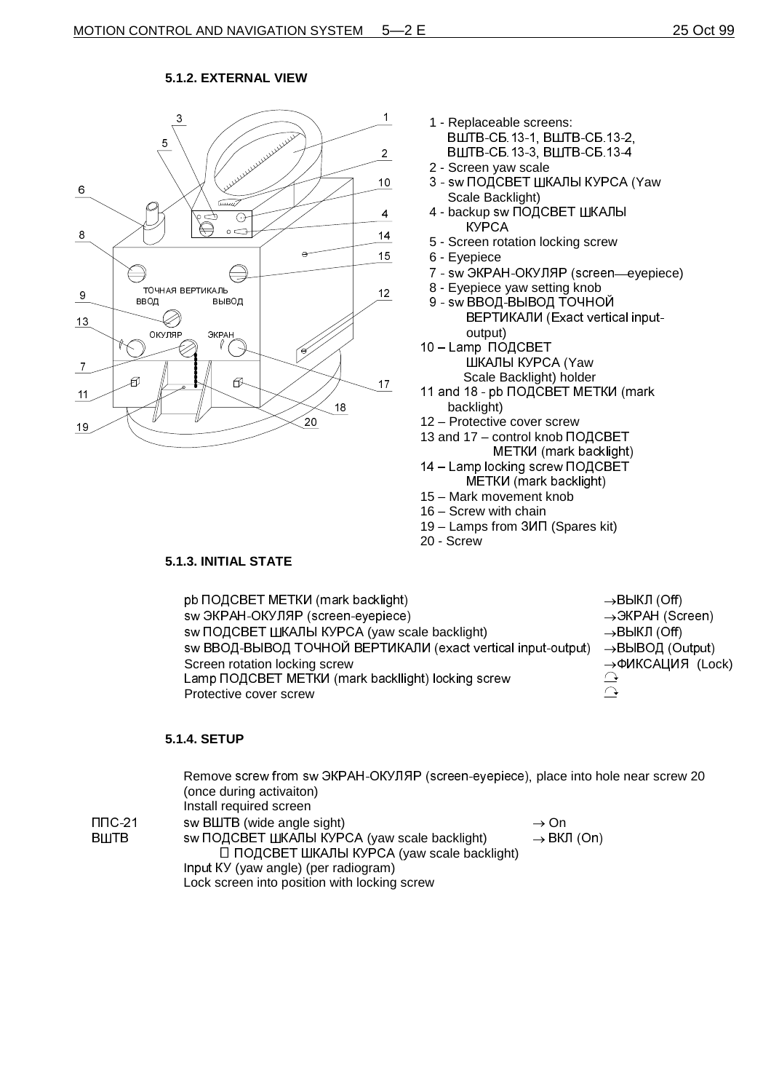#### **5.1.2. EXTERNAL VIEW**



- 1 Replaceable screens: ВШТВ-СБ 13-1. ВШТВ-СБ 13-2. ВШТВ-СБ 13-3. ВШТВ-СБ 13-4
- 2 Screen yaw scale
- 3 sw ПОДСВЕТ ШКАЛЫ КУРСА (Yaw Scale Backlight)
- 4 backup sw ПОДСВЕТ ШКАЛЫ KYPCA
- 5 Screen rotation locking screw
- 6 Eyepiece
- 7 sw ЭКРАН-ОКУЛЯР (screen—eyepiece)
- 8 Eyepiece yaw setting knob
- 9 sw ВВОД-ВЫВОД ТОЧНОЙ **ВЕРТИКАЛИ (Exact vertical input**output)
- 10 Lamp ПОДСВЕТ ШКАЛЫ КУРСА (Yaw Scale Backlight) holder
- 11 and 18 pb  $\overline{A}$  DO DC BET METK M (mark backlight)
- 12 Protective cover screw
- 13 and 17 control knob ПОДСВЕТ METKI (mark backlight)
- 14 Lamp locking screw ПОДСВЕТ METKU (mark backlight)
- 15 Mark movement knob
- 16 Screw with chain
- $19 -$  Lamps from  $3$ *M* $\Pi$  (Spares kit)
- 20 Screw

## **5.1.3. INITIAL STATE**

pb ПОДСВЕТ METKИ (mark backlight)  $\rightarrow$ BЫКЛ (Off)  $\mathsf{sw}\,\mathsf{d}\mathsf{K}\mathsf{P}\mathsf{A}\mathsf{H}\mathsf{-}\mathsf{O}\mathsf{K}\mathsf{Y}\mathsf{J}\mathsf{A}\mathsf{P}$  (screen-evepiece)  $\rightarrow$  $\rightarrow$  3KPAH (Screen) sw ПОДСВЕТ ШКАЛЫ КУРСА (yaw scale backlight)  $\rightarrow$  $\rightarrow$ BЫКЛ (Off) sw ВВОД-ВЫВОД ТОЧНОЙ ВЕРТИКАЛИ (exact vertical input-output)  $\rightarrow$ BbIBO $\Box$  (Output)  $\rightarrow$ ФИКСАЦИЯ (Lock) Screen rotation locking screw<br>Lamp DOJCBET METKK (mark backllight) locking screw  $\bigcap$ Lamp ПОДСВЕТ МЕТКИ (mark backllight) locking screw  $\overline{\bigcap}$ Protective cover screw

#### **5.1.4. SETUP**

Remove screw from sw ЭКРАН-ОКУЛЯР (screen-eyepiece), place into hole near screw 20 (once during activaiton) Install required screen TINC-21 sw BULTB (wide angle sight)  $\rightarrow$  On  $B\Box$ TB sw  $\Box$ O $A$ CBET  $\Box$ KAJIbI KYPCA (yaw scale backlight)  $\rightarrow$  $\rightarrow$  BKJ (On)  $\square$  ПОДСВЕТ ШКАЛЫ КУРСА (yaw scale backlight) Input KY (yaw angle) (per radiogram) Lock screen into position with locking screw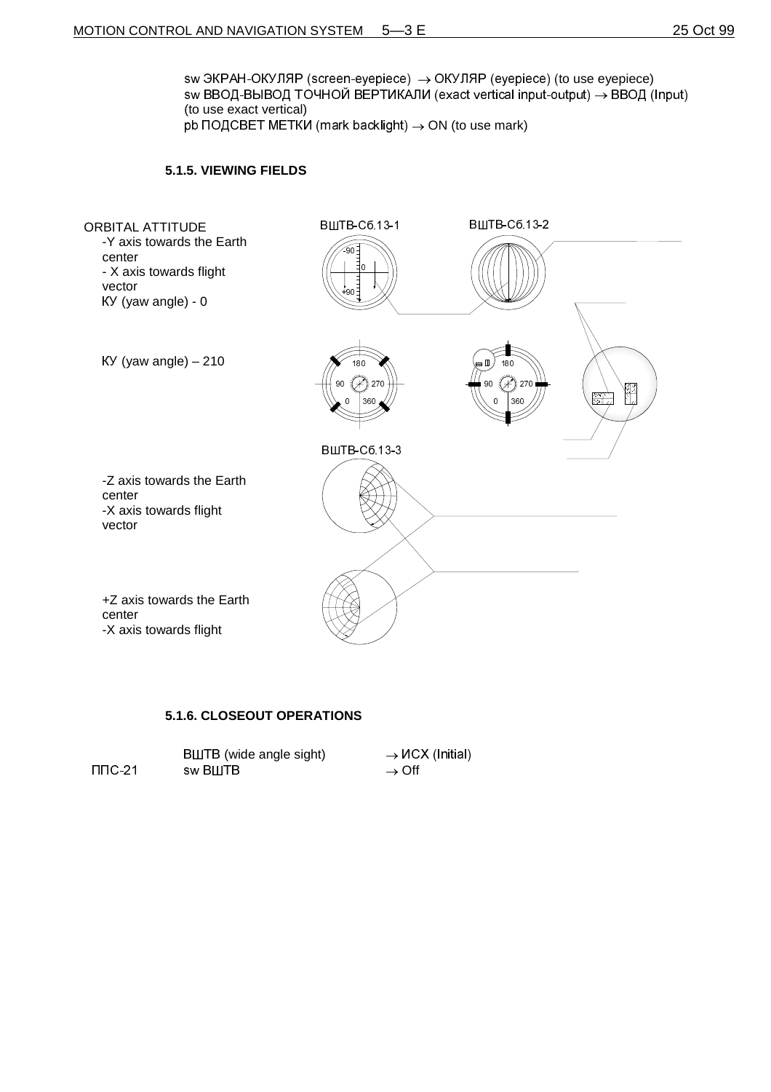$\mathsf{sw}\,$ ЭКРАН-ОКУЛЯР (screen-eyepiece)  $\;\rightarrow$  ОКУЛЯР (eyepiece) (to use eyepiece)  $\mathsf{sw}\,\mathsf{BBOI}\text{-}\mathsf{BbIBOA}\,\mathsf{TOHHO\check{M}}\,\mathsf{BEPTHKAIN}$  (exact vertical input-output)  $\rightarrow\mathsf{BBOI}\,$  (Input) (to use exact vertical)  $p$ b ПОДСВЕТ МЕТКИ (mark backlight)  $\rightarrow$  ON (to use mark)

#### **5.1.5. VIEWING FIELDS**



#### **5.1.6. CLOSEOUT OPERATIONS**

|             | <b>ВШТВ</b> (wide angle sight) | $\rightarrow$ MCX (Initial) |
|-------------|--------------------------------|-----------------------------|
| $\Pi$ DC-21 | sw BLITB                       | $\rightarrow$ Off           |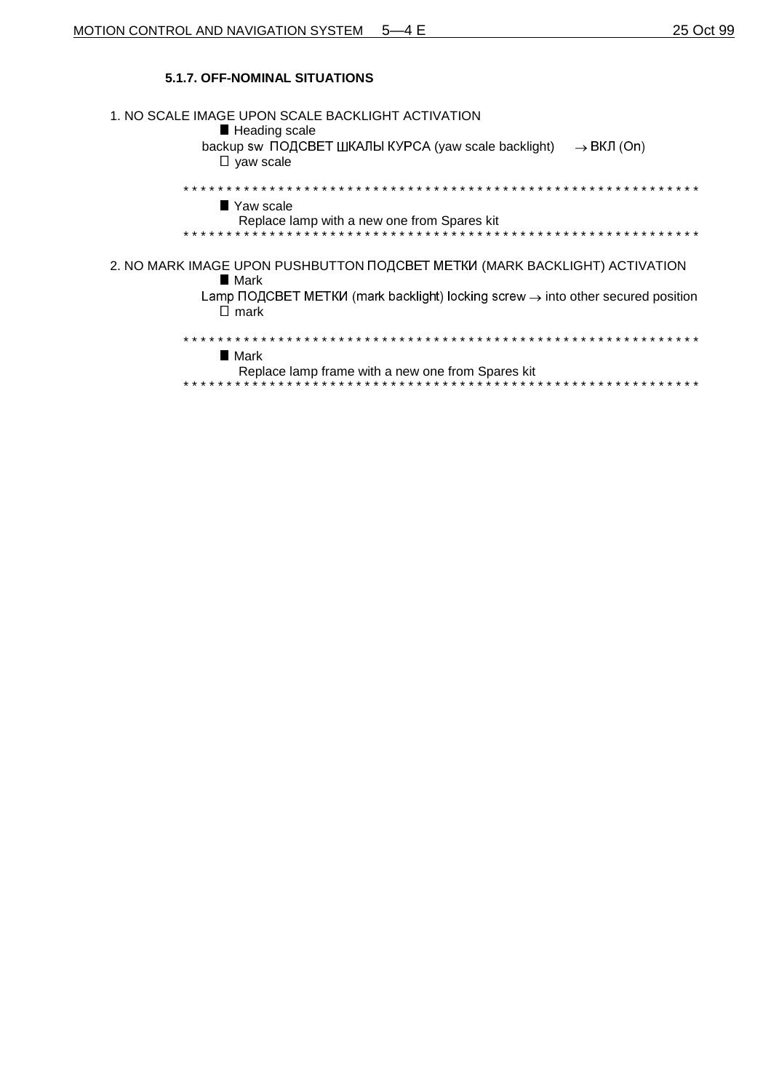## **5.1.7. OFF-NOMINAL SITUATIONS**

| 1. NO SCALE IMAGE UPON SCALE BACKLIGHT ACTIVATION<br>Heading scale                                                |
|-------------------------------------------------------------------------------------------------------------------|
| backup sw ПОДСВЕТ ШКАЛЫ КУРСА (yaw scale backlight)<br>$\rightarrow$ BKJI (On)<br>$\Box$ yaw scale                |
|                                                                                                                   |
| Yaw scale                                                                                                         |
| Replace lamp with a new one from Spares kit                                                                       |
|                                                                                                                   |
| 2. NO MARK IMAGE UPON PUSHBUTTON ΠΟДСВЕТ ΜΕΤΚΜ (MARK BACKLIGHT) ACTIVATION<br><b>■ Mark</b>                       |
| Lamp $\Box$ OLICBET METKU (mark backlight) locking screw $\rightarrow$ into other secured position<br>$\Box$ mark |
|                                                                                                                   |
| $\blacksquare$ Mark                                                                                               |
| Replace lamp frame with a new one from Spares kit                                                                 |
|                                                                                                                   |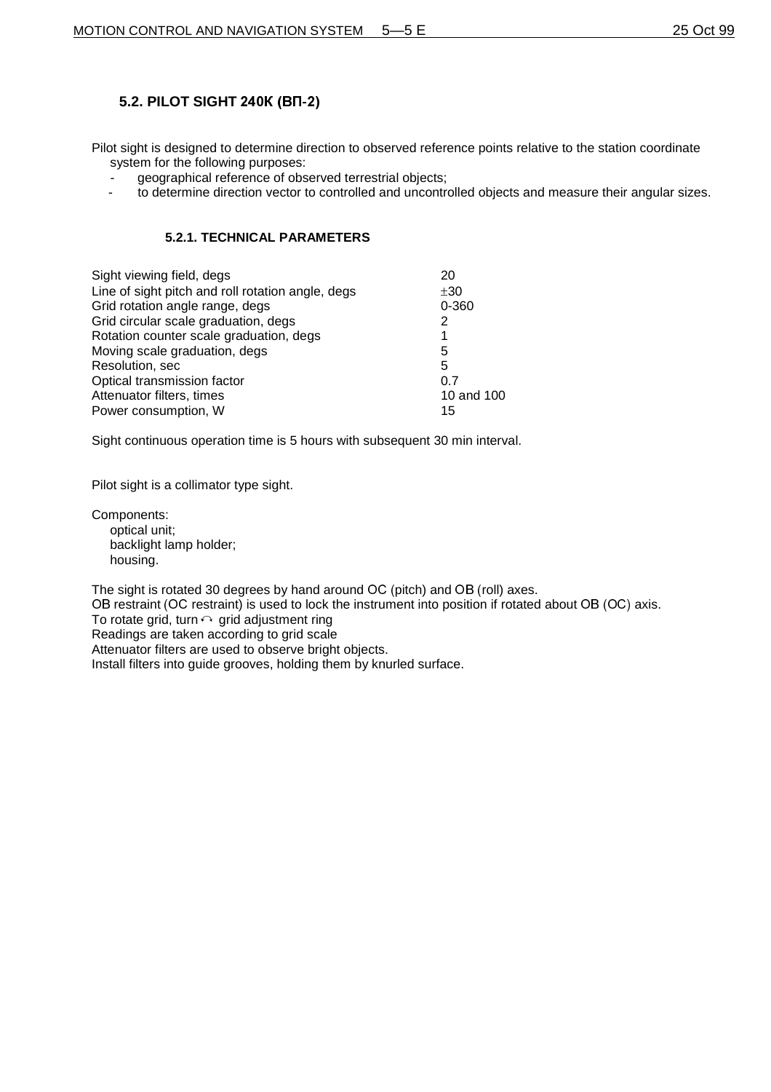## **5.2. PILOT SIGHT 240K (BN-2)**

Pilot sight is designed to determine direction to observed reference points relative to the station coordinate system for the following purposes:

- geographical reference of observed terrestrial objects;
- to determine direction vector to controlled and uncontrolled objects and measure their angular sizes.

## **5.2.1. TECHNICAL PARAMETERS**

| Sight viewing field, degs                         | 20         |
|---------------------------------------------------|------------|
| Line of sight pitch and roll rotation angle, degs | ±30        |
| Grid rotation angle range, degs                   | $0 - 360$  |
| Grid circular scale graduation, degs              | 2          |
| Rotation counter scale graduation, degs           | 1          |
| Moving scale graduation, degs                     | 5          |
| Resolution, sec                                   | 5          |
| Optical transmission factor                       | 0.7        |
| Attenuator filters, times                         | 10 and 100 |
| Power consumption, W                              | 15         |
|                                                   |            |

Sight continuous operation time is 5 hours with subsequent 30 min interval.

Pilot sight is a collimator type sight.

Components: optical unit; backlight lamp holder; housing.

The sight is rotated 30 degrees by hand around OC (pitch) and OB (roll) axes. OB restraint (OC restraint) is used to lock the instrument into position if rotated about OB (OC) axis. To rotate grid, turn  $\curvearrowright$  grid adjustment ring Readings are taken according to grid scale Attenuator filters are used to observe bright objects. Install filters into guide grooves, holding them by knurled surface.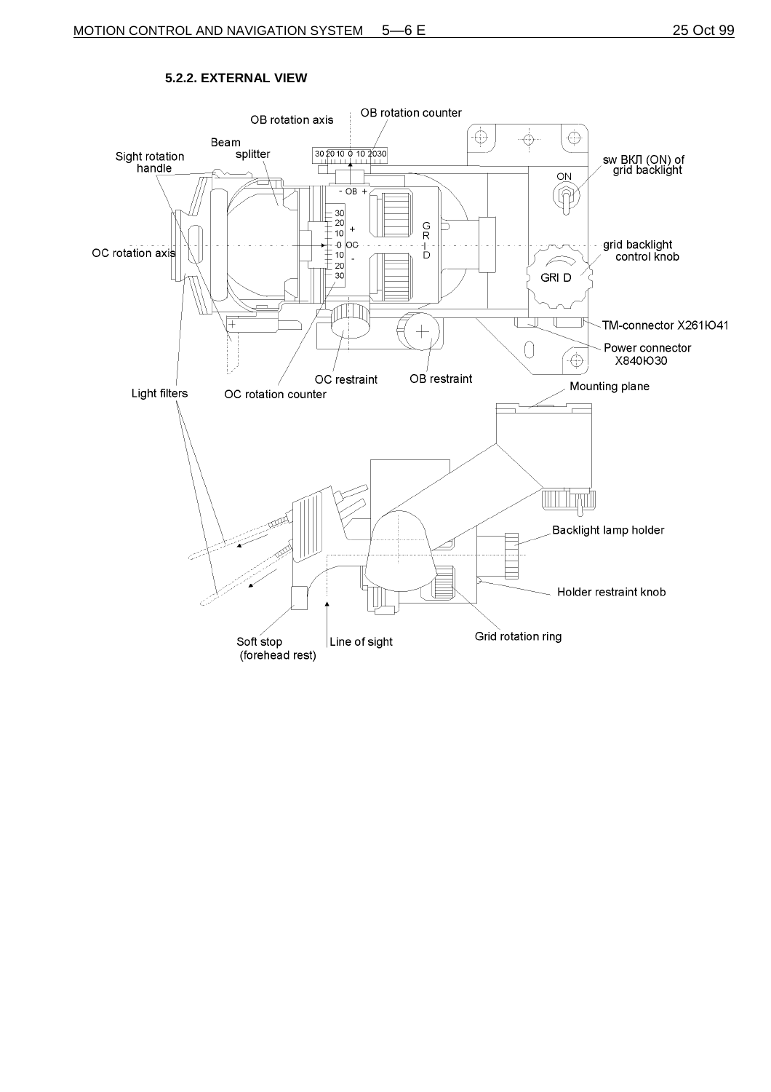

#### **5.2.2. EXTERNAL VIEW**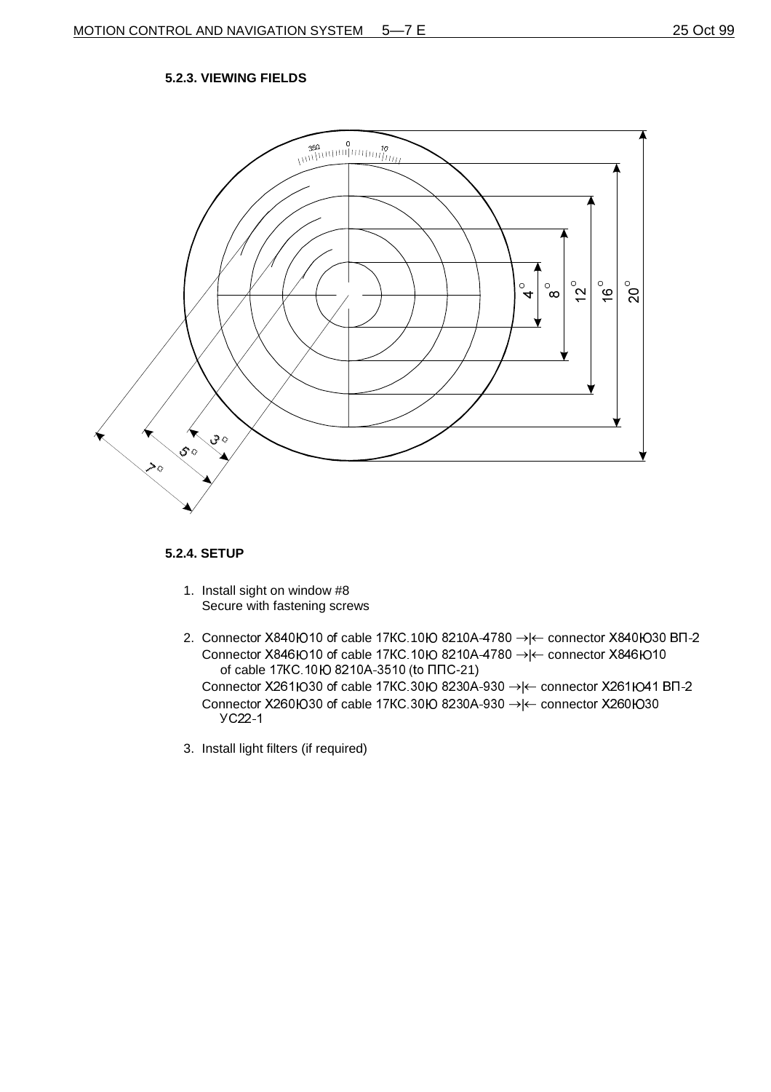## **5.2.3. VIEWING FIELDS**



## **5.2.4. SETUP**

- 1. Install sight on window #8 Secure with fastening screws
- 2. Connector X840lO10 of cable 17KC 10lO 8210A-4780  $\rightarrow$   $\leftarrow$  connector X840lO30 BN-2 Connector X846 FO10 of cable 17KC 10 FO 8210 A-4780  $\rightarrow$  [ $\leftarrow$  connector X846 FO10 of cable 17KC 10IO 8210A-3510 (to  $\Pi$  TC-21) Connector X261 FO30 of cable 17 KC 30 FO 8230 A-930  $\rightarrow$   $\leftarrow$  connector X261 FO 41 BN-2 Connector X260lO30 of cable 17KC 30lO 8230A-930  $\rightarrow$  < connector X260lO30 **YC22-1**
- 3. Install light filters (if required)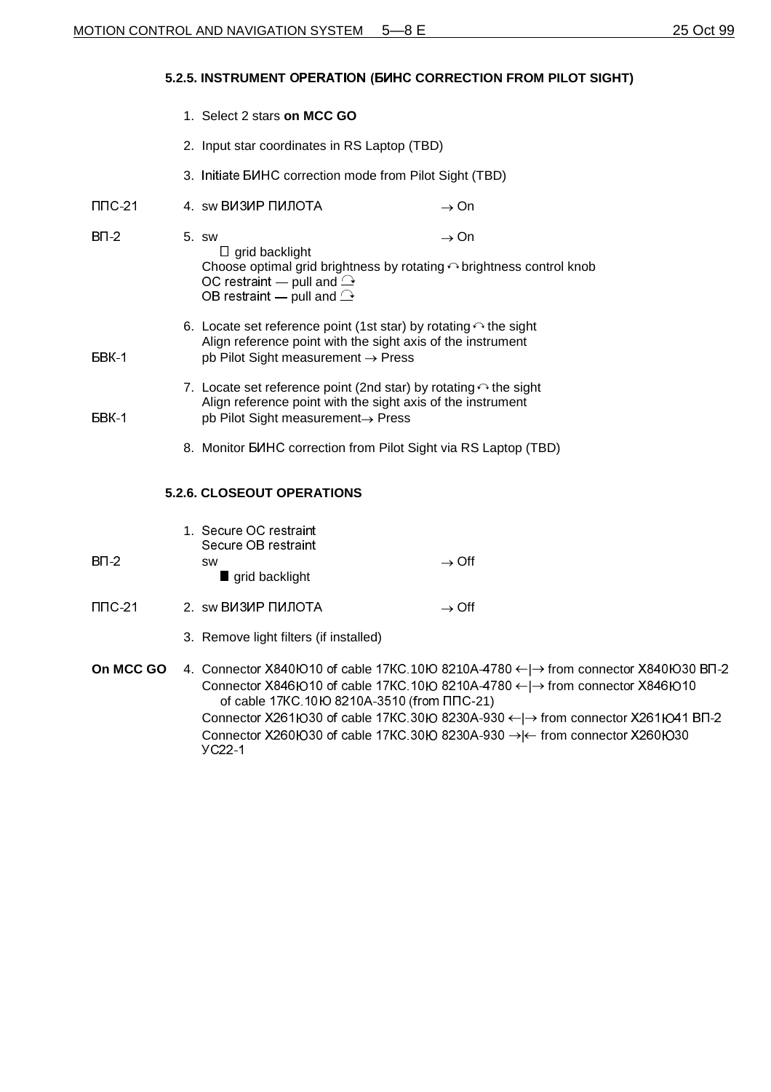## 5.2.5. INSTRUMENT OPERATION (БИНС CORRECTION FROM PILOT SIGHT)

|              | 1. Select 2 stars on MCC GO                                                                                  |                                                                                                                                                  |  |
|--------------|--------------------------------------------------------------------------------------------------------------|--------------------------------------------------------------------------------------------------------------------------------------------------|--|
|              |                                                                                                              | 2. Input star coordinates in RS Laptop (TBD)                                                                                                     |  |
|              |                                                                                                              | 3. Initiate BI/HC correction mode from Pilot Sight (TBD)                                                                                         |  |
| $\Pi$ DC-21  | 4. SW ВИЗИР ПИЛОТА                                                                                           | $\rightarrow$ On                                                                                                                                 |  |
| $B\Pi-2$     | 5. sw<br>$\Box$ grid backlight<br>OC restraint — pull and $\triangle$<br>OB restraint - pull and $\triangle$ | $\rightarrow$ On<br>Choose optimal grid brightness by rotating $\curvearrowright$ brightness control knob                                        |  |
| <b>BBK-1</b> | $pb$ Pilot Sight measurement $\rightarrow$ Press                                                             | 6. Locate set reference point (1st star) by rotating $\curvearrowright$ the sight<br>Align reference point with the sight axis of the instrument |  |
| <b>BBK-1</b> | pb Pilot Sight measurement -> Press                                                                          | 7. Locate set reference point (2nd star) by rotating $\odot$ the sight<br>Align reference point with the sight axis of the instrument            |  |
|              |                                                                                                              | 8. Monitor BUHC correction from Pilot Sight via RS Laptop (TBD)                                                                                  |  |
|              | <b>5.2.6. CLOSEOUT OPERATIONS</b>                                                                            |                                                                                                                                                  |  |
| $B\Pi-2$     | 1. Secure OC restraint<br>Secure OB restraint<br><b>SW</b><br>grid backlight                                 | $\rightarrow$ Off                                                                                                                                |  |
| $\Pi$ DC-21  | 2. SW ВИЗИР ПИЛОТА                                                                                           | $\rightarrow$ Off                                                                                                                                |  |

- 3. Remove light filters (if installed)
- On MCC GO 4. Connector X840lO10 of cable 17KC.10lO 8210A-4780 $\leftarrow$  + from connector X840lO30 BN-2 Connector X846lO10 of cable 17KC 10lO 8210A-4780  $\leftarrow$   $\rightarrow$  from connector X846lO10 of cable 17KC 10IO 8210A-3510 (from  $\Pi$  DC-21) Connector X261 FO30 of cable 17 KC 30 FO 8230 A-930  $\leftarrow$   $\rightarrow$  from connector X261 FO41 BN-2 Connector X260IO30 of cable 17KC 30IO 8230A-930  $\rightarrow$  |  $\leftarrow$  from connector X260IO30 **YC22-1**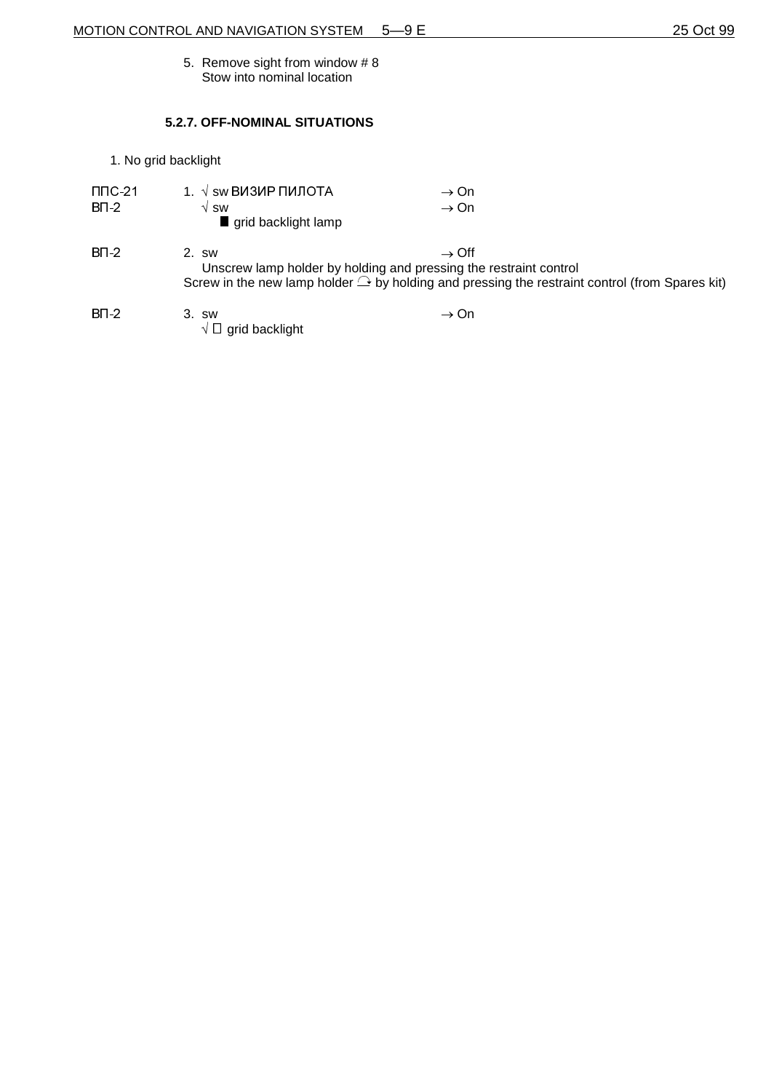5. Remove sight from window # 8 Stow into nominal location

## **5.2.7. OFF-NOMINAL SITUATIONS**

1. No grid backlight

| $\Pi$ DC-21<br>$BT-2$ | 1. √ sw ВИЗИР ПИЛОТА<br>$\sqrt{}$ SW<br>grid backlight lamp | $\rightarrow$ On<br>$\rightarrow$ On                                                                                                                                                               |
|-----------------------|-------------------------------------------------------------|----------------------------------------------------------------------------------------------------------------------------------------------------------------------------------------------------|
| $BT - 2$              | 2. sw                                                       | $\rightarrow$ Off<br>Unscrew lamp holder by holding and pressing the restraint control<br>Screw in the new lamp holder $\triangle$ by holding and pressing the restraint control (from Spares kit) |
| $BT-2$                | 3. sw                                                       | $\rightarrow$ On                                                                                                                                                                                   |

3. sw<br> $\sqrt{D}$  grid backlight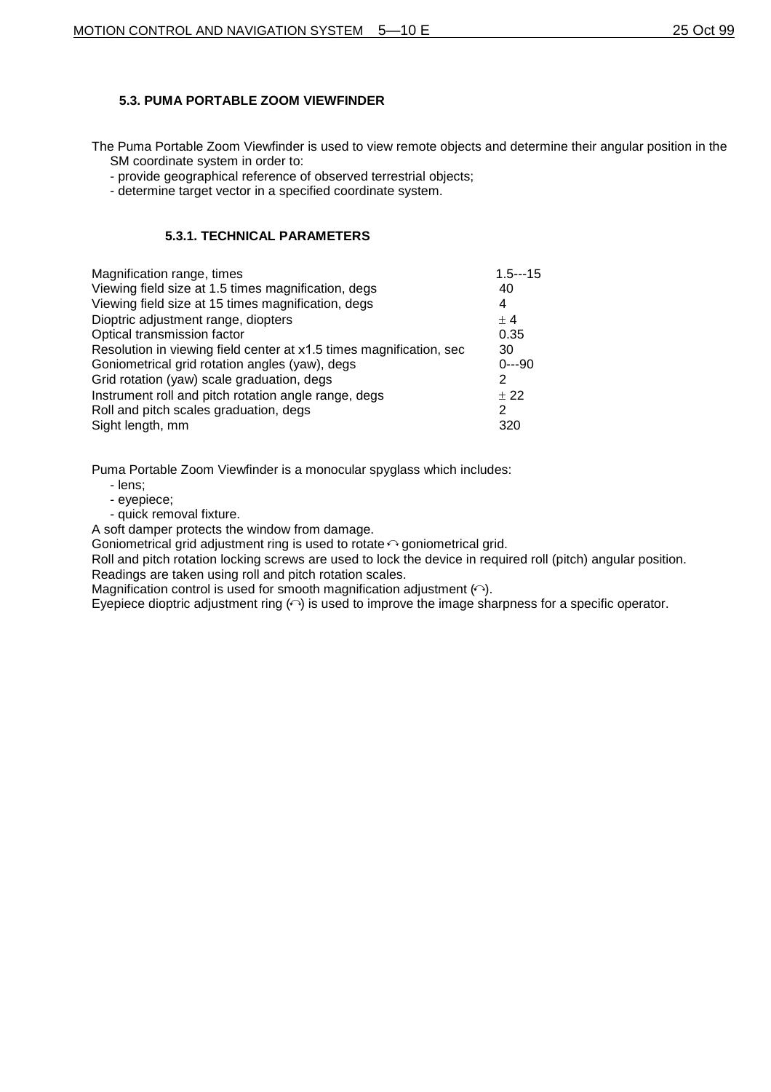## **5.3. PUMA PORTABLE ZOOM VIEWFINDER**

The Puma Portable Zoom Viewfinder is used to view remote objects and determine their angular position in the SM coordinate system in order to:

- provide geographical reference of observed terrestrial objects;
- determine target vector in a specified coordinate system.

#### **5.3.1. TECHNICAL PARAMETERS**

| Magnification range, times                                          | $1.5 - 15$ |
|---------------------------------------------------------------------|------------|
| Viewing field size at 1.5 times magnification, degs                 | 40         |
| Viewing field size at 15 times magnification, degs                  | 4          |
| Dioptric adjustment range, diopters                                 | ± 4        |
| Optical transmission factor                                         | 0.35       |
| Resolution in viewing field center at x1.5 times magnification, sec | 30         |
| Goniometrical grid rotation angles (yaw), degs                      | $0--90$    |
| Grid rotation (yaw) scale graduation, degs                          | 2          |
| Instrument roll and pitch rotation angle range, degs                | $+22$      |
| Roll and pitch scales graduation, degs                              | 2          |
| Sight length, mm                                                    | 320        |

Puma Portable Zoom Viewfinder is a monocular spyglass which includes:

- lens;
- eyepiece;
- quick removal fixture.

A soft damper protects the window from damage.

Goniometrical grid adjustment ring is used to rotate  $\curvearrowright$  goniometrical grid.

Roll and pitch rotation locking screws are used to lock the device in required roll (pitch) angular position. Readings are taken using roll and pitch rotation scales.

Magnification control is used for smooth magnification adjustment  $(\cap)$ .

Eyepiece dioptric adjustment ring  $(\cap)$  is used to improve the image sharpness for a specific operator.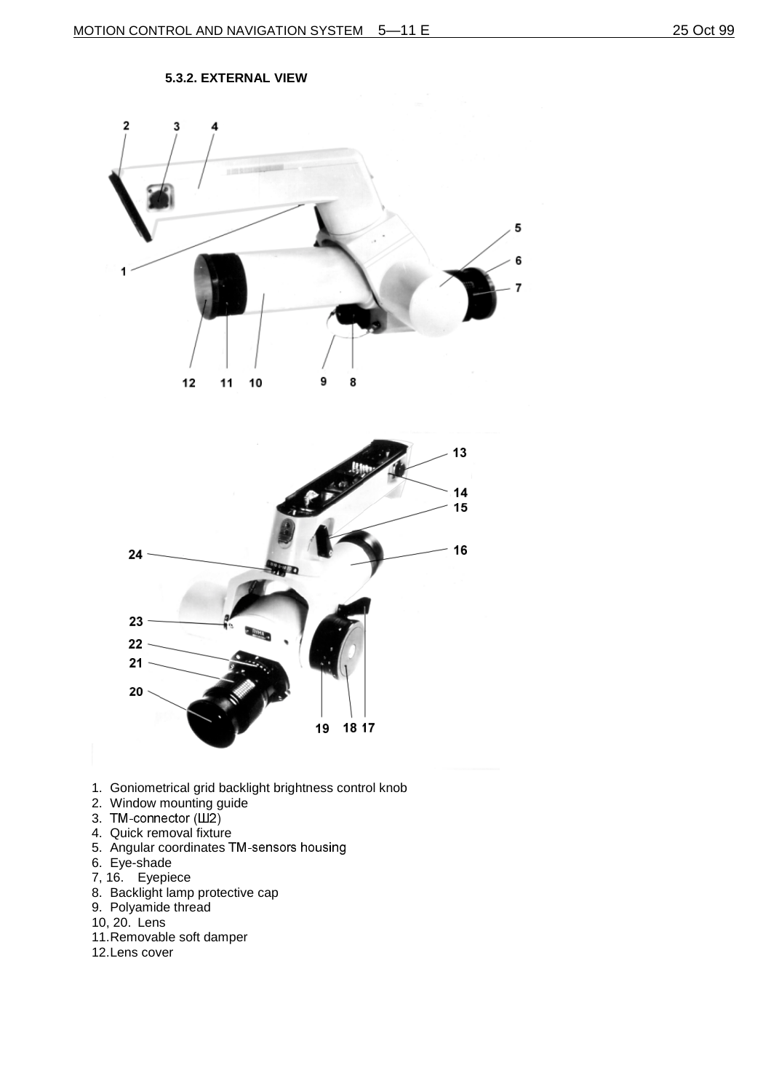#### **5.3.2. EXTERNAL VIEW**





- 1. Goniometrical grid backlight brightness control knob
- 2. Window mounting guide
- $3.$  TM-connector  $(\text{III2})$
- 4. Quick removal fixture
- 5. Angular coordinates TM-sensors housing
- 6. Eye-shade
- 7, 16. Eyepiece
- 8. Backlight lamp protective cap
- 9. Polyamide thread
- 10, 20. Lens
- 11.Removable soft damper
- 12.Lens cover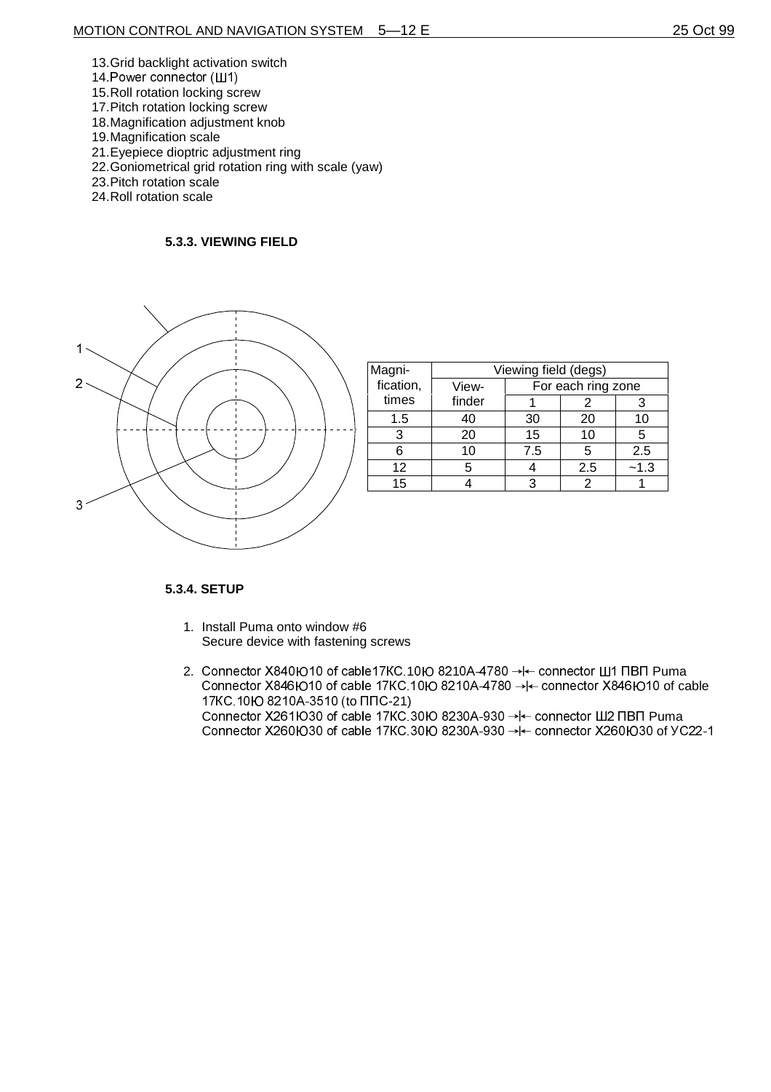- 13.Grid backlight activation switch
- 14. Power connector  $(III1)$
- 15.Roll rotation locking screw
- 17.Pitch rotation locking screw
- 18.Magnification adjustment knob
- 19.Magnification scale
- 21.Eyepiece dioptric adjustment ring
- 22.Goniometrical grid rotation ring with scale (yaw)
- 23.Pitch rotation scale
- 24. Roll rotation scale

## **5.3.3. VIEWING FIELD**



| Magni-    | Viewing field (degs) |                    |     |      |
|-----------|----------------------|--------------------|-----|------|
| fication, | View-                | For each ring zone |     |      |
| times     | finder               |                    |     |      |
| 1.5       | 40                   | 30                 | 20  | 10   |
| 3         | 20                   | 15                 | 10  | 5    |
|           | 10                   | 7.5                | 5   | 2.5  |
| 12        | 5                    |                    | 2.5 | ~1.3 |
| 15        |                      |                    | 2   |      |

## **5.3.4. SETUP**

- 1. Install Puma onto window #6 Secure device with fastening screws
- 2. Connector X840Ю10 of cable17KC 10Ю 8210А-4780 → connector Ш1 ПВП Puma Connector X846Ю10 of cable 17КС 10Ю 8210А-4780 → connector X846Ю10 of cable 17KC 10Ю 8210A-3510 (to ППС-21) Connector X261 FO30 of cable 17KC.30 FO 8230A-930  $\rightarrow$   $\leftarrow$  connector LI2 NBN Puma Connector X260IO30 of cable 17KC 30IO 8230A-930  $\rightarrow$  < connector X260IO30 of YC22-1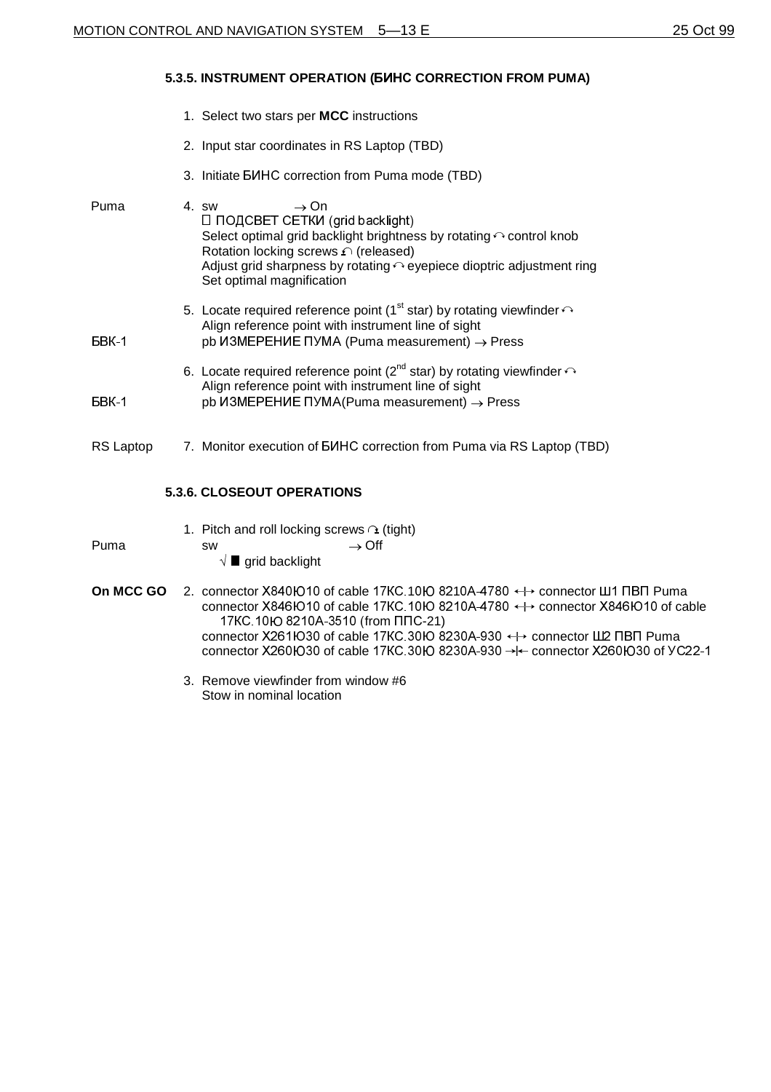## **5.3.5. INSTRUMENT OPERATION (BUHC CORRECTION FROM PUMA)**

|              | 1. Select two stars per MCC instructions                                                                                                                                                                                                                                                                                       |
|--------------|--------------------------------------------------------------------------------------------------------------------------------------------------------------------------------------------------------------------------------------------------------------------------------------------------------------------------------|
|              | 2. Input star coordinates in RS Laptop (TBD)                                                                                                                                                                                                                                                                                   |
|              | 3. Initiate BIAHC correction from Puma mode (TBD)                                                                                                                                                                                                                                                                              |
| Puma         | $\rightarrow$ On<br>4. SW<br>$\Box$ ПОДСВЕТ СЕТКИ (grid backlight)<br>Select optimal grid backlight brightness by rotating $\curvearrowright$ control knob<br>Rotation locking screws $\cap$ (released)<br>Adjust grid sharpness by rotating $\curvearrowright$ eyepiece dioptric adjustment ring<br>Set optimal magnification |
| <b>BBK-1</b> | 5. Locate required reference point (1 <sup>st</sup> star) by rotating viewfinder $\curvearrowright$<br>Align reference point with instrument line of sight<br>$pb$ ИЗМЕРЕНИЕ ПУМА (Puma measurement) $\rightarrow$ Press                                                                                                       |
| <b>BBK-1</b> | 6. Locate required reference point ( $2^{nd}$ star) by rotating viewfinder $\curvearrowright$<br>Align reference point with instrument line of sight<br>$pb$ ИЗМЕРЕНИЕ ПУМА(Puma measurement) $\rightarrow$ Press                                                                                                              |
| RS Laptop    | 7. Monitor execution of BUHC correction from Puma via RS Laptop (TBD)                                                                                                                                                                                                                                                          |
|              | <b>5.3.6. CLOSEOUT OPERATIONS</b>                                                                                                                                                                                                                                                                                              |

|           | 1. Pitch and roll locking screws $\cap$ (tight)                                                                                                                                                                                            |
|-----------|--------------------------------------------------------------------------------------------------------------------------------------------------------------------------------------------------------------------------------------------|
| Puma      | $\rightarrow$ Off<br><b>SW</b><br>$\sqrt{\blacksquare}$ grid backlight                                                                                                                                                                     |
| On MCC GO | 2. connector X840lO10 of cable 17KC 10lO 8210A-4780 $\leftrightarrow$ connector III1 TBT Puma<br>connector X846IO10 of cable 17KC 10IO 8210A-4780 $\leftrightarrow$ connector X846IO10 of cable<br>17KC 10IO 8210A-3510 (from $\Pi$ IC-21) |
|           | connector X261lO30 of cable 17KC 30lO 8230A-930 $\leftrightarrow$ connector LU2 NBN Puma<br>connector X260lO30 of cable 17KC 30lO 8230A-930 $\rightarrow$ $\leftarrow$ connector X260lO30 of YC22-1                                        |
|           |                                                                                                                                                                                                                                            |

3. Remove viewfinder from window #6 Stow in nominal location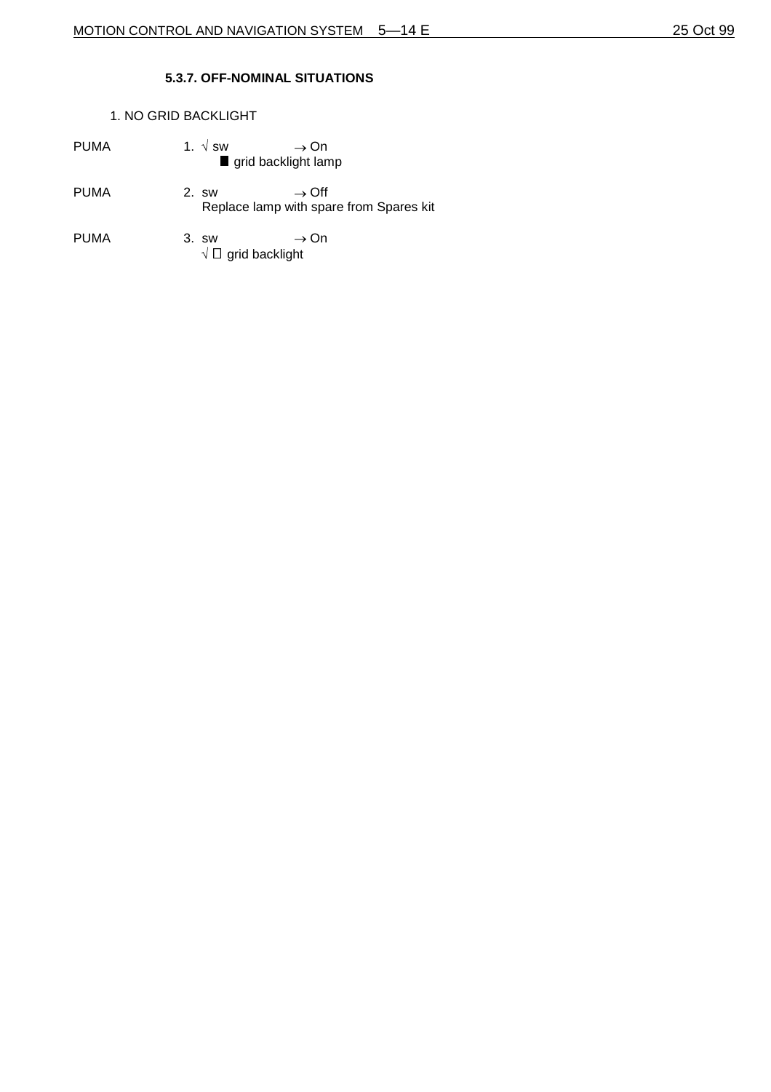## **5.3.7. OFF-NOMINAL SITUATIONS**

Replace lamp with spare from Spares kit

## 1. NO GRID BACKLIGHT

- PUMA  $1. \sqrt{\text{sw}}$  $\rightarrow$  On grid backlight lamp PUMA 2. sw  $\rightarrow$  Off
- PUMA 3. sw  $\rightarrow$  On  $\sqrt{D}$  grid backlight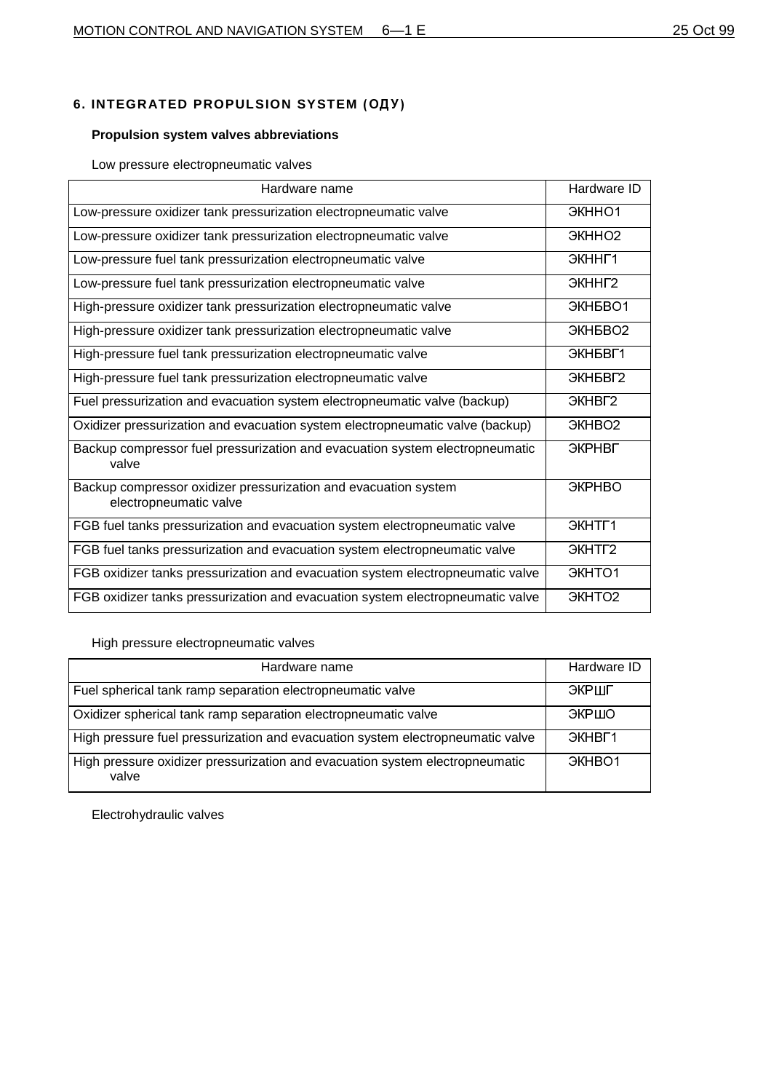## 6. INTEGRATED PROPULSION SYSTEM (ОДУ)

## **Propulsion system valves abbreviations**

Low pressure electropneumatic valves

| Hardware name                                                                             | Hardware ID   |
|-------------------------------------------------------------------------------------------|---------------|
| Low-pressure oxidizer tank pressurization electropneumatic valve                          | ЭКННО1        |
| Low-pressure oxidizer tank pressurization electropneumatic valve                          | ЭКННО2        |
| Low-pressure fuel tank pressurization electropneumatic valve                              | ЭКННГ1        |
| Low-pressure fuel tank pressurization electropneumatic valve                              | ЭКННГ2        |
| High-pressure oxidizer tank pressurization electropneumatic valve                         | ЭКНБВО1       |
| High-pressure oxidizer tank pressurization electropneumatic valve                         | ЭКНБВО2       |
| High-pressure fuel tank pressurization electropneumatic valve                             | ЭКНБВГ1       |
| High-pressure fuel tank pressurization electropneumatic valve                             | ЭКНБВГ2       |
| Fuel pressurization and evacuation system electropneumatic valve (backup)                 | ЭКНВГ2        |
| Oxidizer pressurization and evacuation system electropneumatic valve (backup)             | <b>GKHBO2</b> |
| Backup compressor fuel pressurization and evacuation system electropneumatic<br>valve     | ЭКРНВГ        |
| Backup compressor oxidizer pressurization and evacuation system<br>electropneumatic valve | ЭКРНВО        |
| FGB fuel tanks pressurization and evacuation system electropneumatic valve                | <b>ЭКНТГ1</b> |
| FGB fuel tanks pressurization and evacuation system electropneumatic valve                | ЭКНТГ2        |
| FGB oxidizer tanks pressurization and evacuation system electropneumatic valve            | <b>ЭКНТО1</b> |
| FGB oxidizer tanks pressurization and evacuation system electropneumatic valve            | <b>ЭКНТО2</b> |

High pressure electropneumatic valves

| Hardware name                                                                         | Hardware ID   |
|---------------------------------------------------------------------------------------|---------------|
| Fuel spherical tank ramp separation electropneumatic valve                            | ЭКРШГ         |
| Oxidizer spherical tank ramp separation electropneumatic valve                        | ЭКРШО         |
| High pressure fuel pressurization and evacuation system electropneumatic valve        | ЭКНВГ1        |
| High pressure oxidizer pressurization and evacuation system electropneumatic<br>valve | <b>GKHBO1</b> |

Electrohydraulic valves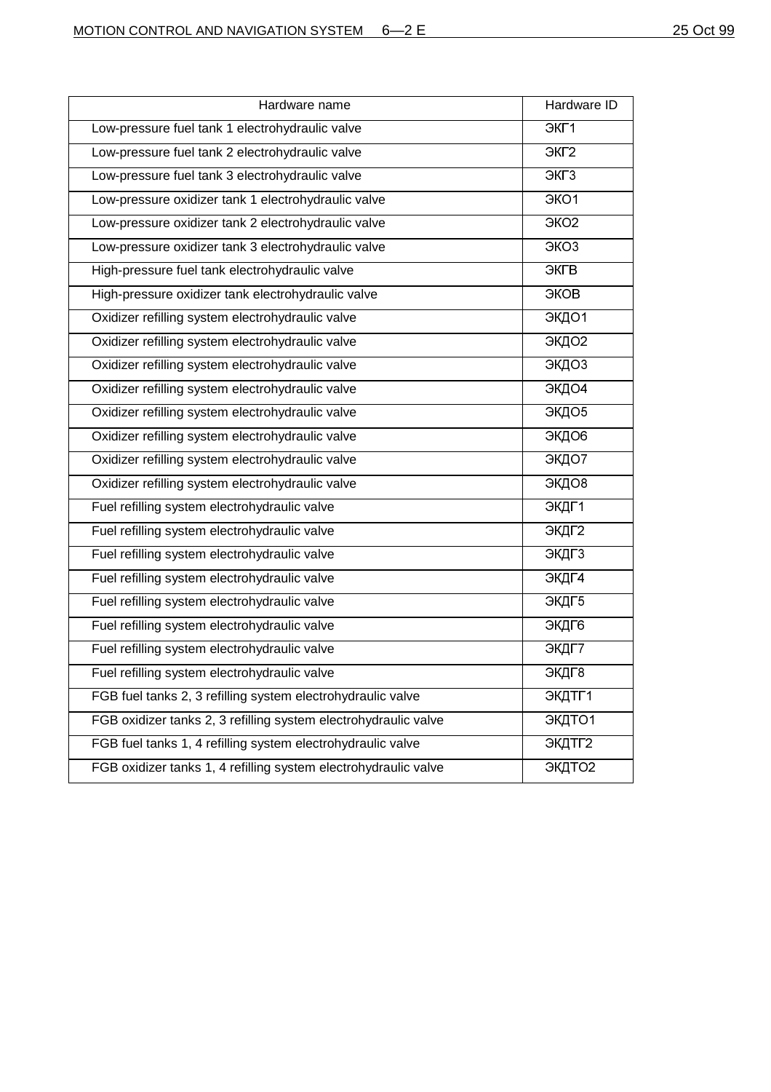| Hardware name                                                   | Hardware ID                 |
|-----------------------------------------------------------------|-----------------------------|
| Low-pressure fuel tank 1 electrohydraulic valve                 | ЭКГ1                        |
| Low-pressure fuel tank 2 electrohydraulic valve                 | ЭКГ2                        |
| Low-pressure fuel tank 3 electrohydraulic valve                 | $\overline{\mathsf{R}}$ KT3 |
| Low-pressure oxidizer tank 1 electrohydraulic valve             | $\overline{\text{OKO1}}$    |
| Low-pressure oxidizer tank 2 electrohydraulic valve             | ЭКО2                        |
| Low-pressure oxidizer tank 3 electrohydraulic valve             | ЭКОЗ                        |
| High-pressure fuel tank electrohydraulic valve                  | ЭКГВ                        |
| High-pressure oxidizer tank electrohydraulic valve              | ЭКОВ                        |
| Oxidizer refilling system electrohydraulic valve                | ЭКДО1                       |
| Oxidizer refilling system electrohydraulic valve                | ЭКДО2                       |
| Oxidizer refilling system electrohydraulic valve                | ЭКДОЗ                       |
| Oxidizer refilling system electrohydraulic valve                | ЭКДО4                       |
| Oxidizer refilling system electrohydraulic valve                | ЭКДО5                       |
| Oxidizer refilling system electrohydraulic valve                | ЭКДО6                       |
| Oxidizer refilling system electrohydraulic valve                | ЭКДО7                       |
| Oxidizer refilling system electrohydraulic valve                | ЭКДО8                       |
| Fuel refilling system electrohydraulic valve                    | ЭКДГ1                       |
| Fuel refilling system electrohydraulic valve                    | ЭКДГ2                       |
| Fuel refilling system electrohydraulic valve                    | ЭКДГЗ                       |
| Fuel refilling system electrohydraulic valve                    | ЭКДГ4                       |
| Fuel refilling system electrohydraulic valve                    | ЭКДГ5                       |
| Fuel refilling system electrohydraulic valve                    | ЭКДГ6                       |
| Fuel refilling system electrohydraulic valve                    | ЭКДГ7                       |
| Fuel refilling system electrohydraulic valve                    | ЭКДГ8                       |
| FGB fuel tanks 2, 3 refilling system electrohydraulic valve     | ЭКДТГ1                      |
| FGB oxidizer tanks 2, 3 refilling system electrohydraulic valve | ЭКДТО1                      |
| FGB fuel tanks 1, 4 refilling system electrohydraulic valve     | ЭКДТГ2                      |
| FGB oxidizer tanks 1, 4 refilling system electrohydraulic valve | ЭКДТО2                      |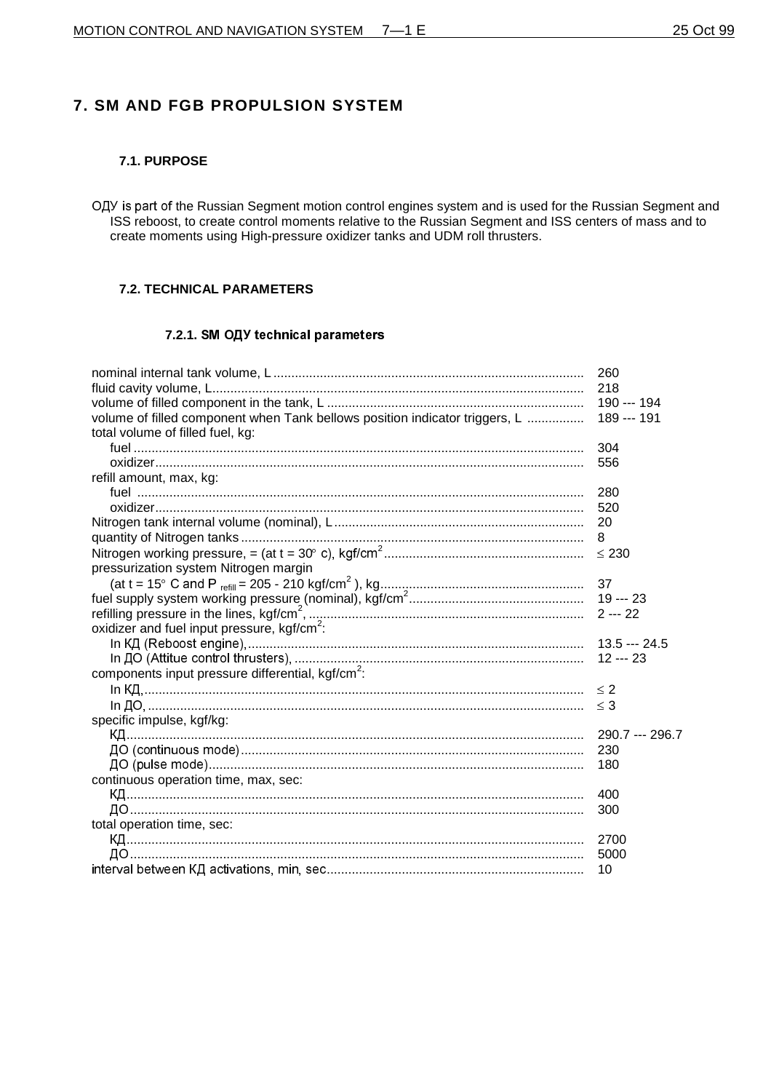## 7. SM AND FGB PROPULSION SYSTEM

#### 7.1. PURPOSE

ОДУ is part of the Russian Segment motion control engines system and is used for the Russian Segment and ISS reboost, to create control moments relative to the Russian Segment and ISS centers of mass and to create moments using High-pressure oxidizer tanks and UDM roll thrusters.

#### 7.2. TECHNICAL PARAMETERS

#### 7.2.1. SM ОДУ technical parameters

|                                                                             | 260             |
|-----------------------------------------------------------------------------|-----------------|
|                                                                             | 218             |
|                                                                             | 190 --- 194     |
| volume of filled component when Tank bellows position indicator triggers, L | 189 --- 191     |
| total volume of filled fuel, kg:                                            |                 |
|                                                                             | 304             |
|                                                                             | 556             |
| refill amount, max, kg:                                                     |                 |
|                                                                             | 280             |
|                                                                             | 520             |
|                                                                             | 20              |
|                                                                             | 8               |
|                                                                             | $\leq 230$      |
| pressurization system Nitrogen margin                                       |                 |
|                                                                             |                 |
|                                                                             |                 |
|                                                                             |                 |
| oxidizer and fuel input pressure, kgf/cm <sup>2</sup> :                     |                 |
|                                                                             | $13.5 - 24.5$   |
|                                                                             | $12 - 23$       |
| components input pressure differential, kgf/cm <sup>2</sup> :               |                 |
|                                                                             | $\leq 2$        |
|                                                                             | $\leq$ 3        |
| specific impulse, kgf/kg:                                                   |                 |
|                                                                             | 290.7 --- 296.7 |
|                                                                             | 230             |
|                                                                             | 180             |
| continuous operation time, max, sec:                                        |                 |
|                                                                             | 400             |
|                                                                             | 300             |
| total operation time, sec:                                                  |                 |
|                                                                             | 2700            |
|                                                                             | 5000            |
|                                                                             | 10              |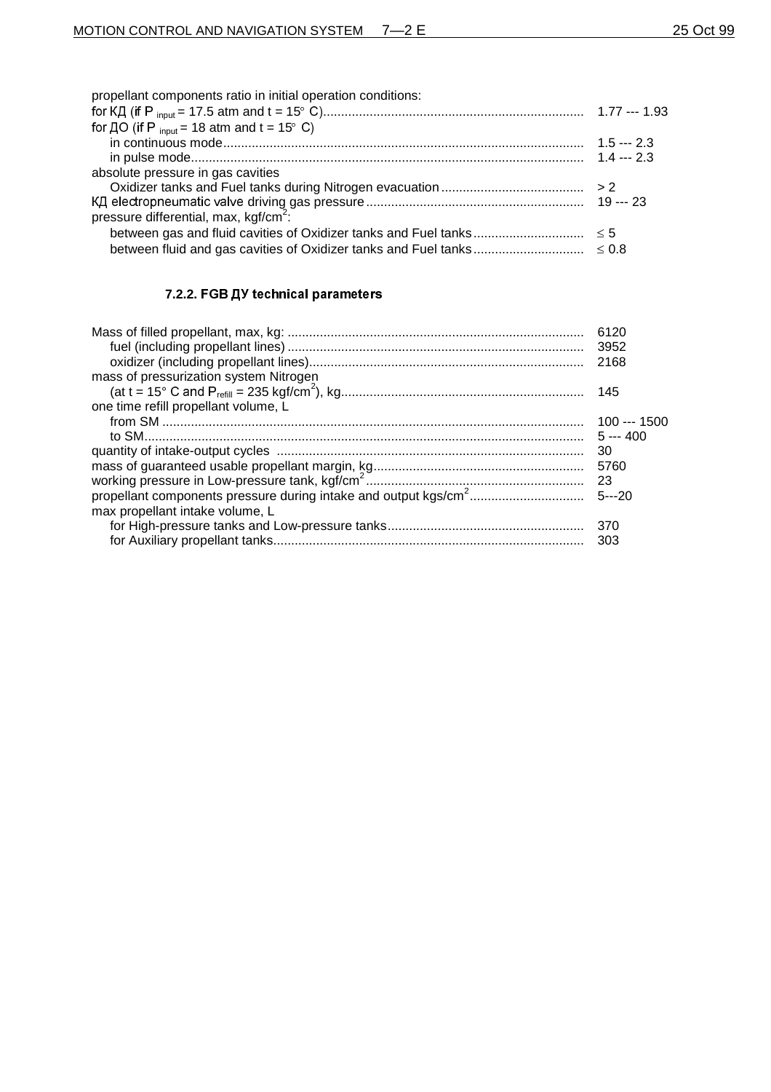| propellant components ratio in initial operation conditions:           |  |
|------------------------------------------------------------------------|--|
|                                                                        |  |
| for $\overline{AO}$ (if P <sub>input</sub> = 18 atm and t = 15° C)     |  |
|                                                                        |  |
|                                                                        |  |
| absolute pressure in gas cavities                                      |  |
|                                                                        |  |
|                                                                        |  |
| pressure differential, max, kgf/cm <sup>2</sup> :                      |  |
|                                                                        |  |
| between fluid and gas cavities of Oxidizer tanks and Fuel tanks  ≤ 0.8 |  |

#### **7.2.2. FGB ДУ technical parameters**

|                                                                             | 6120         |
|-----------------------------------------------------------------------------|--------------|
|                                                                             |              |
| mass of pressurization system Nitrogen                                      |              |
|                                                                             |              |
| one time refill propellant volume, L                                        |              |
|                                                                             | $100 - 1500$ |
|                                                                             | $5 - 400$    |
|                                                                             | 30           |
|                                                                             | 5760         |
|                                                                             |              |
| propellant components pressure during intake and output kgs/cm <sup>2</sup> | $5--20$      |
| max propellant intake volume, L                                             |              |
|                                                                             |              |
|                                                                             | -303         |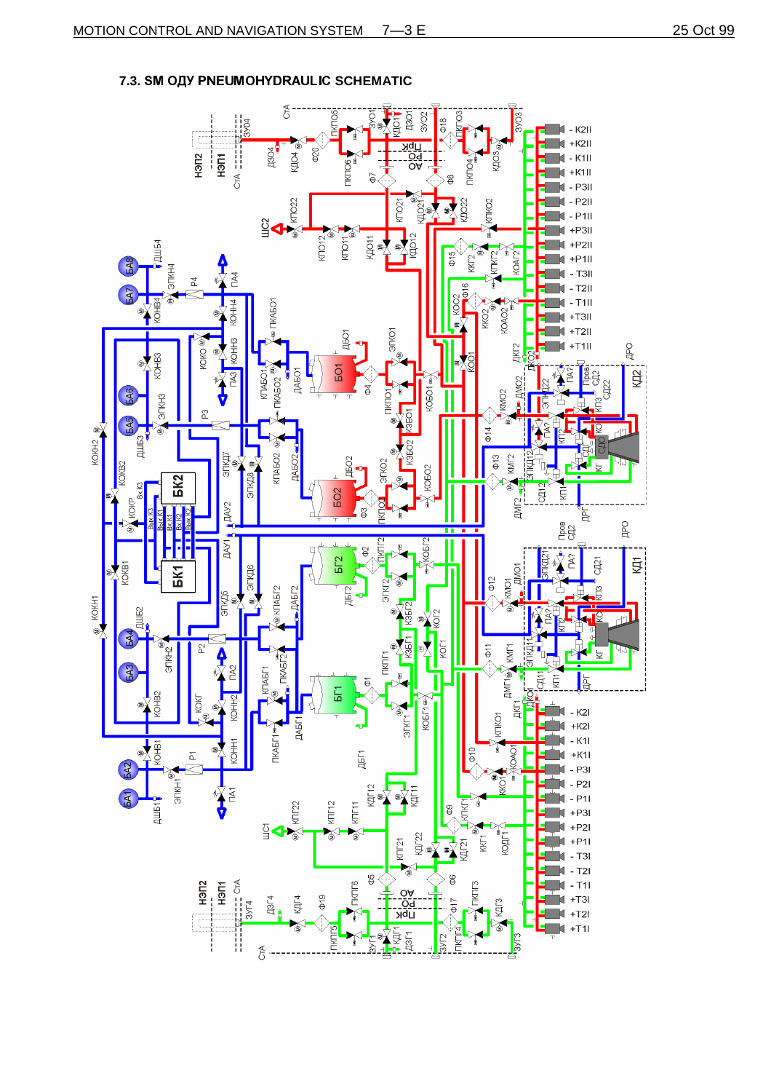

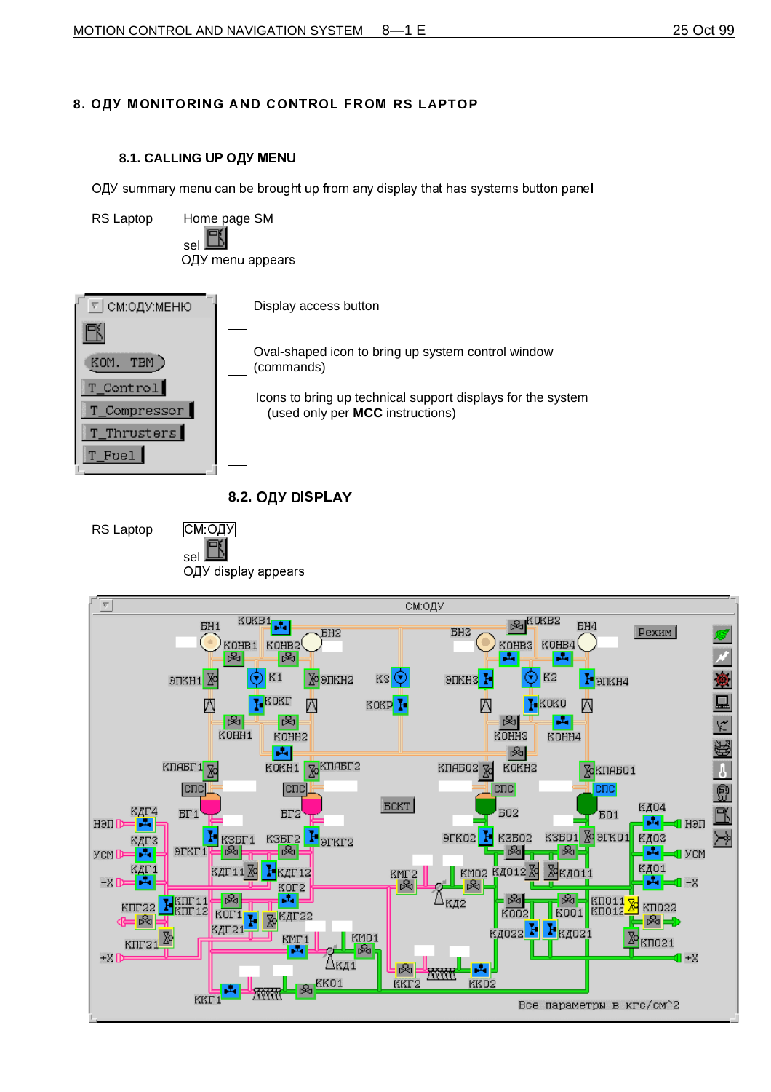## 8. ОДУ MONITORING AND CONTROL FROM RS LAPTOP

## 8.1. CALLING UP ОДУ MENU

OIY summary menu can be brought up from any display that has systems button panel



## **8.2. ОДУ DISPLAY**



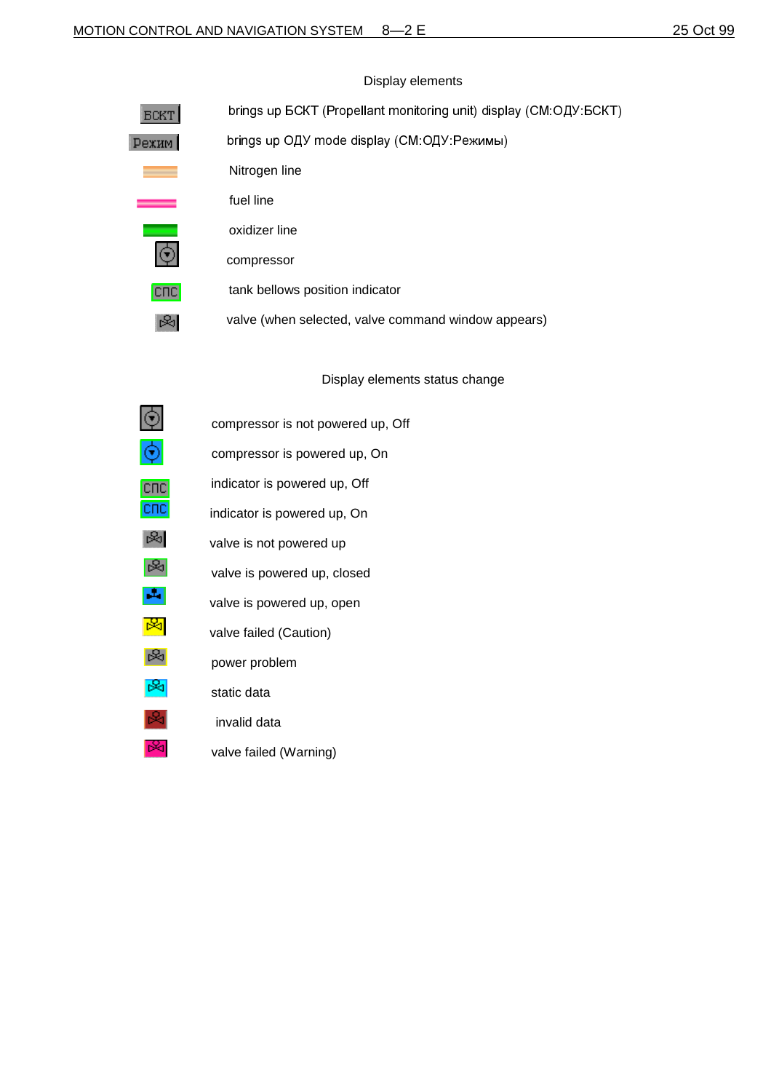| BCKT  | brings up БСКТ (Propellant monitoring unit) display (СМ:ОДУ:БСКТ) |
|-------|-------------------------------------------------------------------|
| Режим | brings up ОДУ mode display (СМ ОДУ Режимы)                        |
|       | Nitrogen line                                                     |
|       | fuel line                                                         |
|       | oxidizer line                                                     |
|       | compressor                                                        |
|       | tank bellows position indicator                                   |
| β⊲    | valve (when selected, valve command window appears)               |

## Display elements

Display elements status change

|     | compressor is not powered up, Off |
|-----|-----------------------------------|
|     | compressor is powered up, On      |
| CHC | indicator is powered up, Off      |
| спс | indicator is powered up, On       |
|     | valve is not powered up           |
|     | valve is powered up, closed       |
|     | valve is powered up, open         |
|     | valve failed (Caution)            |
|     | power problem                     |
|     | static data                       |
|     | invalid data                      |
|     | valve failed (Warning)            |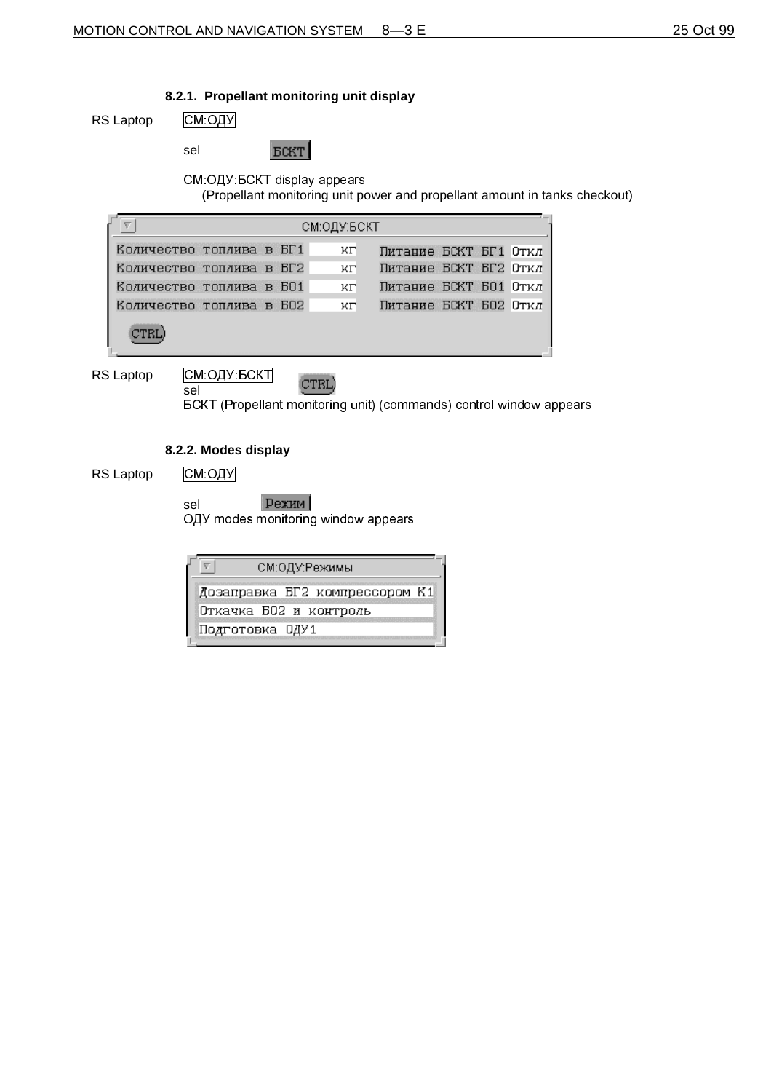## **8.2.1. Propellant monitoring unit display**

RS Laptop

sel

см оду

**BCKT** 

CM: ODY: **BCKT** display appears

(Propellant monitoring unit power and propellant amount in tanks checkout)

|                          |  | СМ:ОДУ:БСКТ |                       |  |  |
|--------------------------|--|-------------|-----------------------|--|--|
| Количество топлива в БГ1 |  | КΓ          | Питание БСКТ БГ1 Откл |  |  |
| Количество топлива в БГ2 |  | KП          | Питание БСКТ БГ2 Откл |  |  |
| Количество топлива в БО1 |  | KП          | Питание БСКТ БО1 Откл |  |  |
| Количество топлива в БО2 |  | KП          | Питание БСКТ БО2 Откл |  |  |
| <b>CTRL</b>              |  |             |                       |  |  |

RS Laptop

 $BCKT$ CTRL)

sel **ECKT** (Propellant monitoring unit) (commands) control window appears

## **8.2.2. Modes display**

RS Laptop

СМ ОДУ

sel

**Режим** 

ОДУ modes monitoring window appears

| СМ:ОДУ:Режимы |
|---------------|
|---------------|

Дозаправка БГ2 компрессором К1 Откачка БО2 и контроль

Подготовка ОДУ1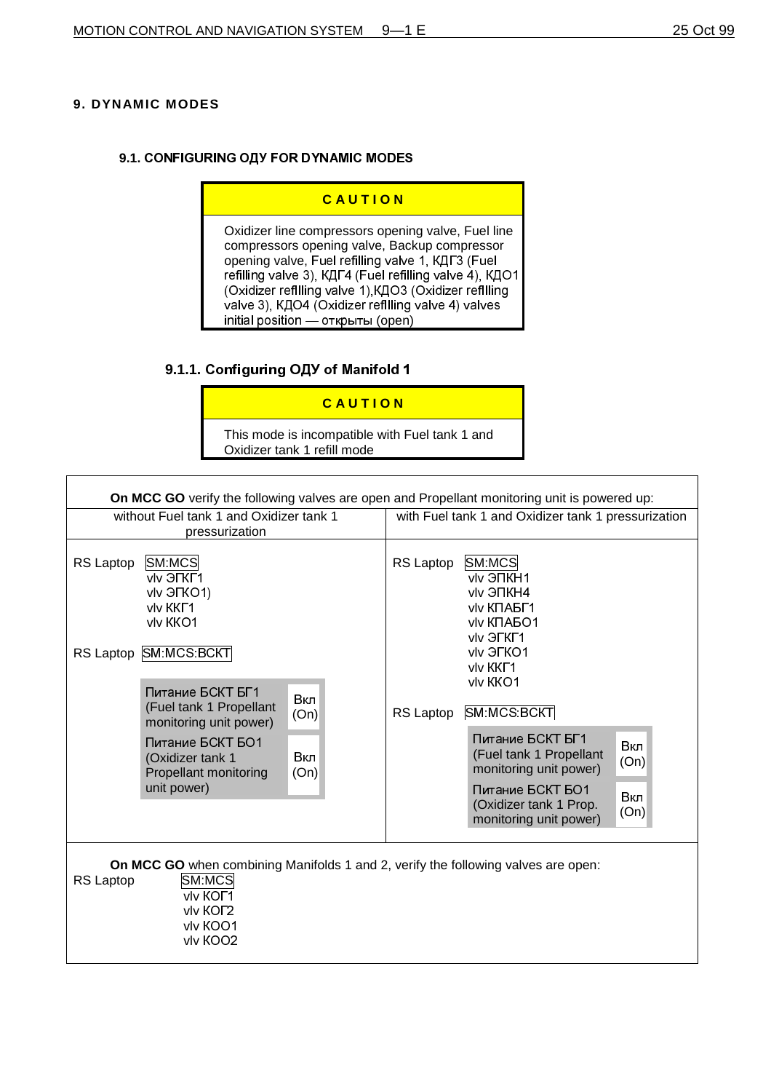## **9. DYNAMIC MODES**

## 9.1. CONFIGURING ОДУ FOR DYNAMIC MODES

## **C A U T I O N**

Oxidizer line compressors opening valve, Fuel line compressors opening valve, Backup compressor opening valve, Fuel refilling valve 1, КДГЗ (Fuel  $r$ efilling valve 3), KAT4 (Fuel refilling valve 4), KAO1 (Oxidizer refilling valve 1), КДОЗ (Oxidizer refilling valve 3), КДО4 (Oxidizer refilling valve 4) valves  $initial$  position  $-$  открыты (open)

## 9.1.1. Configuring OДУ of Manifold 1

## **C A U T I O N**

This mode is incompatible with Fuel tank 1 and Oxidizer tank 1 refill mode

| On MCC GO verify the following valves are open and Propellant monitoring unit is powered up:                                                                                                          |                     |                                                     |                                                                                                                                              |                            |  |
|-------------------------------------------------------------------------------------------------------------------------------------------------------------------------------------------------------|---------------------|-----------------------------------------------------|----------------------------------------------------------------------------------------------------------------------------------------------|----------------------------|--|
| without Fuel tank 1 and Oxidizer tank 1<br>pressurization                                                                                                                                             |                     | with Fuel tank 1 and Oxidizer tank 1 pressurization |                                                                                                                                              |                            |  |
| SM:MCS<br>RS Laptop<br>vlv <b>JFKF1</b><br>vlv $J(KO1)$<br>vlv KKF1<br>vlv KKO1<br>RS Laptop SM MCS BCKT<br>Питание БСКТ БГ1<br>(Fuel tank 1 Propellant                                               | Вкл                 | RS Laptop                                           | SM:MCS<br>vlv <b>JRKH1</b><br>VIV <b>JRKH4</b><br>VIV KITABE1<br>VIV KITABO1<br>vlv <b>JFKF1</b><br>vlv <b>HFKO1</b><br>vlv KKF1<br>vlv KKO1 |                            |  |
| monitoring unit power)<br>Питание БСКТ БО1<br>(Oxidizer tank 1<br><b>Propellant monitoring</b><br>unit power)                                                                                         | (On)<br>Вкл<br>(On) | RS Laptop                                           | SM MCS BCKT<br>Питание БСКТ БГ1<br>(Fuel tank 1 Propellant<br>monitoring unit power)<br>Питание БСКТ БО1<br>(Oxidizer tank 1 Prop.           | Вкл<br>(On)<br>Вкл<br>(On) |  |
| monitoring unit power)<br>On MCC GO when combining Manifolds 1 and 2, verify the following valves are open:<br>SM:MCS<br><b>RS</b> Laptop<br>VIV KOL1<br>vlv KOF <sub>2</sub><br>vlv KOO1<br>vlv KOO2 |                     |                                                     |                                                                                                                                              |                            |  |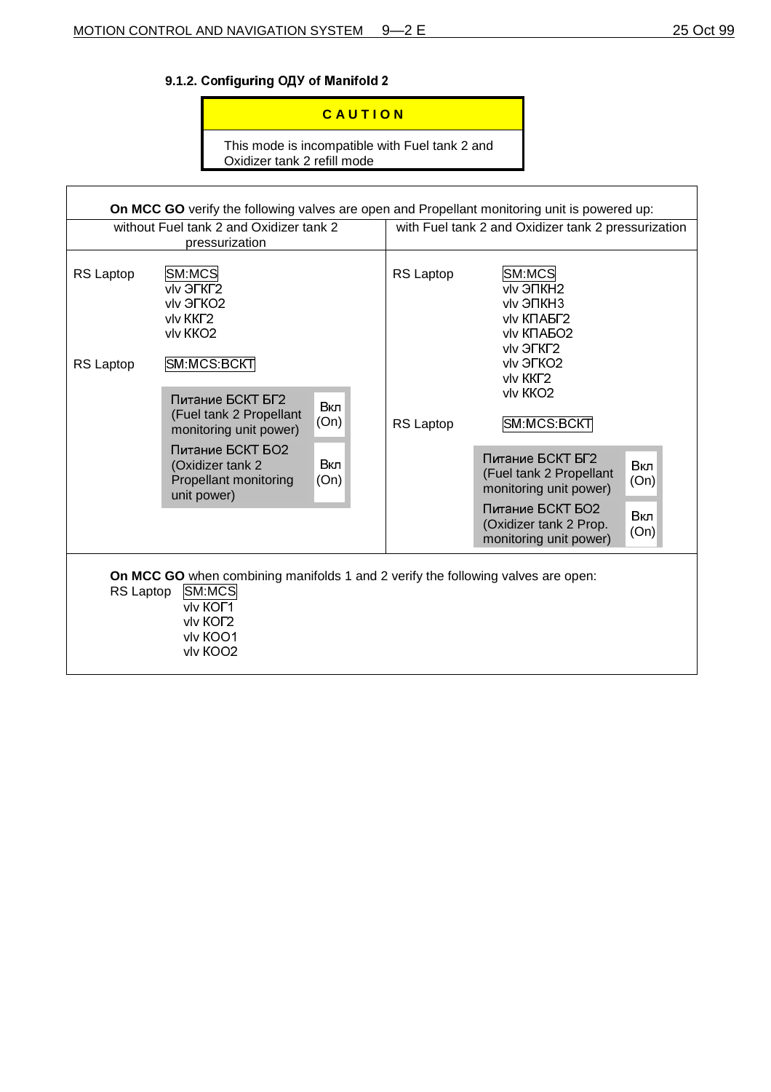## 9.1.2. Configuring ОДУ of Manifold 2

## **C A U T I O N**

This mode is incompatible with Fuel tank 2 and Oxidizer tank 2 refill mode

| On MCC GO verify the following valves are open and Propellant monitoring unit is powered up: |                                                                                                                                                                                    |                            |                                                     |                                                                                                                                                                                                                                                           |
|----------------------------------------------------------------------------------------------|------------------------------------------------------------------------------------------------------------------------------------------------------------------------------------|----------------------------|-----------------------------------------------------|-----------------------------------------------------------------------------------------------------------------------------------------------------------------------------------------------------------------------------------------------------------|
| without Fuel tank 2 and Oxidizer tank 2<br>pressurization                                    |                                                                                                                                                                                    |                            | with Fuel tank 2 and Oxidizer tank 2 pressurization |                                                                                                                                                                                                                                                           |
| RS Laptop                                                                                    | SM:MCS<br>vly <b>GFKF2</b><br>vlv <b>HFKO2</b><br>vly KKF <sub>2</sub><br>vlv KKO <sub>2</sub>                                                                                     |                            | RS Laptop                                           | SM:MCS<br>vly <b>HRKH2</b><br>VIV <b>JRKH3</b><br>VIV KNABT2<br>VIV KITABO <sub>2</sub><br>vlv <b>JFKF2</b>                                                                                                                                               |
| RS Laptop                                                                                    | <b>SM MCS BCKT</b><br>Питание БСКТ БГ2<br>(Fuel tank 2 Propellant<br>monitoring unit power)<br>Питание БСКТ БО2<br>(Oxidizer tank 2<br><b>Propellant monitoring</b><br>unit power) | Вкл<br>(On)<br>Вкл<br>(On) | RS Laptop                                           | vly <b>GFKO2</b><br>vlv KKF2<br>vly KKO <sub>2</sub><br><b>SM.MCS.BCKT</b><br>Питание БСКТ БГ2<br>Вкл<br>(Fuel tank 2 Propellant<br>(On)<br>monitoring unit power)<br>Питание БСКТ БО2<br>Вкл<br>(Oxidizer tank 2 Prop.<br>(On)<br>monitoring unit power) |
| RS Laptop                                                                                    | <b>On MCC GO</b> when combining manifolds 1 and 2 verify the following valves are open:<br>SM:MCS<br><b>vlv KOF1</b><br>vlv KOL <sub>2</sub><br>vlv KOO1<br>vlv KOO2               |                            |                                                     |                                                                                                                                                                                                                                                           |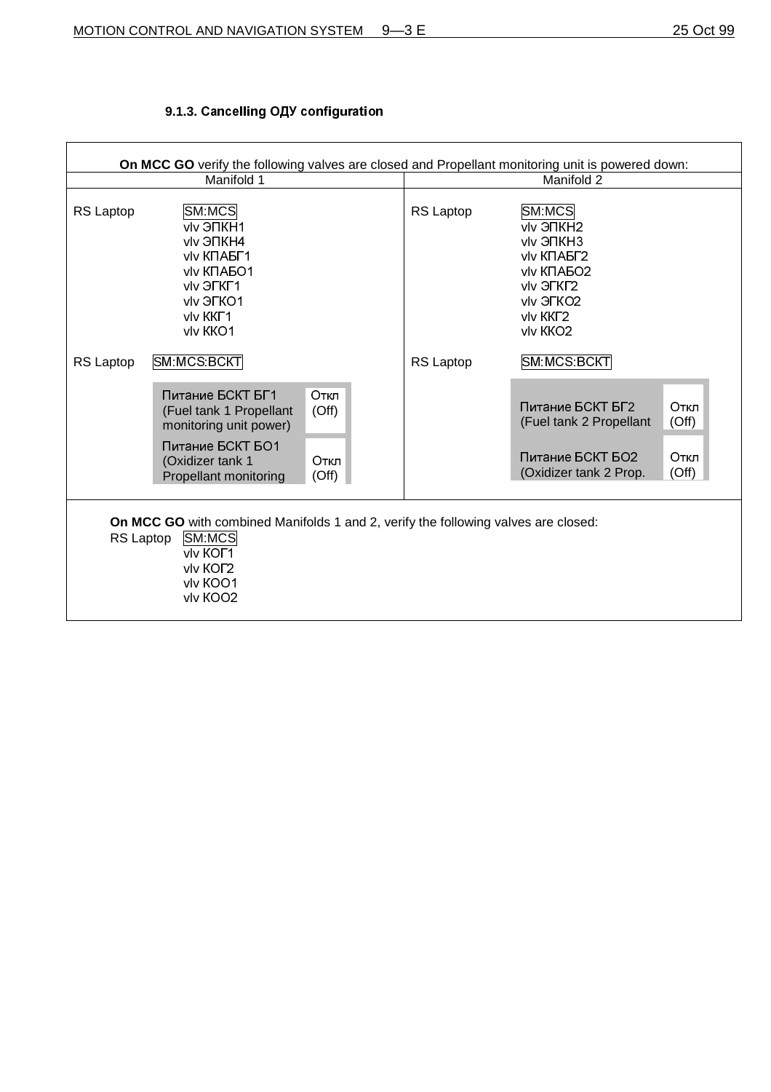## 9.1.3. Cancelling ОДУ configuration

|                                                                                                                                                                                | On MCC GO verify the following valves are closed and Propellant monitoring unit is powered down:                                                             |                                |            |                                                                                                                                                                     |                                |  |
|--------------------------------------------------------------------------------------------------------------------------------------------------------------------------------|--------------------------------------------------------------------------------------------------------------------------------------------------------------|--------------------------------|------------|---------------------------------------------------------------------------------------------------------------------------------------------------------------------|--------------------------------|--|
| Manifold 1                                                                                                                                                                     |                                                                                                                                                              |                                | Manifold 2 |                                                                                                                                                                     |                                |  |
| <b>RS Laptop</b>                                                                                                                                                               | SM:MCS<br>vlv <b>JRKH1</b><br>vlv <b>JRKH4</b><br>VIV KITABE1<br>VIV KITABO1<br>vlv <b>JFKF1</b><br>vly <b>HEKO1</b><br><b>vlv KKF1</b><br>vlv KKO1          |                                | RS Laptop  | SM:MCS<br>vlv <b>JRKH2</b><br>vlv <b>HRKH3</b><br>VIV KITABT2<br>VIV KNABO <sub>2</sub><br>vly <b>GFKF2</b><br>vly <b>HFKO2</b><br>vlv KKF2<br>vly KKO <sub>2</sub> |                                |  |
| RS Laptop                                                                                                                                                                      | SM MCS BCKT<br>Питание БСКТ БГ1<br>(Fuel tank 1 Propellant<br>monitoring unit power)<br>Питание БСКТ БО1<br>(Oxidizer tank 1<br><b>Propellant monitoring</b> | Откл<br>(Off)<br>Откл<br>(Off) | RS Laptop  | SM MCS BCKT<br>Питание БСКТ БГ2<br>(Fuel tank 2 Propellant<br>Питание БСКТ БО2<br>(Oxidizer tank 2 Prop.                                                            | Откл<br>(Off)<br>Откл<br>(Off) |  |
| <b>On MCC GO</b> with combined Manifolds 1 and 2, verify the following valves are closed:<br>SM:MCS<br>RS Laptop<br><b>vlv KOF1</b><br><b>vlv KOF2</b><br>vlv KOO1<br>vlv KOO2 |                                                                                                                                                              |                                |            |                                                                                                                                                                     |                                |  |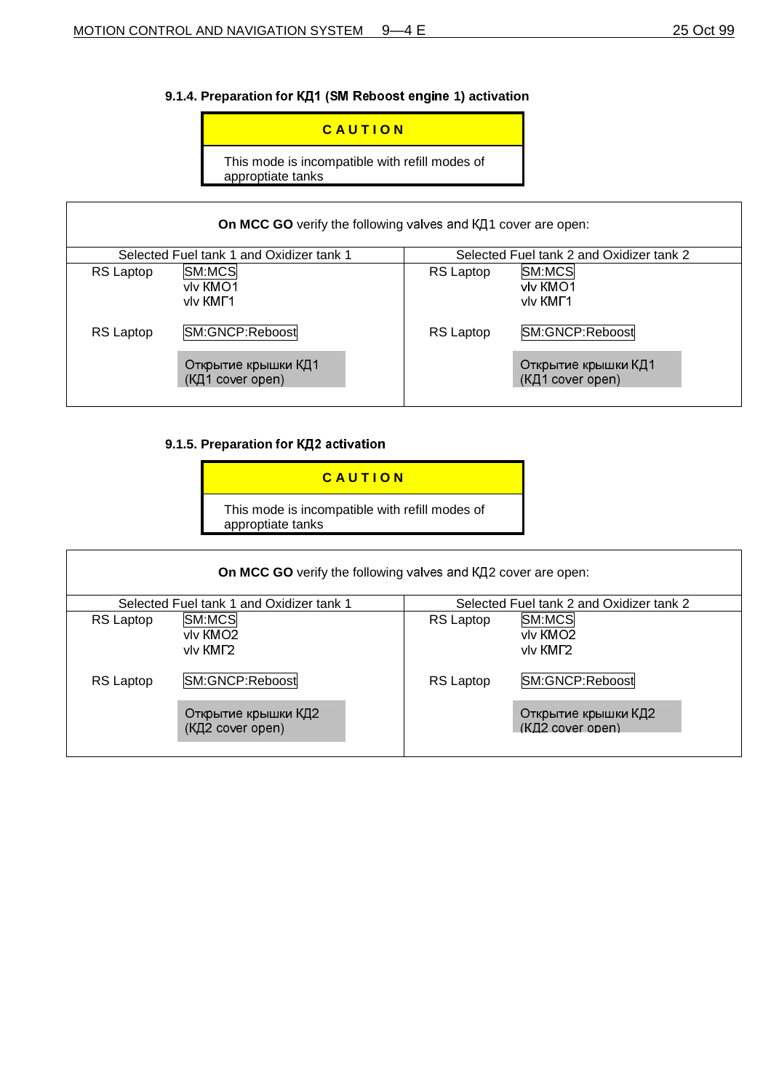## **9.1.4. Preparation for KA1 (SM Reboost engine 1) activation**



| <b>On MCC GO</b> verify the following valves and K <sub>L</sub> <sup>1</sup> cover are open: |                                                            |                                          |                                                            |  |  |
|----------------------------------------------------------------------------------------------|------------------------------------------------------------|------------------------------------------|------------------------------------------------------------|--|--|
| Selected Fuel tank 1 and Oxidizer tank 1                                                     |                                                            | Selected Fuel tank 2 and Oxidizer tank 2 |                                                            |  |  |
| RS Laptop                                                                                    | SM:MCS<br>vlv KMO1<br>vlv KMF1                             | RS Laptop                                | SM:MCS<br>vlv KMO1<br>vlv KMF1                             |  |  |
| RS Laptop                                                                                    | SM:GNCP:Reboost<br>Открытие крышки КД1<br>(KД1 cover open) | RS Laptop                                | SM:GNCP:Reboost<br>Открытие крышки КД1<br>(КД1 cover open) |  |  |

## **9.1.5. Preparation for KД2 activation**

| <b>CAUTION</b>                                                      |  |
|---------------------------------------------------------------------|--|
| This mode is incompatible with refill modes of<br>approptiate tanks |  |

| <b>On MCC GO</b> verify the following valves and KA2 cover are open: |                                                            |  |           |                                                                       |  |
|----------------------------------------------------------------------|------------------------------------------------------------|--|-----------|-----------------------------------------------------------------------|--|
|                                                                      | Selected Fuel tank 1 and Oxidizer tank 1                   |  |           | Selected Fuel tank 2 and Oxidizer tank 2                              |  |
| RS Laptop                                                            | SM:MCS<br>vly KMO <sub>2</sub><br>vly KMF2                 |  | RS Laptop | SM:MCS<br>vly KMO <sub>2</sub><br>vly KMF2                            |  |
| RS Laptop                                                            | SM:GNCP:Reboost<br>Открытие крышки КД2<br>(KД2 cover open) |  | RS Laptop | SM:GNCP:Reboost<br>Открытие крышки КД2<br>$(KII2 \text{ cover open})$ |  |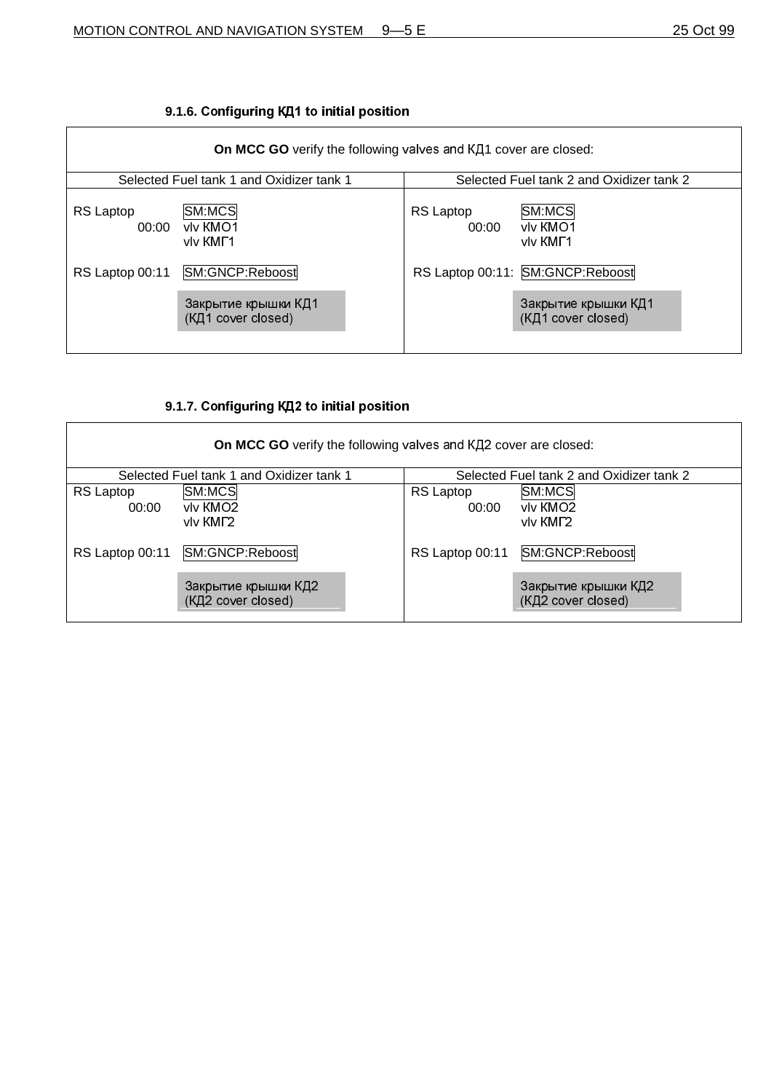## 9.1.6. Configuring K**A1** to initial position

| <b>On MCC GO</b> verify the following valves and KLI1 cover are closed: |                                               |                    |                                           |  |  |
|-------------------------------------------------------------------------|-----------------------------------------------|--------------------|-------------------------------------------|--|--|
|                                                                         | Selected Fuel tank 1 and Oxidizer tank 1      |                    | Selected Fuel tank 2 and Oxidizer tank 2  |  |  |
| RS Laptop<br>00:00                                                      | SM:MCS<br>vly KMO1<br>vlv KMF1                | RS Laptop<br>00:00 | SM:MCS<br>vly KMO1<br>vlv KMF1            |  |  |
| RS Laptop 00:11                                                         | SM:GNCP:Reboost                               |                    | RS Laptop 00:11: SM:GNCP:Reboost          |  |  |
|                                                                         | Закрытие крышки КД1<br>$(K\Pi1 cover closed)$ |                    | Закрытие крышки КД1<br>(KД1 cover closed) |  |  |

## 9.1.7. Configuring K<sub>H</sub>2 to initial position

|                                          | <b>On MCC GO</b> verify the following valves and KI2 cover are closed: |  |                                          |                                                              |  |
|------------------------------------------|------------------------------------------------------------------------|--|------------------------------------------|--------------------------------------------------------------|--|
| Selected Fuel tank 1 and Oxidizer tank 1 |                                                                        |  | Selected Fuel tank 2 and Oxidizer tank 2 |                                                              |  |
| RS Laptop<br>00:00                       | SM:MCS<br>vly KMO <sub>2</sub><br>vly KMF2                             |  | RS Laptop<br>00:00                       | SM:MCS<br>vly KMO <sub>2</sub><br>vly KMF2                   |  |
| RS Laptop 00:11                          | SM:GNCP:Reboost<br>Закрытие крышки КД2<br>(KД2 cover closed)           |  | RS Laptop 00:11                          | SM:GNCP:Reboost<br>Закрытие крышки КД2<br>(KД2 cover closed) |  |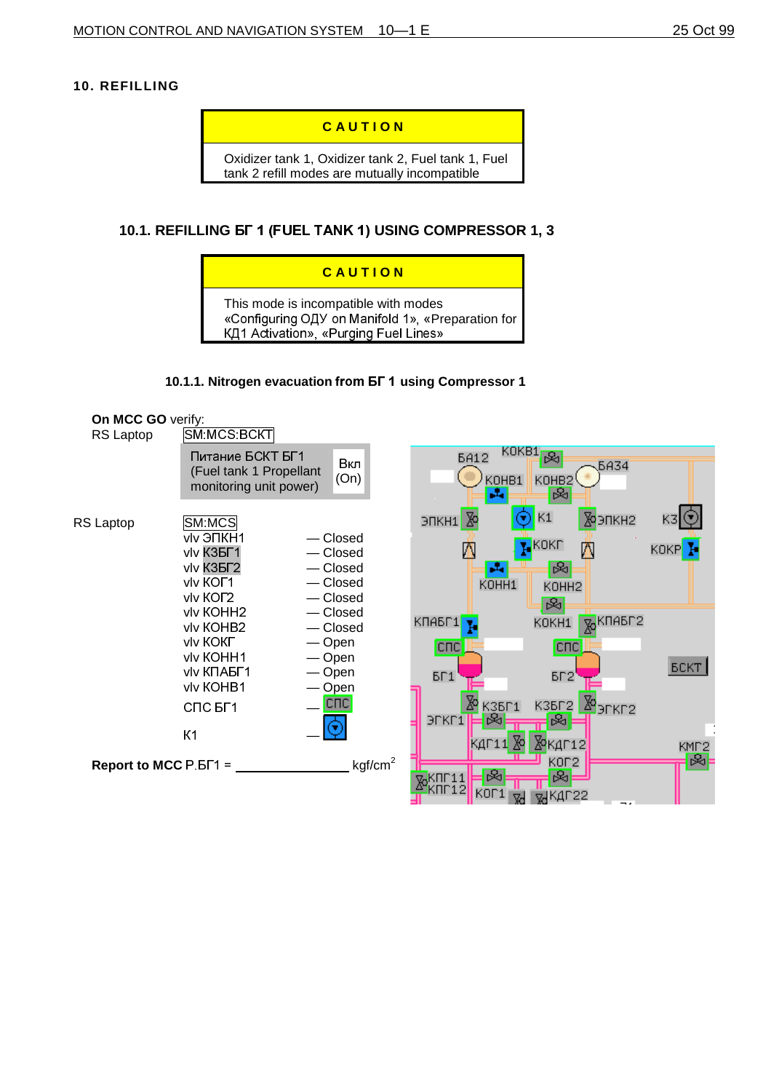## **10. REFILLING**



Oxidizer tank 1, Oxidizer tank 2, Fuel tank 1, Fuel tank 2 refill modes are mutually incompatible

## 10.1. REFILLING **BF 1 (FUEL TANK 1) USING COMPRESSOR 1,** 3



#### **10.1.1. Nitrogen evacuation from BF 1 using Compressor 1**

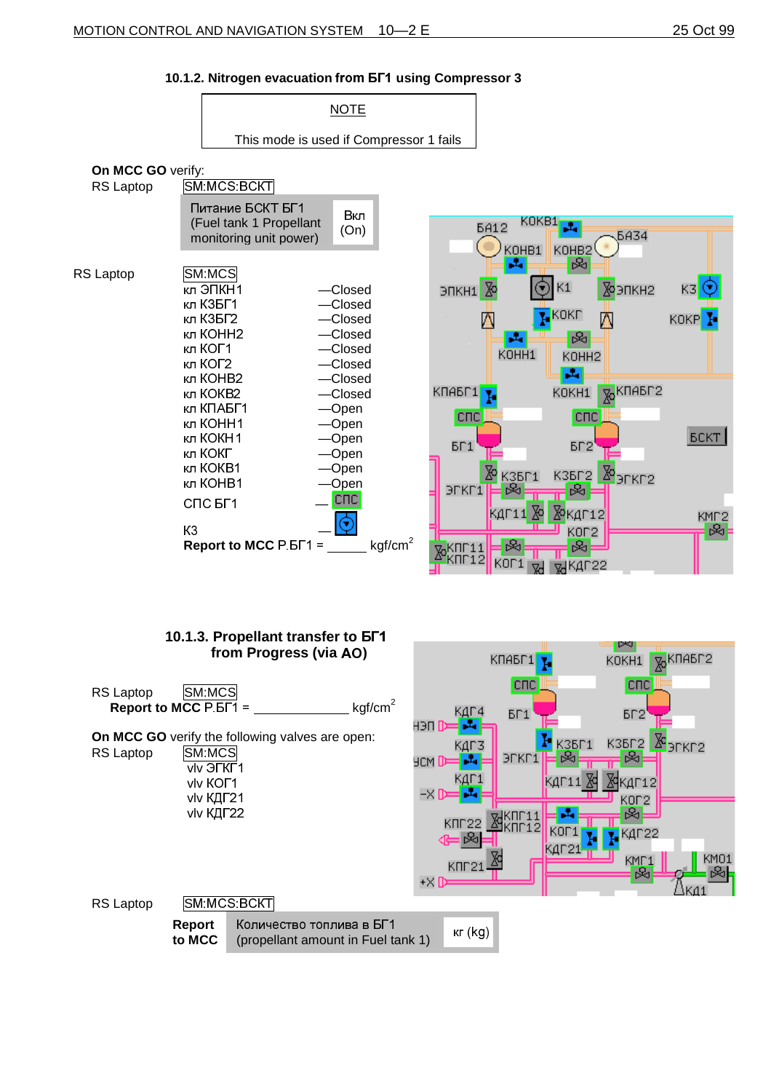

# **10.1.2. Nitrogen evacuation from EF1 using Compressor 3**

RS Laptop SM MCS BCKT

**Report to MCC** Количество топлива в БГ1  $\frac{1}{2}$  (propellant amount in Fuel tank 1)  $\frac{1}{2}$  KF (kg)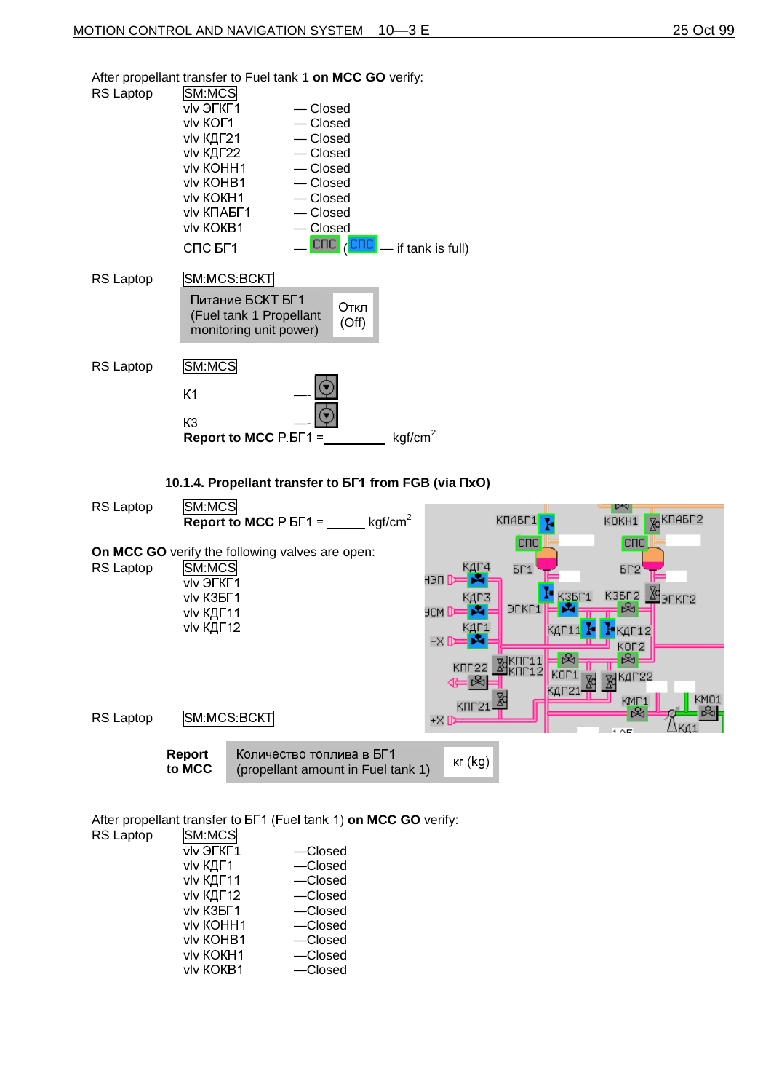After propellant transfer to Fuel tank 1 **on MCC GO** verify: RS Laptop

|                  | vlv ЭГКГ1                                                             | — Closed                                              |                                                |
|------------------|-----------------------------------------------------------------------|-------------------------------------------------------|------------------------------------------------|
|                  | vlv KOF1<br>vlv КДГ21                                                 | — Closed<br>— Closed                                  |                                                |
|                  | vlv КДГ22                                                             | — Closed                                              |                                                |
|                  | vlv KOHH1                                                             | — Closed                                              |                                                |
|                  | vlv KOHB1                                                             | — Closed                                              |                                                |
|                  | vlv KOKH1                                                             | — Closed                                              |                                                |
|                  | VIV KNABT1                                                            | — Closed                                              |                                                |
|                  | vlv KOKB1                                                             | - Closed                                              |                                                |
|                  |                                                                       |                                                       | $[C \Pi C]$ $($ $C \Pi C$ $)$ if tank is full) |
|                  | C <sub>IC</sub> <sub>BL1</sub>                                        |                                                       |                                                |
| <b>RS Laptop</b> | SM MCS BCKT                                                           |                                                       |                                                |
|                  | Питание БСКТ БГ1<br>(Fuel tank 1 Propellant<br>monitoring unit power) | Откл<br>(Off)                                         |                                                |
|                  | SM:MCS                                                                |                                                       |                                                |
| <b>RS Laptop</b> |                                                                       |                                                       |                                                |
|                  | К1                                                                    |                                                       |                                                |
|                  |                                                                       |                                                       |                                                |
|                  | K3                                                                    |                                                       |                                                |
|                  | Report to MCC $P BT 1 =$                                              |                                                       | kgf/cm <sup>2</sup>                            |
|                  |                                                                       |                                                       |                                                |
|                  |                                                                       |                                                       |                                                |
|                  |                                                                       | 10.1.4. Propellant transfer to BF1 from FGB (via NxO) |                                                |



After propellant transfer to **BF1** (Fuel tank 1) on MCC GO verify:

RS Laptop

| SM:MCS           |         |
|------------------|---------|
| vlv <b>JFKF1</b> | —Closed |
| vlv КДГ1         | —Closed |
| vlv КДГ11        | -Closed |
| ∨lv КДГ12        | -Closed |
| vlv K35F1        | -Closed |
| vlv KOHH1        | —Closed |
| vlv KOHB1        | -Closed |
| vlv KOKH1        | -Closed |
| vlv KOKB1        | -Closed |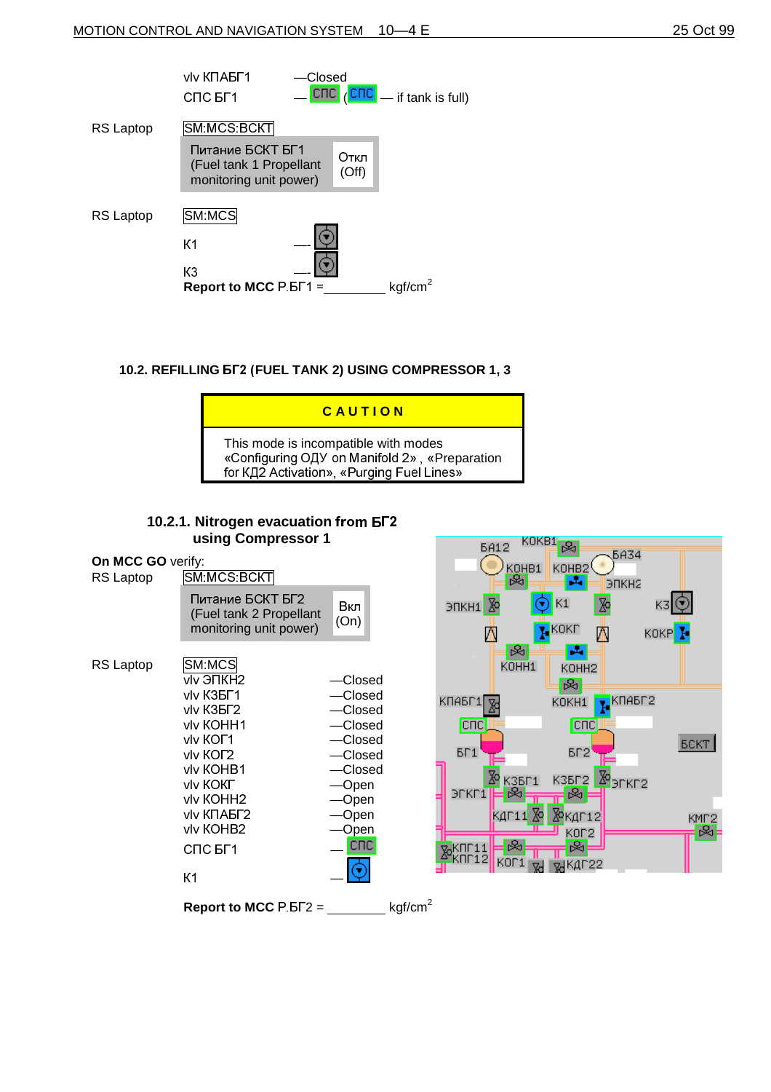

## 10.2. REFILLING **BF2** (FUEL TANK 2) USING COMPRESSOR 1, 3

| <b>CAUTION</b>                                                                                                                     |
|------------------------------------------------------------------------------------------------------------------------------------|
| This mode is incompatible with modes<br>«Configuring ОДУ on Manifold 2», «Preparation<br>for КД2 Activation», «Purging Fuel Lines» |

## **10.2.1. Nitrogen evacuation from**  $5\Gamma2$ **using Compressor 1**

|                                       | using Compressor 1                                                                                                                                                                                                                                                                                   |                                                                                                                                                   | <b>5A12</b>                                                                                                                                                   | KOKB1 <sub>R2</sub>                                                                                                                                                                                  |                                      |
|---------------------------------------|------------------------------------------------------------------------------------------------------------------------------------------------------------------------------------------------------------------------------------------------------------------------------------------------------|---------------------------------------------------------------------------------------------------------------------------------------------------|---------------------------------------------------------------------------------------------------------------------------------------------------------------|------------------------------------------------------------------------------------------------------------------------------------------------------------------------------------------------------|--------------------------------------|
| On MCC GO verify:<br><b>RS Laptop</b> | <b>SM MCS BCKT</b><br>Питание БСКТ БГ2<br>(Fuel tank 2 Propellant<br>monitoring unit power)                                                                                                                                                                                                          | Вкл<br>(On)                                                                                                                                       | KOHB1<br>呙<br>☞<br>➣<br><b>BNKH1</b><br>Λ                                                                                                                     | <b>5A34</b><br>K0HB2<br>ъ.<br><b>ЭПКН2</b><br>Þ,<br>K1<br><b>T</b> KOKL<br>W                                                                                                                         | K3<br>KOKP <sup>I</sup>              |
| <b>RS Laptop</b>                      | SM:MCS<br>vlv <b>JNKH2</b><br>vlv K3 <sub>B</sub> r1<br>vlv K3 <sub>B</sub> F <sub>2</sub><br>vlv KOHH1<br><b>vlv KOF1</b><br>vlv KOF2<br>vlv KOHB1<br><b>VIV KOKF</b><br>vlv KOHH2<br>VIV KITABE2<br>vlv KOHB2<br>C <sub>IC</sub> <sub>BL1</sub><br>K <sub>1</sub><br>Report to MCC $P B\Gamma 2 =$ | -Closed<br>-Closed<br>-Closed<br>-Closed<br>-Closed<br>-Closed<br>-Closed<br>-Open<br>-Open<br>-Open<br>—Open<br>$C \Pi C$<br>kgf/cm <sup>2</sup> | 図<br>K0HH1<br>КПАБГ1<br><b>CHC</b><br>5 <sub>1</sub><br><br><b>K35F1</b><br>図<br>$3$ $K$ $F1$<br>КДГ11 №<br>図<br><b>X</b> KNF11<br>KNF12<br>KO <sub>L</sub> 1 | ъk,<br>K0HH2<br>図<br><b>М</b> КПАБГ2<br>KOKH1<br>cnc<br>5 <sub>2</sub><br><b>EP<sub>3</sub>rkr2</b><br>K35 <sub>r2</sub><br>図<br><b>Х</b> кдг12<br>KO <sub>r</sub> <sub>2</sub><br>函<br><b>КДГ22</b> | <b>BCKT</b><br>KM <sub>F2</sub><br>函 |
|                                       |                                                                                                                                                                                                                                                                                                      |                                                                                                                                                   |                                                                                                                                                               |                                                                                                                                                                                                      |                                      |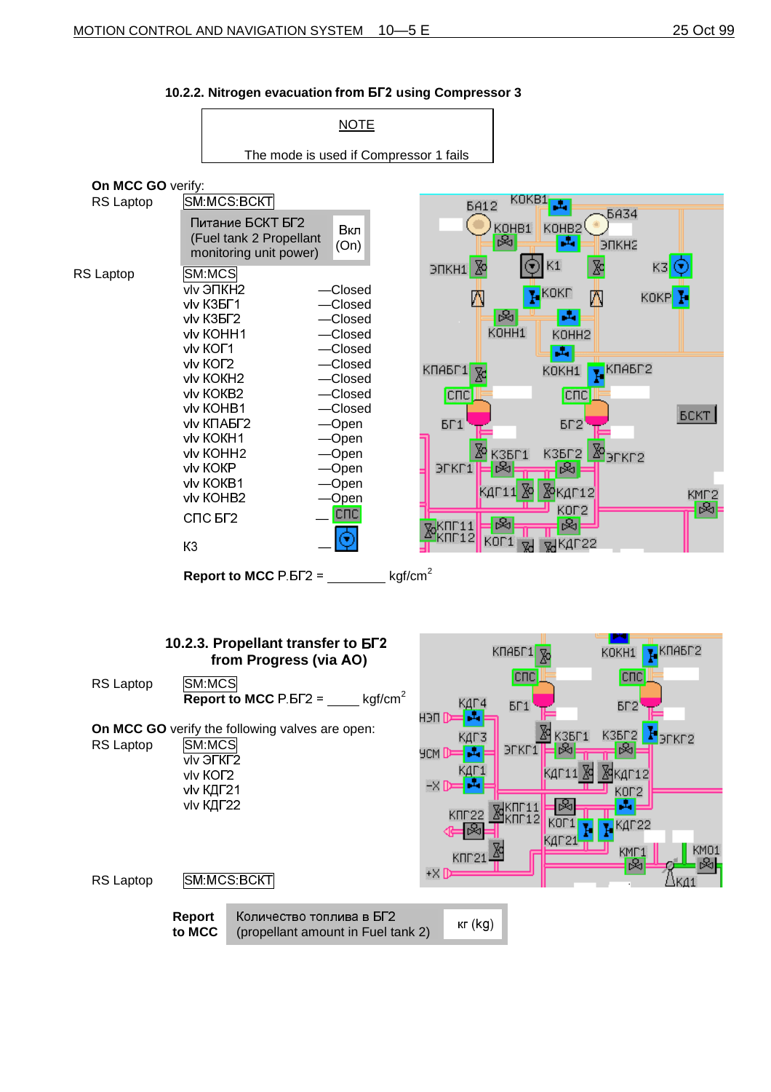RS Laptop **SM MCS BCKT** 

**Report to MCC** Количество топлива в БГ2

 $\frac{1}{2}$  (propellant amount in Fuel tank 2)  $\frac{1}{2}$  KF (kg)

⋐⊵

 $\rightarrow$  D

KNF21

X



10.2.2. Nitrogen evacuation from **BF2** using Compressor 3

**КДГ22** 

KM<sub>F1</sub>

函

KM01

Н Н

КДГ21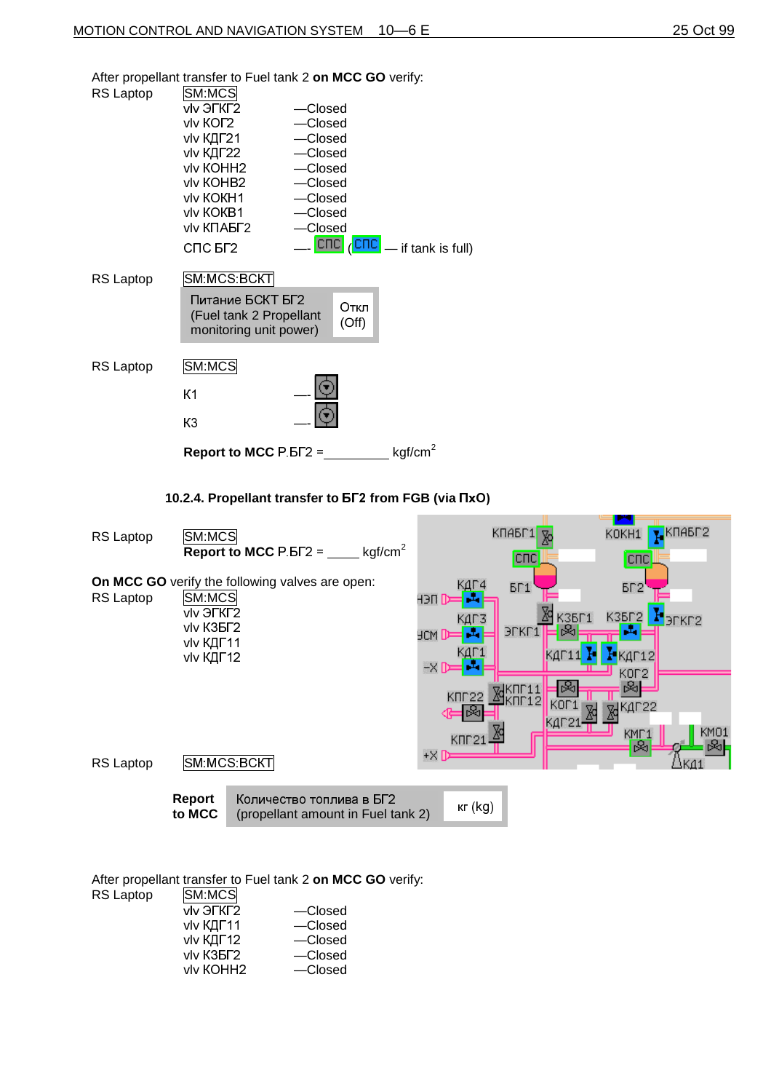After propellant transfer to Fuel tank 2 **on MCC GO** verify: RS Laptop SM:MCS<br>viv ЭГКГ2 — —Closed

|                  | 11 UI IN Z<br>vlv KOF2<br>vlv КДГ21<br>vlv КДГ22<br>vlv KOHH2<br>vlv KOHB2<br>vlv KOKH1<br>vlv KOKB1<br>VIV KNABT2<br>СПС БГ2 | uuseu<br>-Closed<br>-Closed<br>-Closed<br>-Closed<br>-Closed<br>-Closed<br>-Closed<br>-Closed |               | $\overline{C\Box C}$ $\overline{C\Box C}$ if tank is full) |  |
|------------------|-------------------------------------------------------------------------------------------------------------------------------|-----------------------------------------------------------------------------------------------|---------------|------------------------------------------------------------|--|
| <b>RS Laptop</b> | SM MCS BCKT<br>Питание БСКТ БГ2<br>(Fuel tank 2 Propellant<br>monitoring unit power)                                          |                                                                                               | Откл<br>(Off) |                                                            |  |
| <b>RS Laptop</b> | SM:MCS<br>К1<br>KЗ                                                                                                            |                                                                                               |               |                                                            |  |
|                  | Report to MCC $P$ $5\Gamma2$ =                                                                                                |                                                                                               |               | kgf/cm <sup>2</sup>                                        |  |

10.2.4. Propellant transfer to **BF2** from FGB (via  $\Pi$ xO)



After propellant transfer to Fuel tank 2 **on MCC GO** verify:

| <b>RS</b> Laptop | SM:MCS                             |         |
|------------------|------------------------------------|---------|
|                  | vly <b>GFKF2</b>                   | -Closed |
|                  | vlv КДГ11                          | -Closed |
|                  | vlv KIIT12                         | -Closed |
|                  | vlv K3 <sub>B</sub> F <sub>2</sub> | -Closed |
|                  | vlv KOHH <sub>2</sub>              | -Closed |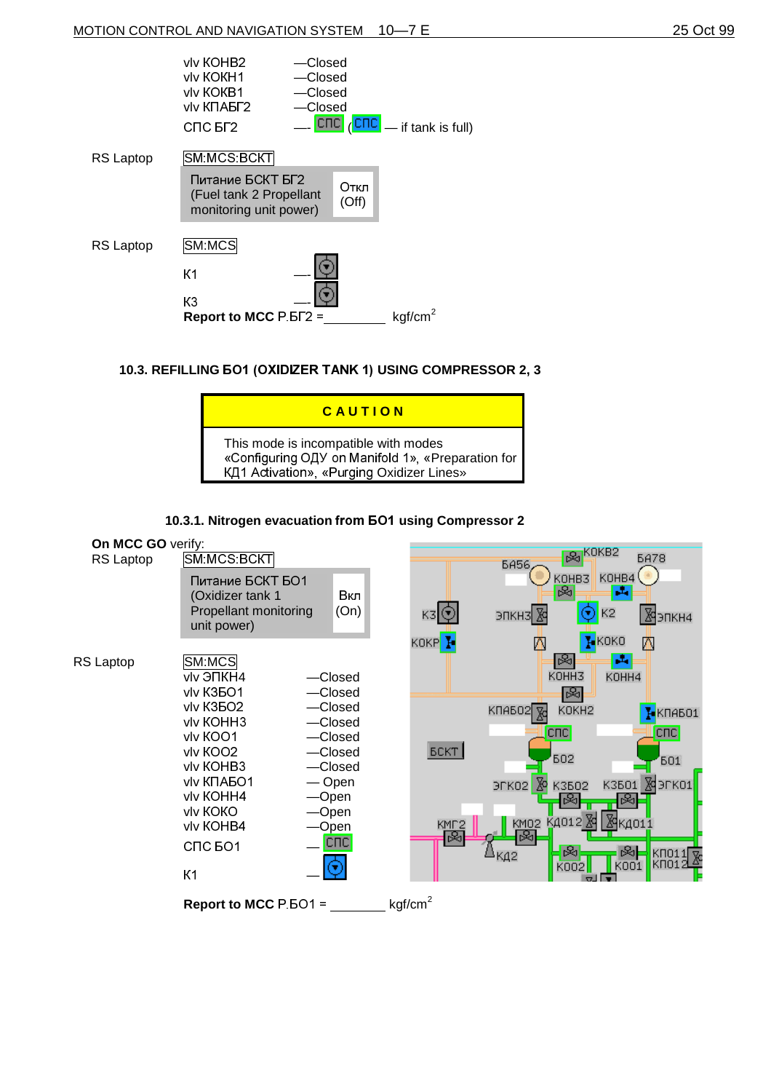|                  | vlv KOHB2<br>vlv KOKH1<br>vlv KOKB1<br>VIV KNABT2<br>$C \Pi C$ $B \Gamma 2$          | Closed<br>Closed <sup>.</sup><br>-Closed<br>Closed | $\overline{C\cap C}$ $\overline{C\cap C}$ = if tank is full) |
|------------------|--------------------------------------------------------------------------------------|----------------------------------------------------|--------------------------------------------------------------|
| <b>RS Laptop</b> | SM MCS BCKT<br>Питание БСКТ БГ2<br>(Fuel tank 2 Propellant<br>monitoring unit power) | Откл<br>(Off)                                      |                                                              |
| <b>RS Laptop</b> | SM:MCS<br>К1<br>KЗ                                                                   |                                                    |                                                              |
|                  | Report to MCC $P$ $bF2 =$                                                            |                                                    | kgf/cm                                                       |

## 10.3. REFILLING **501 (OXIDIZER TANK 1) USING COMPRESSOR 2,** 3

| <b>CAUTION</b>                                                                                                                         |
|----------------------------------------------------------------------------------------------------------------------------------------|
| This mode is incompatible with modes<br>«Configuring ОДУ on Manifold 1», «Preparation for<br>КД1 Activation», «Purging Oxidizer Lines» |

#### **10.3.1. Nitrogen evacuation from EO1 using Compressor 2**

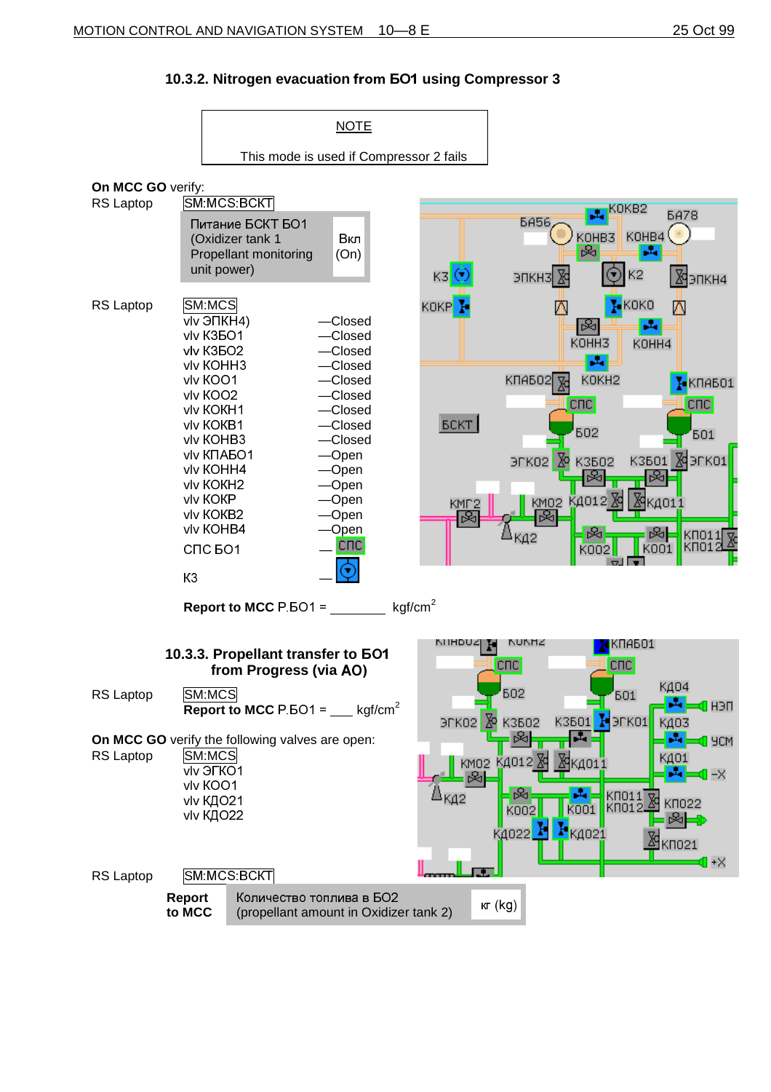

## 10.3.2. Nitrogen evacuation from **601** using Compressor 3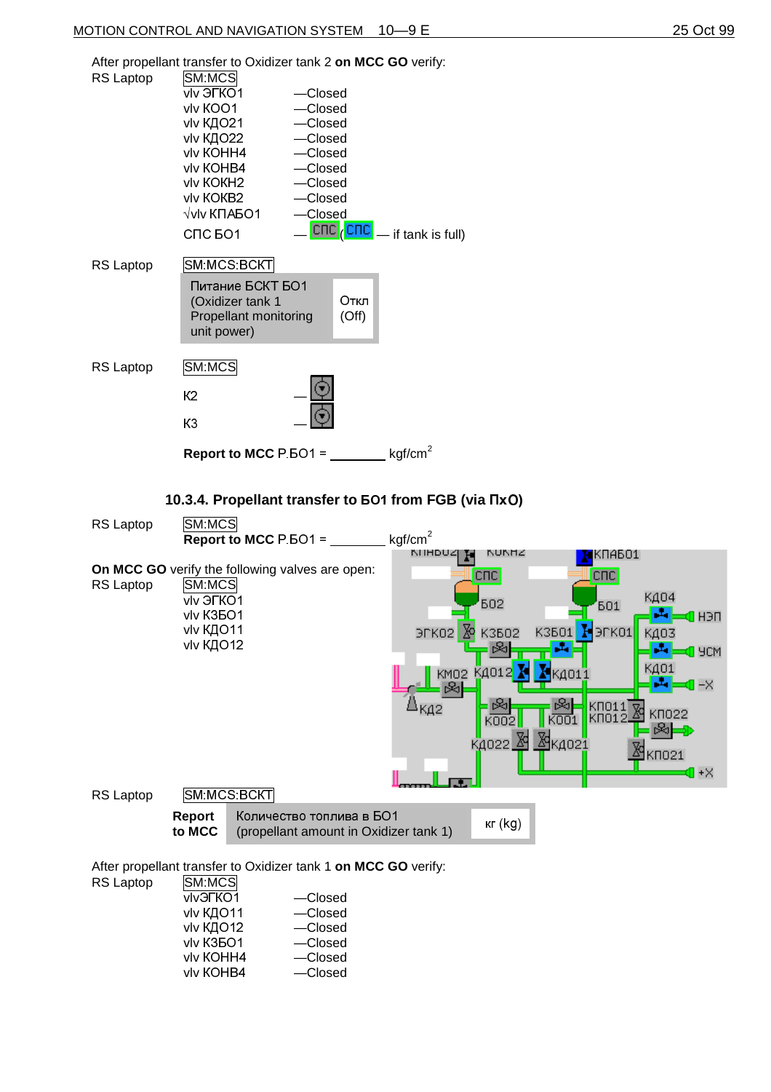After propellant transfer to Oxidizer tank 2 **on MCC GO** verify: RS Laptop  $\overline{v}$ lv  $\overline{O}$ FKO1 — Closed

|           | vlv KOO1                     | -Closed            |       |                                                              |  |
|-----------|------------------------------|--------------------|-------|--------------------------------------------------------------|--|
|           | vlv KДO21                    | -Closed            |       |                                                              |  |
|           | vlv KДO22                    | -Closed            |       |                                                              |  |
|           | vlv KOHH4                    | -Closed            |       |                                                              |  |
|           | vlv KOHB4                    | -Closed            |       |                                                              |  |
|           | vlv KOKH2<br>vlv KOKB2       | -Closed            |       |                                                              |  |
|           | √vlv KΠAБO1                  | -Closed<br>-Closed |       |                                                              |  |
|           |                              |                    |       | $\boxed{\text{Cnc}}$ $\boxed{\text{Cnc}}$ = if tank is full) |  |
|           | <b>CNC 501</b>               |                    |       |                                                              |  |
| RS Laptop | SM MCS BCKT                  |                    |       |                                                              |  |
|           | Питание БСКТ БО1             |                    |       |                                                              |  |
|           | (Oxidizer tank 1             |                    | Откл  |                                                              |  |
|           | <b>Propellant monitoring</b> |                    | (Off) |                                                              |  |
|           | unit power)                  |                    |       |                                                              |  |
| RS Laptop | SM:MCS                       |                    |       |                                                              |  |
|           |                              |                    |       |                                                              |  |
|           | К2                           |                    |       |                                                              |  |
|           | K3                           |                    |       |                                                              |  |
|           | Report to MCC $P$ BO1 =      |                    |       | kgf/cm <sup>2</sup>                                          |  |

**10.3.4. Propellant transfer to BO1 from FGB (via**  $\Pi$ **xO)** 



After propellant transfer to Oxidizer tank 1 **on MCC GO** verify:

RS Laptop

| -Closed |  |
|---------|--|
|         |  |
| -Closed |  |
| -Closed |  |
| -Closed |  |
| -Closed |  |
| -Closed |  |
|         |  |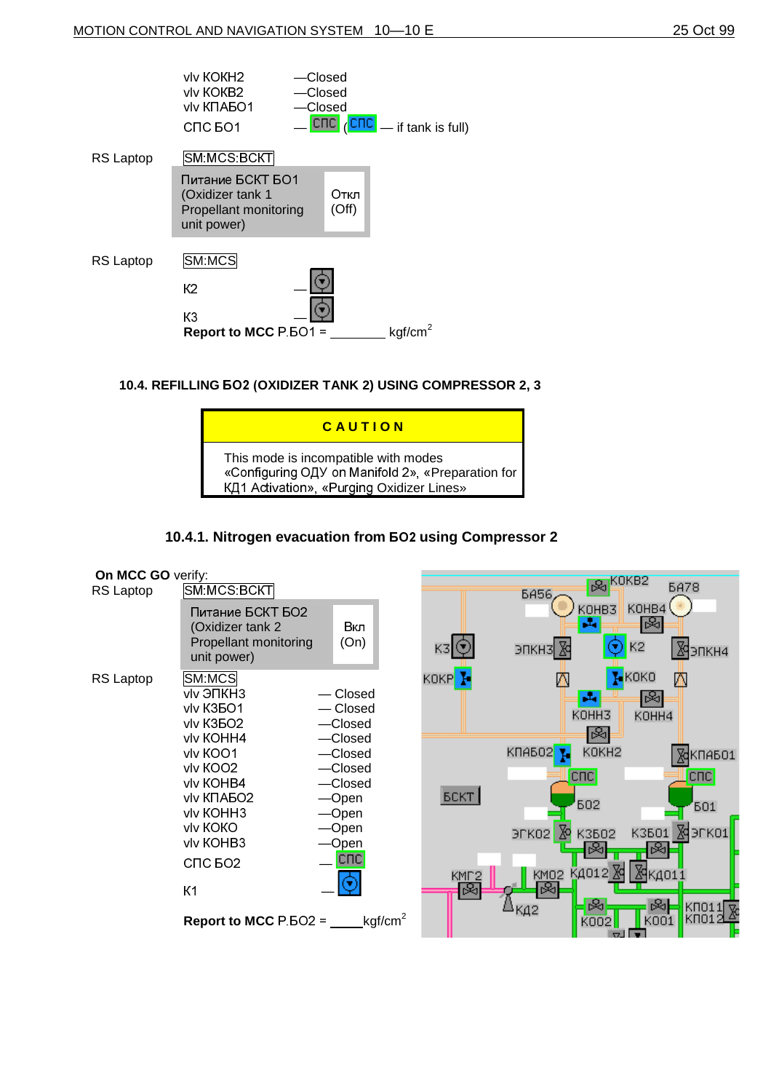

## 10.4. REFILLING **502 (OXIDIZER TANK 2) USING COMPRESSOR 2, 3**

| <b>CAUTION</b>                                                                                                                           |  |
|------------------------------------------------------------------------------------------------------------------------------------------|--|
| This mode is incompatible with modes<br>«Configuring ОДУ on Manifold 2», «Preparation for  <br>КД1 Activation», «Purging Oxidizer Lines» |  |

## **10.4.1. Nitrogen evacuation from BO2 using Compressor 2**

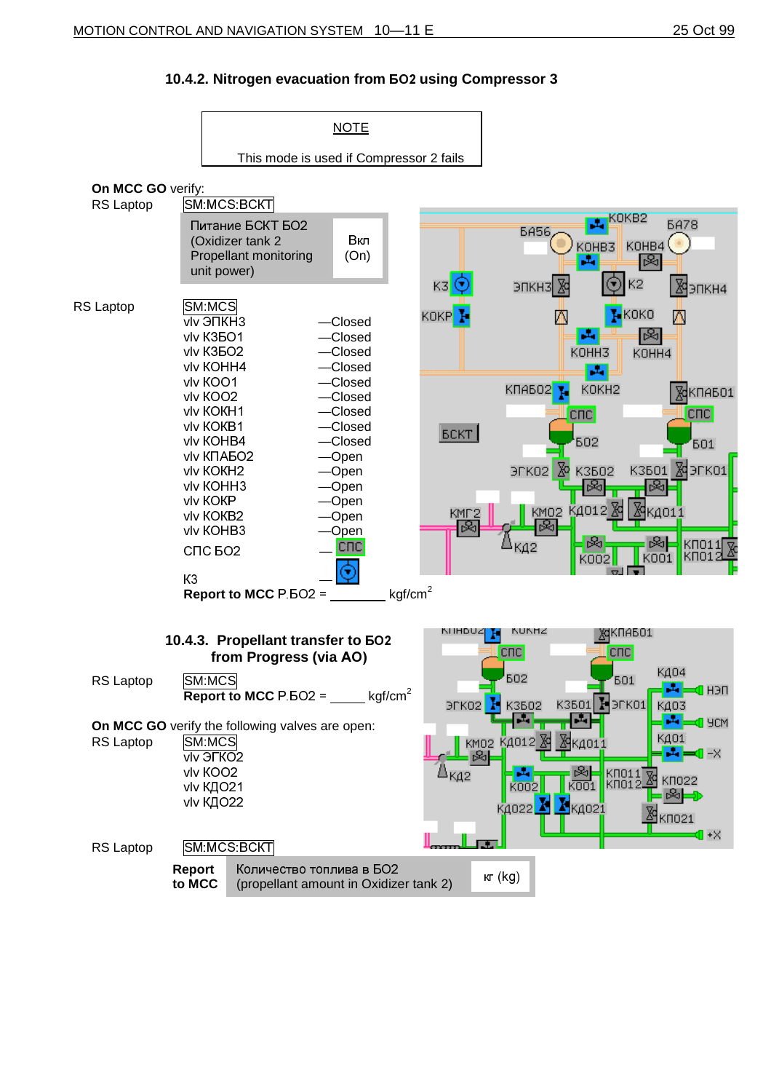

## **10.4.2. Nitrogen evacuation from BO2 using Compressor 3**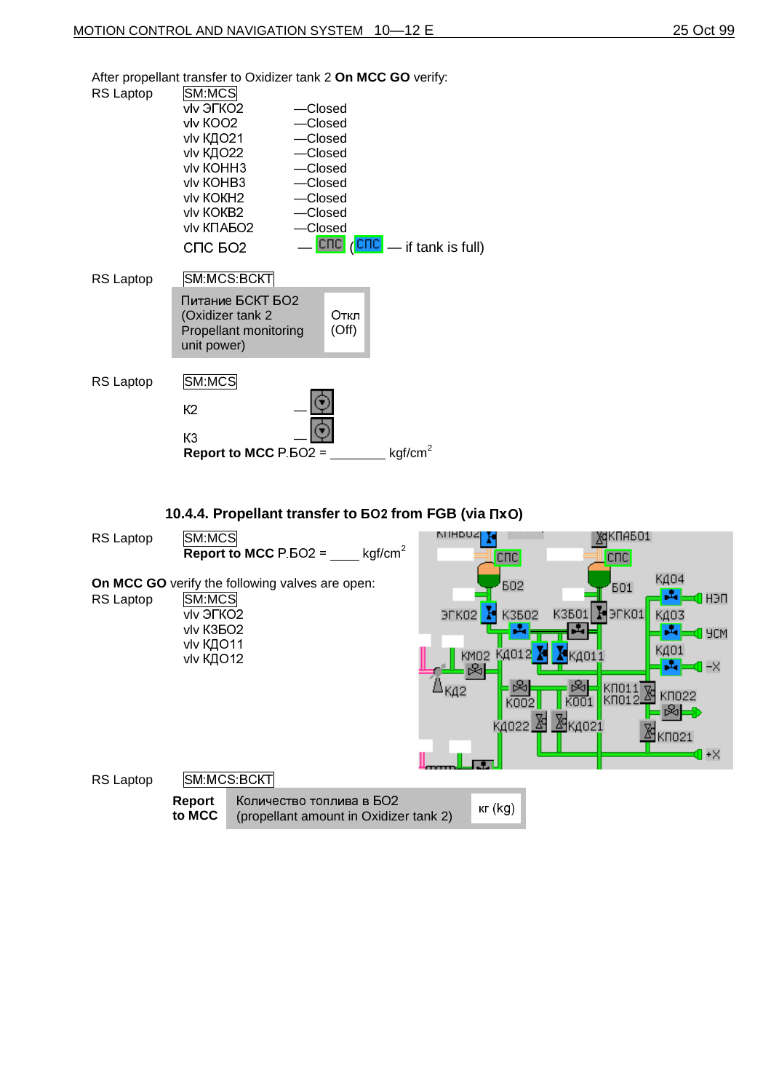|                  | After propellant transfer to Oxidizer tank 2 On MCC GO verify:                      |         |               |                                                            |
|------------------|-------------------------------------------------------------------------------------|---------|---------------|------------------------------------------------------------|
| <b>RS Laptop</b> | SM:MCS                                                                              |         |               |                                                            |
|                  | vlv ЭГКО2                                                                           | -Closed |               |                                                            |
|                  | vlv KOO2                                                                            | -Closed |               |                                                            |
|                  | vlv KДO21                                                                           | -Closed |               |                                                            |
|                  | vlv КДО22                                                                           | -Closed |               |                                                            |
|                  | vlv KOHH3                                                                           | -Closed |               |                                                            |
|                  | vlv KOHB3                                                                           | -Closed |               |                                                            |
|                  | vlv KOKH <sub>2</sub>                                                               | -Closed |               |                                                            |
|                  | vlv KOKB2                                                                           | -Closed |               |                                                            |
|                  | VIV KITABO <sub>2</sub>                                                             | -Closed |               |                                                            |
|                  | C <sub>DC</sub> 502                                                                 |         |               | $\overline{C\Box C}$ $\overline{C\Box C}$ if tank is full) |
| <b>RS Laptop</b> | SM MCS BCKT                                                                         |         |               |                                                            |
|                  | Питание БСКТ БО2<br>(Oxidizer tank 2<br><b>Propellant monitoring</b><br>unit power) |         | Откл<br>(Off) |                                                            |
| <b>RS Laptop</b> | SM:MCS                                                                              |         |               |                                                            |
|                  | К2                                                                                  |         |               |                                                            |
|                  | K3                                                                                  |         |               |                                                            |
|                  | <b>Report to MCC P 502 =</b>                                                        |         |               | kgf/cm <sup>2</sup>                                        |

**10.4.4. Propellant transfer to BO2 from FGB (via**  $\pi$ **xO)**